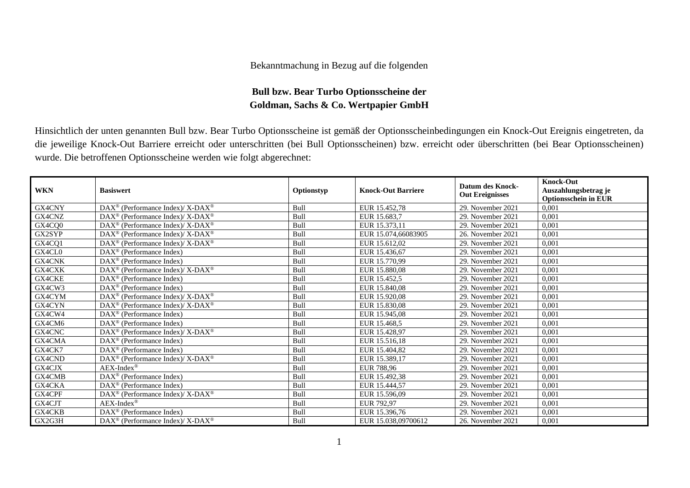## Bekanntmachung in Bezug auf die folgenden

## **Bull bzw. Bear Turbo Optionsscheine der Goldman, Sachs & Co. Wertpapier GmbH**

Hinsichtlich der unten genannten Bull bzw. Bear Turbo Optionsscheine ist gemäß der Optionsscheinbedingungen ein Knock-Out Ereignis eingetreten, da die jeweilige Knock-Out Barriere erreicht oder unterschritten (bei Bull Optionsscheinen) bzw. erreicht oder überschritten (bei Bear Optionsscheinen) wurde. Die betroffenen Optionsscheine werden wie folgt abgerechnet:

| <b>WKN</b> | <b>Basiswert</b>                                                   | Optionstyp  | <b>Knock-Out Barriere</b> | <b>Datum des Knock-</b><br><b>Out Ereignisses</b> | <b>Knock-Out</b><br>Auszahlungsbetrag je<br><b>Optionsschein in EUR</b> |
|------------|--------------------------------------------------------------------|-------------|---------------------------|---------------------------------------------------|-------------------------------------------------------------------------|
| GX4CNY     | DAX <sup>®</sup> (Performance Index)/ X-DAX <sup>®</sup>           | Bull        | EUR 15.452,78             | 29. November 2021                                 | 0,001                                                                   |
| GX4CNZ     | DAX <sup>®</sup> (Performance Index)/ X-DAX <sup>®</sup>           | Bull        | EUR 15.683.7              | 29. November 2021                                 | 0,001                                                                   |
| GX4CQ0     | DAX <sup>®</sup> (Performance Index)/ X-DAX <sup>®</sup>           | Bull        | EUR 15.373,11             | 29. November 2021                                 | 0,001                                                                   |
| GX2SYP     | $DAX^{\circledcirc}$ (Performance Index)/ X-DAX <sup>®</sup>       | Bull        | EUR 15.074,66083905       | 26. November 2021                                 | 0,001                                                                   |
| GX4CQ1     | $DAX^{\circledcirc}$ (Performance Index)/ X-DAX <sup>®</sup>       | Bull        | EUR 15.612,02             | 29. November 2021                                 | 0,001                                                                   |
| GX4CL0     | DAX <sup>®</sup> (Performance Index)                               | Bull        | EUR 15.436,67             | 29. November 2021                                 | 0,001                                                                   |
| GX4CNK     | DAX <sup>®</sup> (Performance Index)                               | Bull        | EUR 15.770,99             | 29. November 2021                                 | 0,001                                                                   |
| GX4CXK     | DAX <sup>®</sup> (Performance Index)/ X-DAX <sup>®</sup>           | Bull        | EUR 15.880,08             | 29. November 2021                                 | 0,001                                                                   |
| GX4CKE     | $DAX^{\circledcirc}$ (Performance Index)                           | Bull        | EUR 15.452,5              | 29. November 2021                                 | 0,001                                                                   |
| GX4CW3     | $\text{DAX}^{\circledast}$ (Performance Index)                     | Bull        | EUR 15.840.08             | 29. November 2021                                 | 0,001                                                                   |
| GX4CYM     | DAX <sup>®</sup> (Performance Index)/ X-DAX <sup>®</sup>           | Bull        | EUR 15.920,08             | 29. November 2021                                 | 0,001                                                                   |
| GX4CYN     | $\text{DAX}^{\circledast}$ (Performance Index)/ X-DAX <sup>®</sup> | Bull        | EUR 15.830,08             | 29. November 2021                                 | 0,001                                                                   |
| GX4CW4     | $\text{DAX}^{\circledast}$ (Performance Index)                     | Bull        | EUR 15.945.08             | 29. November 2021                                 | 0,001                                                                   |
| GX4CM6     | $DAX^{\circledcirc}$ (Performance Index)                           | Bull        | EUR 15.468.5              | 29. November 2021                                 | 0,001                                                                   |
| GX4CNC     | DAX <sup>®</sup> (Performance Index)/X-DAX <sup>®</sup>            | Bull        | EUR 15.428,97             | 29. November 2021                                 | 0,001                                                                   |
| GX4CMA     | $DAX^{\circledcirc}$ (Performance Index)                           | Bull        | EUR 15.516.18             | 29. November 2021                                 | 0,001                                                                   |
| GX4CK7     | $DAX^{\circledcirc}$ (Performance Index)                           | <b>Bull</b> | EUR 15.404,82             | 29. November 2021                                 | 0,001                                                                   |
| GX4CND     | DAX <sup>®</sup> (Performance Index)/X-DAX <sup>®</sup>            | Bull        | EUR 15.389,17             | 29. November 2021                                 | 0,001                                                                   |
| GX4CJX     | AEX-Index®                                                         | Bull        | <b>EUR 788.96</b>         | 29. November 2021                                 | 0,001                                                                   |
| GX4CMB     | DAX <sup>®</sup> (Performance Index)                               | Bull        | EUR 15.492,38             | 29. November 2021                                 | 0,001                                                                   |
| GX4CKA     | DAX <sup>®</sup> (Performance Index)                               | Bull        | EUR 15.444.57             | 29. November 2021                                 | 0,001                                                                   |
| GX4CPF     | DAX <sup>®</sup> (Performance Index)/ X-DAX <sup>®</sup>           | Bull        | EUR 15.596.09             | 29. November 2021                                 | 0,001                                                                   |
| GX4CJT     | $AEX-Index^{\circledR}$                                            | Bull        | EUR 792,97                | 29. November 2021                                 | 0,001                                                                   |
| GX4CKB     | $\text{DAX}^{\circledast}$ (Performance Index)                     | Bull        | EUR 15.396.76             | 29. November 2021                                 | 0,001                                                                   |
| GX2G3H     | DAX <sup>®</sup> (Performance Index)/ X-DAX <sup>®</sup>           | Bull        | EUR 15.038.09700612       | 26. November 2021                                 | 0,001                                                                   |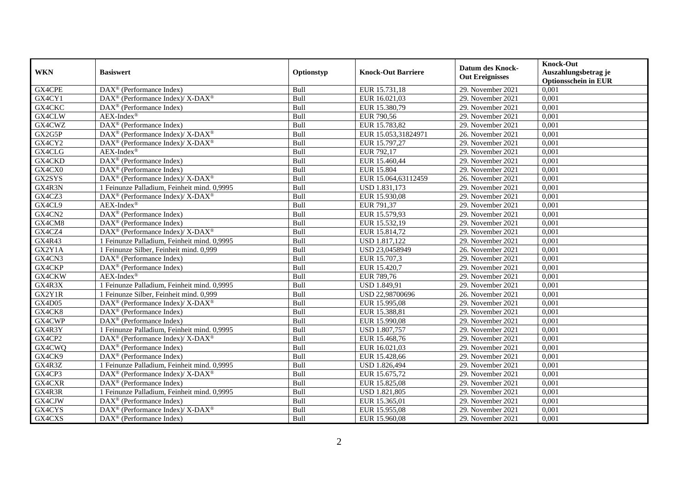| <b>WKN</b>    | <b>Basiswert</b>                                                   | Optionstyp | <b>Knock-Out Barriere</b> | <b>Datum des Knock-</b><br><b>Out Ereignisses</b> | <b>Knock-Out</b><br>Auszahlungsbetrag je<br><b>Optionsschein in EUR</b> |
|---------------|--------------------------------------------------------------------|------------|---------------------------|---------------------------------------------------|-------------------------------------------------------------------------|
| GX4CPE        | $\overline{\text{DAX}^{\textcircled{a}}}$ (Performance Index)      | Bull       | EUR 15.731,18             | 29. November 2021                                 | 0,001                                                                   |
| GX4CY1        | DAX <sup>®</sup> (Performance Index)/ X-DAX <sup>®</sup>           | Bull       | EUR 16.021,03             | 29. November 2021                                 | 0,001                                                                   |
| GX4CKC        | DAX <sup>®</sup> (Performance Index)                               | Bull       | EUR 15.380,79             | 29. November 2021                                 | 0,001                                                                   |
| GX4CLW        | $AEX-Index^{\circledR}$                                            | Bull       | EUR 790,56                | 29. November 2021                                 | 0,001                                                                   |
| GX4CWZ        | DAX <sup>®</sup> (Performance Index)                               | Bull       | EUR 15.783,82             | 29. November 2021                                 | 0,001                                                                   |
| GX2G5P        | DAX <sup>®</sup> (Performance Index)/ X-DAX <sup>®</sup>           | Bull       | EUR 15.053,31824971       | 26. November 2021                                 | 0,001                                                                   |
| GX4CY2        | DAX <sup>®</sup> (Performance Index)/ X-DAX <sup>®</sup>           | Bull       | EUR 15.797,27             | 29. November 2021                                 | 0,001                                                                   |
| GX4CLG        | $AEX-Index^{\circledR}$                                            | Bull       | EUR 792,17                | 29. November 2021                                 | 0,001                                                                   |
| GX4CKD        | DAX <sup>®</sup> (Performance Index)                               | Bull       | EUR 15.460,44             | 29. November 2021                                 | 0,001                                                                   |
| GX4CX0        | $\text{DAX}^{\textcircled{p}}$ (Performance Index)                 | Bull       | <b>EUR 15.804</b>         | 29. November 2021                                 | 0,001                                                                   |
| GX2SYS        | DAX <sup>®</sup> (Performance Index)/ X-DAX <sup>®</sup>           | Bull       | EUR 15.064,63112459       | 26. November 2021                                 | 0,001                                                                   |
| GX4R3N        | 1 Feinunze Palladium, Feinheit mind. 0,9995                        | Bull       | USD 1.831,173             | 29. November 2021                                 | 0,001                                                                   |
| GX4CZ3        | $\text{DAX}^{\circledast}$ (Performance Index)/ X-DAX <sup>®</sup> | Bull       | EUR 15.930,08             | 29. November 2021                                 | 0,001                                                                   |
| GX4CL9        | $AEX-Index^{\circledR}$                                            | Bull       | EUR 791,37                | 29. November 2021                                 | 0,001                                                                   |
| GX4CN2        | DAX <sup>®</sup> (Performance Index)                               | Bull       | EUR 15.579,93             | 29. November 2021                                 | 0,001                                                                   |
| GX4CM8        | DAX <sup>®</sup> (Performance Index)                               | Bull       | EUR 15.532,19             | 29. November 2021                                 | 0,001                                                                   |
| GX4CZ4        | DAX <sup>®</sup> (Performance Index)/X-DAX <sup>®</sup>            | Bull       | EUR 15.814,72             | 29. November 2021                                 | 0,001                                                                   |
| GX4R43        | 1 Feinunze Palladium. Feinheit mind. 0.9995                        | Bull       | <b>USD 1.817.122</b>      | 29. November 2021                                 | 0.001                                                                   |
| GX2Y1A        | 1 Feinunze Silber, Feinheit mind. 0,999                            | Bull       | USD 23,0458949            | 26. November 2021                                 | 0,001                                                                   |
| GX4CN3        | $\overline{\text{DAX}^{\otimes}}$ (Performance Index)              | Bull       | EUR 15.707,3              | 29. November 2021                                 | 0,001                                                                   |
| GX4CKP        | DAX <sup>®</sup> (Performance Index)                               | Bull       | EUR 15.420,7              | 29. November 2021                                 | 0,001                                                                   |
| GX4CKW        | $AEX-Index^{\circledR}$                                            | Bull       | EUR 789,76                | 29. November 2021                                 | 0,001                                                                   |
| GX4R3X        | 1 Feinunze Palladium, Feinheit mind. 0,9995                        | Bull       | <b>USD 1.849,91</b>       | 29. November 2021                                 | 0,001                                                                   |
| GX2Y1R        | 1 Feinunze Silber, Feinheit mind. 0,999                            | Bull       | USD 22,98700696           | 26. November 2021                                 | 0,001                                                                   |
| <b>GX4D05</b> | $\text{DAX}^{\circledast}$ (Performance Index)/ X-DAX <sup>®</sup> | Bull       | EUR 15.995,08             | 29. November 2021                                 | 0,001                                                                   |
| GX4CK8        | $\text{DAX}^{\textcircled{n}}$ (Performance Index)                 | Bull       | EUR 15.388,81             | 29. November 2021                                 | 0,001                                                                   |
| GX4CWP        | DAX <sup>®</sup> (Performance Index)                               | Bull       | EUR 15.990,08             | 29. November 2021                                 | 0,001                                                                   |
| GX4R3Y        | 1 Feinunze Palladium. Feinheit mind. 0.9995                        | Bull       | <b>USD 1.807,757</b>      | 29. November 2021                                 | 0,001                                                                   |
| GX4CP2        | $DAX^{\circledcirc}$ (Performance Index)/ X-DAX <sup>®</sup>       | Bull       | EUR 15.468,76             | 29. November 2021                                 | 0,001                                                                   |
| GX4CWQ        | $\text{DAX}^{\textcircled{p}}$ (Performance Index)                 | Bull       | EUR 16.021,03             | 29. November 2021                                 | 0,001                                                                   |
| GX4CK9        | $\text{DAX}^{\textcircled{p}}$ (Performance Index)                 | Bull       | EUR 15.428,66             | 29. November 2021                                 | 0,001                                                                   |
| GX4R3Z        | 1 Feinunze Palladium, Feinheit mind. 0,9995                        | Bull       | <b>USD 1.826,494</b>      | 29. November 2021                                 | 0,001                                                                   |
| GX4CP3        | $DAX^{\circledcirc}$ (Performance Index)/X-DAX <sup>®</sup>        | Bull       | EUR 15.675,72             | 29. November 2021                                 | 0,001                                                                   |
| GX4CXR        | DAX <sup>®</sup> (Performance Index)                               | Bull       | EUR 15.825,08             | 29. November 2021                                 | 0,001                                                                   |
| GX4R3R        | 1 Feinunze Palladium, Feinheit mind. 0,9995                        | Bull       | USD 1.821,805             | 29. November 2021                                 | 0,001                                                                   |
| GX4CJW        | DAX <sup>®</sup> (Performance Index)                               | Bull       | EUR 15.365,01             | 29. November 2021                                 | 0,001                                                                   |
| GX4CYS        | DAX <sup>®</sup> (Performance Index)/ X-DAX <sup>®</sup>           | Bull       | EUR 15.955,08             | 29. November 2021                                 | 0,001                                                                   |
| GX4CXS        | $\text{DAX}^{\textcircled{n}}$ (Performance Index)                 | Bull       | EUR 15.960,08             | 29. November 2021                                 | 0,001                                                                   |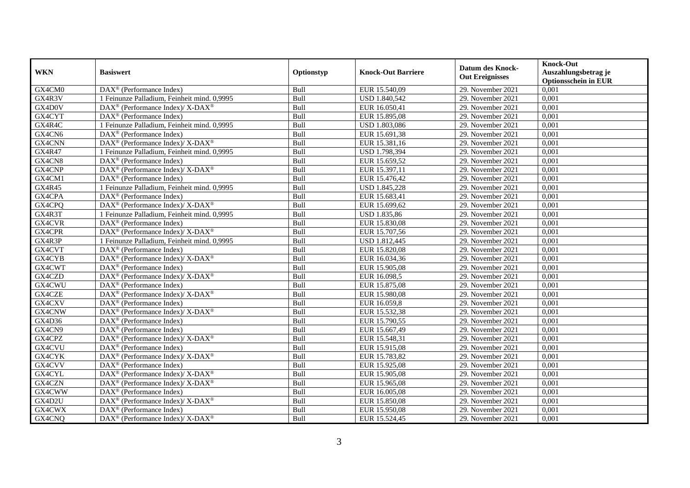| <b>WKN</b>    | <b>Basiswert</b>                                                  | Optionstyp | <b>Knock-Out Barriere</b> | <b>Datum des Knock-</b><br><b>Out Ereignisses</b> | <b>Knock-Out</b><br>Auszahlungsbetrag je<br><b>Optionsschein in EUR</b> |
|---------------|-------------------------------------------------------------------|------------|---------------------------|---------------------------------------------------|-------------------------------------------------------------------------|
| GX4CM0        | $\text{DAX}^{\circledR}$ (Performance Index)                      | Bull       | EUR 15.540,09             | 29. November 2021                                 | 0,001                                                                   |
| GX4R3V        | 1 Feinunze Palladium, Feinheit mind. 0,9995                       | Bull       | <b>USD 1.840,542</b>      | 29. November 2021                                 | 0,001                                                                   |
| GX4D0V        | $\text{DAX}^{\otimes}$ (Performance Index)/X-DAX <sup>®</sup>     | Bull       | EUR 16.050,41             | 29. November 2021                                 | 0,001                                                                   |
| GX4CYT        | $\text{DAX}^{\textcircled{n}}$ (Performance Index)                | Bull       | EUR 15.895,08             | 29. November 2021                                 | 0,001                                                                   |
| GX4R4C        | 1 Feinunze Palladium, Feinheit mind. 0,9995                       | Bull       | USD 1.803,086             | 29. November 2021                                 | 0,001                                                                   |
| GX4CN6        | $\text{DAX}^{\textcircled{p}}$ (Performance Index)                | Bull       | EUR 15.691,38             | 29. November 2021                                 | 0,001                                                                   |
| GX4CNN        | $\text{DAX}^{\circledR}$ (Performance Index)/ X-DAX <sup>®</sup>  | Bull       | EUR 15.381,16             | 29. November 2021                                 | 0,001                                                                   |
| <b>GX4R47</b> | 1 Feinunze Palladium, Feinheit mind. 0,9995                       | Bull       | USD 1.798,394             | 29. November 2021                                 | 0,001                                                                   |
| GX4CN8        | $\text{DAX}^{\textcircled{p}}$ (Performance Index)                | Bull       | EUR 15.659,52             | 29. November 2021                                 | 0,001                                                                   |
| GX4CNP        | $\text{DAX}^{\circledR}$ (Performance Index)/ X-DAX <sup>®</sup>  | Bull       | EUR 15.397,11             | 29. November 2021                                 | 0,001                                                                   |
| GX4CM1        | $\overline{\text{DAX}^{\textcircled{a}}}$ (Performance Index)     | Bull       | EUR 15.476,42             | 29. November 2021                                 | 0,001                                                                   |
| <b>GX4R45</b> | 1 Feinunze Palladium, Feinheit mind. 0,9995                       | Bull       | USD 1.845,228             | 29. November 2021                                 | 0,001                                                                   |
| GX4CPA        | $\text{DAX}^{\circledast}$ (Performance Index)                    | Bull       | EUR 15.683,41             | 29. November 2021                                 | 0,001                                                                   |
| GX4CPQ        | $\text{DAX}^{\otimes}$ (Performance Index)/X-DAX <sup>®</sup>     | Bull       | EUR 15.699,62             | 29. November 2021                                 | 0,001                                                                   |
| GX4R3T        | 1 Feinunze Palladium, Feinheit mind. 0,9995                       | Bull       | <b>USD 1.835,86</b>       | 29. November 2021                                 | 0,001                                                                   |
| <b>GX4CVR</b> | DAX <sup>®</sup> (Performance Index)                              | Bull       | EUR 15.830,08             | 29. November 2021                                 | 0,001                                                                   |
| GX4CPR        | DAX <sup>®</sup> (Performance Index)/ X-DAX <sup>®</sup>          | Bull       | EUR 15.707,56             | 29. November 2021                                 | 0,001                                                                   |
| GX4R3P        | 1 Feinunze Palladium, Feinheit mind. 0,9995                       | Bull       | <b>USD 1.812,445</b>      | 29. November 2021                                 | 0,001                                                                   |
| GX4CVT        | $\text{DAX}^{\textcircled{n}}$ (Performance Index)                | Bull       | EUR 15.820,08             | 29. November 2021                                 | 0,001                                                                   |
| GX4CYB        | DAX <sup>®</sup> (Performance Index)/ X-DAX <sup>®</sup>          | Bull       | EUR 16.034,36             | 29. November 2021                                 | 0,001                                                                   |
| GX4CWT        | $\text{DAX}^{\textcircled{n}}$ (Performance Index)                | Bull       | EUR 15.905,08             | 29. November 2021                                 | 0,001                                                                   |
| GX4CZD        | $\text{DAX}^{\circledast}$ (Performance Index)/X-DAX <sup>®</sup> | Bull       | EUR 16.098,5              | 29. November 2021                                 | 0,001                                                                   |
| GX4CWU        | $\overline{\text{DAX}}^{\textcirc}$ (Performance Index)           | Bull       | EUR 15.875,08             | 29. November 2021                                 | 0,001                                                                   |
| GX4CZE        | $DAX^{\circledcirc}$ (Performance Index)/ X-DAX <sup>®</sup>      | Bull       | EUR 15.980,08             | 29. November 2021                                 | 0,001                                                                   |
| GX4CXV        | $\text{DAX}^{\textcircled{p}}$ (Performance Index)                | Bull       | EUR 16.059,8              | 29. November 2021                                 | 0,001                                                                   |
| GX4CNW        | $\text{DAX}^{\circledR}$ (Performance Index)/ X-DAX <sup>®</sup>  | Bull       | EUR 15.532,38             | 29. November 2021                                 | 0,001                                                                   |
| GX4D36        | DAX <sup>®</sup> (Performance Index)                              | Bull       | EUR 15.790,55             | 29. November 2021                                 | 0,001                                                                   |
| GX4CN9        | $\overline{\text{DAX}^{\otimes}}$ (Performance Index)             | Bull       | EUR 15.667,49             | 29. November 2021                                 | 0,001                                                                   |
| GX4CPZ        | $\text{DAX}^{\circledR}$ (Performance Index)/ X-DAX <sup>®</sup>  | Bull       | EUR 15.548,31             | 29. November 2021                                 | 0,001                                                                   |
| GX4CVU        | $DAX^{\circledR}$ (Performance Index)                             | Bull       | EUR 15.915,08             | 29. November 2021                                 | 0,001                                                                   |
| GX4CYK        | $\text{DAX}^{\circledR}$ (Performance Index)/ X-DAX <sup>®</sup>  | Bull       | EUR 15.783,82             | 29. November 2021                                 | 0,001                                                                   |
| GX4CVV        | $\text{DAX}^{\textcircled{p}}$ (Performance Index)                | Bull       | EUR 15.925,08             | 29. November 2021                                 | 0,001                                                                   |
| <b>GX4CYL</b> | DAX <sup>®</sup> (Performance Index)/ X-DAX <sup>®</sup>          | Bull       | EUR 15.905,08             | 29. November 2021                                 | 0,001                                                                   |
| GX4CZN        | $\text{DAX}^{\circledR}$ (Performance Index)/ X-DAX <sup>®</sup>  | Bull       | EUR 15.965,08             | 29. November 2021                                 | 0,001                                                                   |
| GX4CWW        | DAX <sup>®</sup> (Performance Index)                              | Bull       | EUR 16.005,08             | 29. November 2021                                 | 0,001                                                                   |
| GX4D2U        | $\text{DAX}^{\otimes}$ (Performance Index)/X-DAX <sup>®</sup>     | Bull       | EUR 15.850,08             | 29. November 2021                                 | 0,001                                                                   |
| GX4CWX        | $\text{DAX}^{\circledast}$ (Performance Index)                    | Bull       | EUR 15.950,08             | 29. November 2021                                 | 0,001                                                                   |
| GX4CNQ        | $\text{DAX}^{\otimes}$ (Performance Index)/X-DAX <sup>®</sup>     | Bull       | EUR 15.524,45             | 29. November 2021                                 | 0,001                                                                   |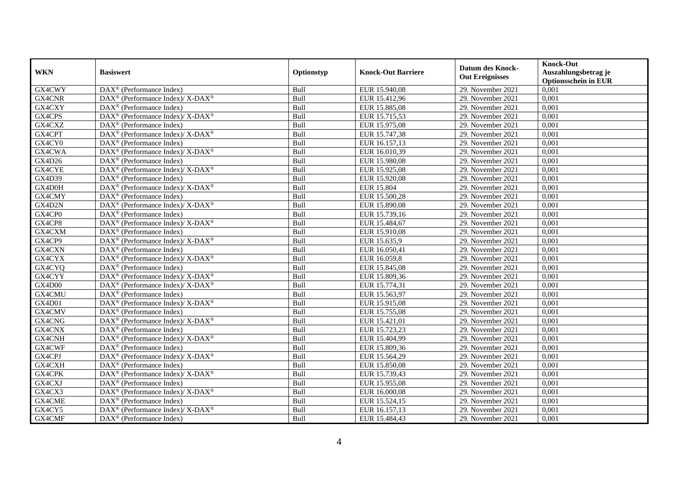| <b>WKN</b> | <b>Basiswert</b>                                                                        | Optionstyp | <b>Knock-Out Barriere</b> | <b>Datum des Knock-</b><br><b>Out Ereignisses</b> | <b>Knock-Out</b><br>Auszahlungsbetrag je<br><b>Optionsschein in EUR</b> |
|------------|-----------------------------------------------------------------------------------------|------------|---------------------------|---------------------------------------------------|-------------------------------------------------------------------------|
| GX4CWY     | $\overline{\text{DAX}^{\otimes}}$ (Performance Index)                                   | Bull       | EUR 15.940,08             | 29. November 2021                                 | 0,001                                                                   |
| GX4CNR     | DAX <sup>®</sup> (Performance Index)/ X-DAX <sup>®</sup>                                | Bull       | EUR 15.412,96             | 29. November 2021                                 | 0,001                                                                   |
| GX4CXY     | $DAX^{\circledR}$ (Performance Index)                                                   | Bull       | EUR 15.885,08             | 29. November 2021                                 | 0,001                                                                   |
| GX4CPS     | DAX <sup>®</sup> (Performance Index)/X-DAX <sup>®</sup>                                 | Bull       | EUR 15.715,53             | 29. November 2021                                 | 0,001                                                                   |
| GX4CXZ     | DAX <sup>®</sup> (Performance Index)                                                    | Bull       | EUR 15.975,08             | 29. November 2021                                 | 0,001                                                                   |
| GX4CPT     | DAX <sup>®</sup> (Performance Index)/X-DAX <sup>®</sup>                                 | Bull       | EUR 15.747,38             | 29. November 2021                                 | 0,001                                                                   |
| GX4CY0     | $DAX^{\circledast}$ (Performance Index)                                                 | Bull       | EUR 16.157,13             | 29. November 2021                                 | 0,001                                                                   |
| GX4CWA     | DAX <sup>®</sup> (Performance Index)/X-DAX <sup>®</sup>                                 | Bull       | EUR 16.010,39             | 29. November 2021                                 | 0,001                                                                   |
| GX4D26     | $DAX^{\circledR}$ (Performance Index)                                                   | Bull       | EUR 15.980,08             | 29. November 2021                                 | 0,001                                                                   |
| GX4CYE     | DAX <sup>®</sup> (Performance Index)/ X-DAX <sup>®</sup>                                | Bull       | EUR 15.925,08             | 29. November 2021                                 | 0,001                                                                   |
| GX4D39     | $\overline{\text{DAX}}^{\textcirc}$ (Performance Index)                                 | Bull       | EUR 15.920,08             | 29. November 2021                                 | 0,001                                                                   |
| GX4D0H     | DAX <sup>®</sup> (Performance Index)/X-DAX <sup>®</sup>                                 | Bull       | <b>EUR 15.804</b>         | 29. November 2021                                 | 0,001                                                                   |
| GX4CMY     | $DAX^{\circledast}$ (Performance Index)                                                 | Bull       | EUR 15.500,28             | 29. November 2021                                 | 0,001                                                                   |
| GX4D2N     | DAX <sup>®</sup> (Performance Index)/ X-DAX <sup>®</sup>                                | Bull       | EUR 15.890,08             | 29. November 2021                                 | 0,001                                                                   |
| GX4CP0     | DAX <sup>®</sup> (Performance Index)                                                    | Bull       | EUR 15.739,16             | 29. November 2021                                 | 0,001                                                                   |
| GX4CP8     | $\text{DAX}^{\circledast}$ (Performance Index)/ $\overline{\text{X-DAX}^{\circledast}}$ | Bull       | EUR 15.484,67             | 29. November 2021                                 | 0,001                                                                   |
| GX4CXM     | DAX <sup>®</sup> (Performance Index)                                                    | Bull       | EUR 15.910,08             | 29. November 2021                                 | 0,001                                                                   |
| GX4CP9     | $\text{DAX}^{\circledast}$ (Performance Index)/ $\overline{\text{X-DAX}^{\circledast}}$ | Bull       | EUR 15.635,9              | 29. November 2021                                 | 0,001                                                                   |
| GX4CXN     | $DAX^{\circledast}$ (Performance Index)                                                 | Bull       | EUR 16.050,41             | 29. November 2021                                 | 0,001                                                                   |
| GX4CYX     | DAX <sup>®</sup> (Performance Index)/ X-DAX <sup>®</sup>                                | Bull       | EUR 16.059,8              | 29. November 2021                                 | 0,001                                                                   |
| GX4CYQ     | DAX <sup>®</sup> (Performance Index)                                                    | Bull       | EUR 15.845,08             | $29.$ November 2021                               | 0,001                                                                   |
| GX4CYY     | DAX <sup>®</sup> (Performance Index)/X-DAX <sup>®</sup>                                 | Bull       | EUR 15.809,36             | 29. November 2021                                 | 0,001                                                                   |
| GX4D00     | $DAX^{\circledast}$ (Performance Index)/ X-DAX <sup>®</sup>                             | Bull       | EUR 15.774,31             | 29. November 2021                                 | 0,001                                                                   |
| GX4CMU     | DAX <sup>®</sup> (Performance Index)                                                    | Bull       | EUR 15.563,97             | 29. November 2021                                 | 0,001                                                                   |
| GX4D01     | $DAX^{\circledast}$ (Performance Index)/ X-DAX <sup>®</sup>                             | Bull       | EUR 15.915,08             | 29. November 2021                                 | 0,001                                                                   |
| GX4CMV     | $DAX^{\circledast}$ (Performance Index)                                                 | Bull       | EUR 15.755,08             | 29. November 2021                                 | 0,001                                                                   |
| GX4CNG     | DAX <sup>®</sup> (Performance Index)/X-DAX <sup>®</sup>                                 | Bull       | EUR 15.421,01             | 29. November 2021                                 | 0,001                                                                   |
| GX4CNX     | $DAX^{\circledR}$ (Performance Index)                                                   | Bull       | EUR 15.723,23             | 29. November 2021                                 | 0,001                                                                   |
| GX4CNH     | DAX <sup>®</sup> (Performance Index)/ X-DAX <sup>®</sup>                                | Bull       | EUR 15.404,99             | 29. November 2021                                 | 0,001                                                                   |
| GX4CWF     | DAX <sup>®</sup> (Performance Index)                                                    | Bull       | EUR 15.809,36             | 29. November 2021                                 | 0,001                                                                   |
| GX4CPJ     | DAX <sup>®</sup> (Performance Index)/ X-DAX <sup>®</sup>                                | Bull       | EUR 15.564,29             | 29. November 2021                                 | 0,001                                                                   |
| GX4CXH     | DAX <sup>®</sup> (Performance Index)                                                    | Bull       | EUR 15.850,08             | 29. November 2021                                 | 0,001                                                                   |
| GX4CPK     | DAX <sup>®</sup> (Performance Index)/X-DAX <sup>®</sup>                                 | Bull       | EUR 15.739,43             | 29. November 2021                                 | 0,001                                                                   |
| GX4CXJ     | DAX <sup>®</sup> (Performance Index)                                                    | Bull       | EUR 15.955,08             | 29. November 2021                                 | 0,001                                                                   |
| GX4CX3     | DAX <sup>®</sup> (Performance Index)/X-DAX <sup>®</sup>                                 | Bull       | EUR 16.000,08             | 29. November 2021                                 | 0,001                                                                   |
| GX4CME     | $DAX^{\circledast}$ (Performance Index)                                                 | Bull       | EUR 15.524,15             | 29. November 2021                                 | 0,001                                                                   |
| GX4CY5     | DAX <sup>®</sup> (Performance Index)/ X-DAX <sup>®</sup>                                | Bull       | EUR 16.157,13             | 29. November 2021                                 | 0,001                                                                   |
| GX4CMF     | $DAX^{\circledast}$ (Performance Index)                                                 | Bull       | EUR 15.484,43             | 29. November 2021                                 | 0,001                                                                   |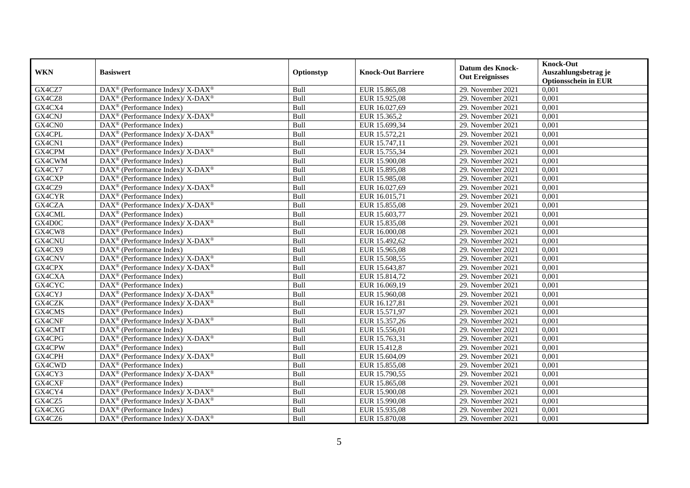| <b>WKN</b>    | <b>Basiswert</b>                                                                        | Optionstyp | <b>Knock-Out Barriere</b> | <b>Datum des Knock-</b><br><b>Out Ereignisses</b> | <b>Knock-Out</b><br>Auszahlungsbetrag je<br><b>Optionsschein in EUR</b> |
|---------------|-----------------------------------------------------------------------------------------|------------|---------------------------|---------------------------------------------------|-------------------------------------------------------------------------|
| GX4CZ7        | $\text{DAX}^{\circledR}$ (Performance Index)/ X-DAX <sup>®</sup>                        | Bull       | EUR 15.865,08             | 29. November 2021                                 | 0,001                                                                   |
| GX4CZ8        | $\text{DAX}^{\circledR}$ (Performance Index)/ X-DAX <sup>®</sup>                        | Bull       | EUR 15.925,08             | 29. November 2021                                 | 0,001                                                                   |
| GX4CX4        | DAX <sup>®</sup> (Performance Index)                                                    | Bull       | EUR 16.027,69             | 29. November 2021                                 | 0,001                                                                   |
| GX4CNJ        | DAX <sup>®</sup> (Performance Index)/ X-DAX <sup>®</sup>                                | Bull       | EUR 15.365,2              | 29. November 2021                                 | 0,001                                                                   |
| GX4CN0        | DAX <sup>®</sup> (Performance Index)                                                    | Bull       | EUR 15.699,34             | 29. November 2021                                 | 0,001                                                                   |
| GX4CPL        | $DAX^{\circledast}$ (Performance Index)/ X-DAX <sup>®</sup>                             | Bull       | EUR 15.572,21             | 29. November 2021                                 | 0,001                                                                   |
| GX4CN1        | $\overline{\text{DAX}}^{\textcircled{}}$ (Performance Index)                            | Bull       | EUR 15.747,11             | 29. November 2021                                 | 0,001                                                                   |
| GX4CPM        | DAX <sup>®</sup> (Performance Index)/ X-DAX <sup>®</sup>                                | Bull       | EUR 15.755,34             | 29. November 2021                                 | 0,001                                                                   |
| GX4CWM        | $DAX^{\circledR}$ (Performance Index)                                                   | Bull       | EUR 15.900,08             | 29. November 2021                                 | 0,001                                                                   |
| GX4CY7        | DAX <sup>®</sup> (Performance Index)/ X-DAX <sup>®</sup>                                | Bull       | EUR 15.895,08             | 29. November 2021                                 | 0,001                                                                   |
| GX4CXP        | $\text{DAX}^{\circledast}$ (Performance Index)                                          | Bull       | EUR 15.985,08             | 29. November 2021                                 | 0,001                                                                   |
| GX4CZ9        | DAX <sup>®</sup> (Performance Index)/ X-DAX <sup>®</sup>                                | Bull       | EUR 16.027,69             | 29. November 2021                                 | 0,001                                                                   |
| GX4CYR        | $\text{DAX}^{\circledast}$ (Performance Index)                                          | Bull       | EUR 16.015,71             | 29. November 2021                                 | 0,001                                                                   |
| GX4CZA        | $\text{DAX}^{\otimes}$ (Performance Index)/X-DAX <sup>®</sup>                           | Bull       | EUR 15.855,08             | 29. November 2021                                 | 0,001                                                                   |
| GX4CML        | DAX <sup>®</sup> (Performance Index)                                                    | Bull       | EUR 15.603,77             | 29. November 2021                                 | 0,001                                                                   |
| GX4D0C        | $\text{DAX}^{\circledast}$ (Performance Index)/X-DAX <sup>®</sup>                       | Bull       | EUR 15.835,08             | 29. November 2021                                 | 0,001                                                                   |
| GX4CW8        | $\text{DAX}^{\textcircled{p}}$ (Performance Index)                                      | Bull       | EUR 16.000,08             | 29. November 2021                                 | 0,001                                                                   |
| <b>GX4CNU</b> | DAX <sup>®</sup> (Performance Index)/ X-DAX <sup>®</sup>                                | Bull       | EUR 15.492,62             | 29. November 2021                                 | 0,001                                                                   |
| GX4CX9        | $\text{DAX}^{\textcircled{n}}$ (Performance Index)                                      | Bull       | EUR 15.965,08             | 29. November 2021                                 | 0,001                                                                   |
| GX4CNV        | DAX <sup>®</sup> (Performance Index)/ X-DAX <sup>®</sup>                                | Bull       | EUR 15.508,55             | 29. November 2021                                 | 0,001                                                                   |
| GX4CPX        | $\text{DAX}^{\circledast}$ (Performance Index)/ X-DAX <sup>®</sup>                      | Bull       | EUR 15.643,87             | 29. November 2021                                 | 0,001                                                                   |
| GX4CXA        | $\overline{\text{DAX}^{\otimes}}$ (Performance Index)                                   | Bull       | EUR 15.814,72             | 29. November 2021                                 | 0,001                                                                   |
| GX4CYC        | DAX <sup>®</sup> (Performance Index)                                                    | Bull       | EUR 16.069,19             | 29. November 2021                                 | 0,001                                                                   |
| GX4CYJ        | DAX <sup>®</sup> (Performance Index)/ X-DAX <sup>®</sup>                                | Bull       | EUR 15.960,08             | 29. November 2021                                 | 0,001                                                                   |
| GX4CZK        | $DAX^{\circledcirc}$ (Performance Index)/X-DAX <sup>®</sup>                             | Bull       | EUR 16.127,81             | 29. November 2021                                 | 0,001                                                                   |
| GX4CMS        | $\text{DAX}^{\textcircled{n}}$ (Performance Index)                                      | Bull       | EUR 15.571,97             | 29. November 2021                                 | 0,001                                                                   |
| GX4CNF        | $\text{DAX}^{\circledast}$ (Performance Index)/ $\overline{\text{X-DAX}^{\circledast}}$ | Bull       | EUR 15.357,26             | 29. November 2021                                 | 0,001                                                                   |
| GX4CMT        | $\text{DAX}^{\circledast}$ (Performance Index)                                          | Bull       | EUR 15.556,01             | 29. November 2021                                 | 0,001                                                                   |
| GX4CPG        | DAX <sup>®</sup> (Performance Index)/ X-DAX <sup>®</sup>                                | Bull       | EUR 15.763,31             | 29. November 2021                                 | 0,001                                                                   |
| GX4CPW        | $DAX^{\circledR}$ (Performance Index)                                                   | Bull       | EUR 15.412,8              | 29. November 2021                                 | 0,001                                                                   |
| GX4CPH        | DAX <sup>®</sup> (Performance Index)/ X-DAX <sup>®</sup>                                | Bull       | EUR 15.604,09             | 29. November 2021                                 | 0,001                                                                   |
| GX4CWD        | $\text{DAX}^{\textcircled{p}}$ (Performance Index)                                      | Bull       | EUR 15.855,08             | 29. November 2021                                 | 0,001                                                                   |
| GX4CY3        | DAX <sup>®</sup> (Performance Index)/X-DAX <sup>®</sup>                                 | Bull       | EUR 15.790,55             | 29. November 2021                                 | 0,001                                                                   |
| GX4CXF        | $\overline{\text{DAX}^{\textcircled{a}}}$ (Performance Index)                           | Bull       | EUR 15.865,08             | 29. November 2021                                 | 0,001                                                                   |
| GX4CY4        | DAX <sup>®</sup> (Performance Index)/ X-DAX <sup>®</sup>                                | Bull       | EUR 15.900,08             | 29. November 2021                                 | 0,001                                                                   |
| GX4CZ5        | $\text{DAX}^{\otimes}$ (Performance Index)/X-DAX <sup>®</sup>                           | Bull       | EUR 15.990,08             | 29. November 2021                                 | 0,001                                                                   |
| GX4CXG        | $\text{DAX}^{\otimes}$ (Performance Index)                                              | Bull       | EUR 15.935,08             | 29. November 2021                                 | 0,001                                                                   |
| GX4CZ6        | $\text{DAX}^{\otimes}$ (Performance Index)/X-DAX <sup>®</sup>                           | Bull       | EUR 15.870,08             | 29. November 2021                                 | 0,001                                                                   |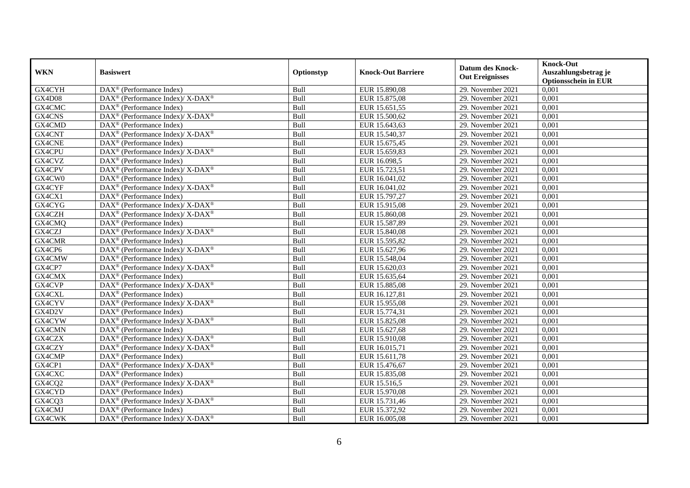| <b>WKN</b>    | <b>Basiswert</b>                                                                        | Optionstyp | <b>Knock-Out Barriere</b> | <b>Datum des Knock-</b><br><b>Out Ereignisses</b> | <b>Knock-Out</b><br>Auszahlungsbetrag je<br><b>Optionsschein in EUR</b> |
|---------------|-----------------------------------------------------------------------------------------|------------|---------------------------|---------------------------------------------------|-------------------------------------------------------------------------|
| GX4CYH        | DAX <sup>®</sup> (Performance Index)                                                    | Bull       | EUR 15.890,08             | 29. November 2021                                 | 0,001                                                                   |
| <b>GX4D08</b> | DAX <sup>®</sup> (Performance Index)/ X-DAX <sup>®</sup>                                | Bull       | EUR 15.875,08             | 29. November 2021                                 | 0,001                                                                   |
| GX4CMC        | $DAX^{\circledast}$ (Performance Index)                                                 | Bull       | EUR 15.651,55             | 29. November 2021                                 | 0,001                                                                   |
| GX4CNS        | DAX <sup>®</sup> (Performance Index)/X-DAX <sup>®</sup>                                 | Bull       | EUR 15.500,62             | 29. November 2021                                 | 0,001                                                                   |
| GX4CMD        | DAX <sup>®</sup> (Performance Index)                                                    | Bull       | EUR 15.643,63             | 29. November 2021                                 | 0,001                                                                   |
| GX4CNT        | DAX <sup>®</sup> (Performance Index)/X-DAX <sup>®</sup>                                 | Bull       | EUR 15.540,37             | 29. November 2021                                 | 0,001                                                                   |
| <b>GX4CNE</b> | $DAX^{\circledR}$ (Performance Index)                                                   | Bull       | EUR 15.675,45             | 29. November 2021                                 | 0,001                                                                   |
| GX4CPU        | $\text{DAX}^{\circledast}$ (Performance Index)/ $\overline{\text{X-DAX}^{\circledast}}$ | Bull       | EUR 15.659,83             | 29. November 2021                                 | 0,001                                                                   |
| GX4CVZ        | $DAX^{\circledR}$ (Performance Index)                                                   | Bull       | EUR 16.098,5              | 29. November 2021                                 | 0,001                                                                   |
| GX4CPV        | DAX <sup>®</sup> (Performance Index)/ X-DAX <sup>®</sup>                                | Bull       | EUR 15.723,51             | 29. November 2021                                 | 0,001                                                                   |
| GX4CW0        | DAX <sup>®</sup> (Performance Index)                                                    | Bull       | EUR 16.041,02             | 29. November 2021                                 | 0,001                                                                   |
| GX4CYF        | DAX <sup>®</sup> (Performance Index)/ X-DAX <sup>®</sup>                                | Bull       | EUR 16.041,02             | 29. November 2021                                 | 0,001                                                                   |
| GX4CX1        | $DAX^{\circledast}$ (Performance Index)                                                 | Bull       | EUR 15.797,27             | 29. November 2021                                 | 0,001                                                                   |
| GX4CYG        | $DAX^{\circledcirc}$ (Performance Index)/ X-DAX <sup>®</sup>                            | Bull       | EUR 15.915,08             | 29. November 2021                                 | 0,001                                                                   |
| GX4CZH        | DAX <sup>®</sup> (Performance Index)/ X-DAX <sup>®</sup>                                | Bull       | EUR 15.860,08             | 29. November 2021                                 | 0,001                                                                   |
| GX4CMQ        | DAX <sup>®</sup> (Performance Index)                                                    | Bull       | EUR 15.587,89             | 29. November 2021                                 | 0,001                                                                   |
| GX4CZJ        | DAX <sup>®</sup> (Performance Index)/ X-DAX <sup>®</sup>                                | Bull       | EUR 15.840,08             | 29. November 2021                                 | 0,001                                                                   |
| GX4CMR        | $\overline{\text{DAX}^{\otimes}}$ (Performance Index)                                   | Bull       | EUR 15.595,82             | 29. November 2021                                 | 0,001                                                                   |
| GX4CP6        | $DAX^{\circledast}$ (Performance Index)/X-DAX <sup>®</sup>                              | Bull       | EUR 15.627,96             | 29. November 2021                                 | 0,001                                                                   |
| GX4CMW        | $DAX^{\circledast}$ (Performance Index)                                                 | Bull       | EUR 15.548,04             | 29. November 2021                                 | 0,001                                                                   |
| GX4CP7        | DAX <sup>®</sup> (Performance Index)/ X-DAX <sup>®</sup>                                | Bull       | EUR 15.620,03             | 29. November 2021                                 | 0,001                                                                   |
| GX4CMX        | $DAX^{\circledR}$ (Performance Index)                                                   | Bull       | EUR 15.635,64             | 29. November 2021                                 | 0,001                                                                   |
| GX4CVP        | DAX <sup>®</sup> (Performance Index)/ X-DAX <sup>®</sup>                                | Bull       | EUR 15.885,08             | 29. November 2021                                 | 0,001                                                                   |
| GX4CXL        | $DAX^{\circledast}$ (Performance Index)                                                 | Bull       | EUR 16.127,81             | 29. November 2021                                 | 0,001                                                                   |
| GX4CYV        | DAX <sup>®</sup> (Performance Index)/X-DAX <sup>®</sup>                                 | Bull       | EUR 15.955,08             | 29. November 2021                                 | 0,001                                                                   |
| GX4D2V        | DAX <sup>®</sup> (Performance Index)                                                    | Bull       | EUR 15.774,31             | 29. November 2021                                 | 0,001                                                                   |
| GX4CYW        | DAX <sup>®</sup> (Performance Index)/X-DAX <sup>®</sup>                                 | Bull       | EUR 15.825,08             | 29. November 2021                                 | 0,001                                                                   |
| GX4CMN        | $\overline{\text{DAX}^{\otimes}}$ (Performance Index)                                   | Bull       | EUR 15.627,68             | 29. November 2021                                 | 0,001                                                                   |
| GX4CZX        | DAX <sup>®</sup> (Performance Index)/ X-DAX <sup>®</sup>                                | Bull       | EUR 15.910,08             | 29. November 2021                                 | 0,001                                                                   |
| GX4CZY        | $DAX^{\circledcirc}$ (Performance Index)/ X-DAX <sup>®</sup>                            | Bull       | EUR 16.015,71             | 29. November 2021                                 | 0,001                                                                   |
| GX4CMP        | $DAX^{\circledast}$ (Performance Index)                                                 | Bull       | EUR 15.611,78             | 29. November 2021                                 | 0,001                                                                   |
| GX4CP1        | $\text{DAX}^{\circledast}$ (Performance Index)/ $\overline{\text{X-DAX}^{\circledast}}$ | Bull       | EUR 15.476,67             | 29. November 2021                                 | 0,001                                                                   |
| GX4CXC        | $DAX^{\circledast}$ (Performance Index)                                                 | Bull       | EUR 15.835,08             | 29. November 2021                                 | 0,001                                                                   |
| GX4CQ2        | DAX <sup>®</sup> (Performance Index)/ X-DAX <sup>®</sup>                                | Bull       | EUR 15.516,5              | 29. November 2021                                 | 0,001                                                                   |
| GX4CYD        | DAX <sup>®</sup> (Performance Index)                                                    | Bull       | EUR 15.970,08             | 29. November 2021                                 | 0,001                                                                   |
| GX4CQ3        | $DAX^{\circledast}$ (Performance Index)/X-DAX <sup>®</sup>                              | Bull       | EUR 15.731,46             | 29. November 2021                                 | 0,001                                                                   |
| GX4CMJ        | $DAX^{\circledast}$ (Performance Index)                                                 | Bull       | EUR 15.372,92             | 29. November 2021                                 | 0,001                                                                   |
| GX4CWK        | $DAX^{\circledast}$ (Performance Index)/X-DAX <sup>®</sup>                              | Bull       | EUR 16.005,08             | 29. November 2021                                 | 0,001                                                                   |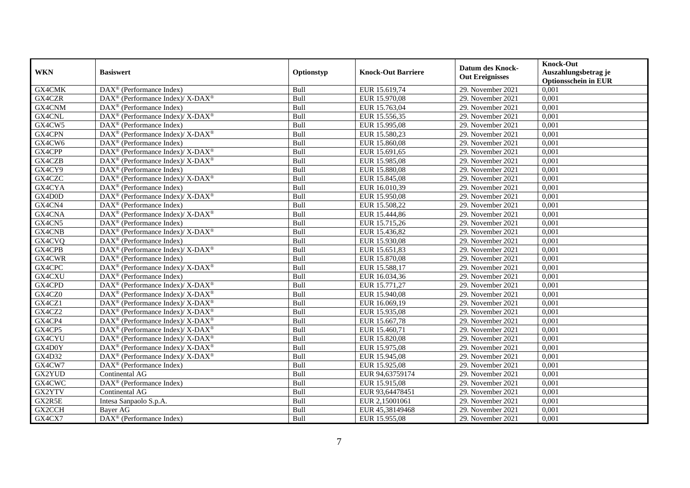| <b>WKN</b> | <b>Basiswert</b>                                                                        | Optionstyp | <b>Knock-Out Barriere</b> | <b>Datum des Knock-</b><br><b>Out Ereignisses</b> | <b>Knock-Out</b><br>Auszahlungsbetrag je<br><b>Optionsschein in EUR</b> |
|------------|-----------------------------------------------------------------------------------------|------------|---------------------------|---------------------------------------------------|-------------------------------------------------------------------------|
| GX4CMK     | $\overline{\text{DAX}^{\otimes}}$ (Performance Index)                                   | Bull       | EUR 15.619,74             | 29. November 2021                                 | 0,001                                                                   |
| GX4CZR     | DAX <sup>®</sup> (Performance Index)/ X-DAX <sup>®</sup>                                | Bull       | EUR 15.970,08             | 29. November 2021                                 | 0,001                                                                   |
| GX4CNM     | $DAX^{\circledR}$ (Performance Index)                                                   | Bull       | EUR 15.763,04             | 29. November 2021                                 | 0,001                                                                   |
| GX4CNL     | DAX <sup>®</sup> (Performance Index)/X-DAX <sup>®</sup>                                 | Bull       | EUR 15.556,35             | 29. November 2021                                 | 0,001                                                                   |
| GX4CW5     | DAX <sup>®</sup> (Performance Index)                                                    | Bull       | EUR 15.995,08             | 29. November 2021                                 | 0,001                                                                   |
| GX4CPN     | DAX <sup>®</sup> (Performance Index)/X-DAX <sup>®</sup>                                 | Bull       | EUR 15.580,23             | 29. November 2021                                 | 0,001                                                                   |
| GX4CW6     | $DAX^{\circledast}$ (Performance Index)                                                 | Bull       | EUR 15.860,08             | 29. November 2021                                 | 0,001                                                                   |
| GX4CPP     | $\text{DAX}^{\circledast}$ (Performance Index)/ $\overline{\text{X-DAX}^{\circledast}}$ | Bull       | EUR 15.691,65             | 29. November 2021                                 | 0,001                                                                   |
| GX4CZB     | DAX <sup>®</sup> (Performance Index)/ X-DAX <sup>®</sup>                                | Bull       | EUR 15.985,08             | 29. November 2021                                 | 0,001                                                                   |
| GX4CY9     | $DAX^{\circledast}$ (Performance Index)                                                 | Bull       | EUR 15.880,08             | 29. November 2021                                 | 0,001                                                                   |
| GX4CZC     | DAX <sup>®</sup> (Performance Index)/X-DAX <sup>®</sup>                                 | Bull       | EUR 15.845,08             | 29. November 2021                                 | 0,001                                                                   |
| GX4CYA     | $\overline{\text{DAX}^{\otimes}}$ (Performance Index)                                   | Bull       | EUR 16.010,39             | 29. November 2021                                 | 0,001                                                                   |
| GX4D0D     | DAX <sup>®</sup> (Performance Index)/ X-DAX <sup>®</sup>                                | Bull       | EUR 15.950,08             | 29. November 2021                                 | 0,001                                                                   |
| GX4CN4     | $DAX^{\circledR}$ (Performance Index)                                                   | Bull       | EUR 15.508,22             | 29. November 2021                                 | 0,001                                                                   |
| GX4CNA     | DAX <sup>®</sup> (Performance Index)/X-DAX <sup>®</sup>                                 | Bull       | EUR 15.444,86             | 29. November 2021                                 | 0,001                                                                   |
| GX4CN5     | DAX <sup>®</sup> (Performance Index)                                                    | Bull       | EUR 15.715,26             | 29. November 2021                                 | 0,001                                                                   |
| GX4CNB     | DAX <sup>®</sup> (Performance Index)/X-DAX <sup>®</sup>                                 | Bull       | EUR 15.436,82             | 29. November 2021                                 | 0,001                                                                   |
| GX4CVQ     | $DAX^{\circledR}$ (Performance Index)                                                   | Bull       | EUR 15.930.08             | 29. November 2021                                 | 0,001                                                                   |
| GX4CPB     | DAX <sup>®</sup> (Performance Index)/ X-DAX <sup>®</sup>                                | Bull       | EUR 15.651,83             | 29. November 2021                                 | 0,001                                                                   |
| GX4CWR     | $\overline{\text{DAX}}^{\textcirc}$ (Performance Index)                                 | Bull       | EUR 15.870,08             | 29. November 2021                                 | 0,001                                                                   |
| GX4CPC     | DAX <sup>®</sup> (Performance Index)/X-DAX <sup>®</sup>                                 | Bull       | EUR 15.588,17             | 29. November 2021                                 | 0,001                                                                   |
| GX4CXU     | $DAX^{\circledast}$ (Performance Index)                                                 | Bull       | EUR 16.034,36             | 29. November 2021                                 | 0,001                                                                   |
| GX4CPD     | DAX <sup>®</sup> (Performance Index)/ X-DAX <sup>®</sup>                                | Bull       | EUR 15.771,27             | 29. November 2021                                 | 0,001                                                                   |
| GX4CZ0     | DAX <sup>®</sup> (Performance Index)/X-DAX <sup>®</sup>                                 | Bull       | EUR 15.940,08             | 29. November 2021                                 | 0,001                                                                   |
| GX4CZ1     | $DAX^{\circledast}$ (Performance Index)/ X-DAX <sup>®</sup>                             | Bull       | EUR 16.069,19             | 29. November 2021                                 | 0,001                                                                   |
| GX4CZ2     | DAX <sup>®</sup> (Performance Index)/ X-DAX <sup>®</sup>                                | Bull       | EUR 15.935,08             | 29. November 2021                                 | 0,001                                                                   |
| GX4CP4     | DAX <sup>®</sup> (Performance Index)/X-DAX <sup>®</sup>                                 | Bull       | EUR 15.667,78             | 29. November 2021                                 | 0,001                                                                   |
| GX4CP5     | $DAX^{\circledcirc}$ (Performance Index)/ X-DAX <sup>®</sup>                            | Bull       | EUR 15.460,71             | 29. November 2021                                 | 0,001                                                                   |
| GX4CYU     | DAX <sup>®</sup> (Performance Index)/X-DAX <sup>®</sup>                                 | Bull       | EUR 15.820,08             | 29. November 2021                                 | 0,001                                                                   |
| GX4D0Y     | DAX <sup>®</sup> (Performance Index)/X-DAX <sup>®</sup>                                 | Bull       | EUR 15.975,08             | 29. November 2021                                 | 0,001                                                                   |
| GX4D32     | DAX <sup>®</sup> (Performance Index)/ X-DAX <sup>®</sup>                                | Bull       | EUR 15.945,08             | 29. November 2021                                 | 0,001                                                                   |
| GX4CW7     | DAX <sup>®</sup> (Performance Index)                                                    | Bull       | EUR 15.925,08             | 29. November 2021                                 | 0,001                                                                   |
| GX2YUD     | Continental AG                                                                          | Bull       | EUR 94,63759174           | 29. November 2021                                 | $0,\overline{001}$                                                      |
| GX4CWC     | DAX <sup>®</sup> (Performance Index)                                                    | Bull       | EUR 15.915,08             | 29. November 2021                                 | 0,001                                                                   |
| GX2YTV     | Continental AG                                                                          | Bull       | EUR 93,64478451           | 29. November 2021                                 | 0,001                                                                   |
| GX2R5E     | Intesa Sanpaolo S.p.A.                                                                  | Bull       | EUR 2,15001061            | 29. November 2021                                 | 0,001                                                                   |
| GX2CCH     | Bayer AG                                                                                | Bull       | EUR 45,38149468           | 29. November 2021                                 | 0,001                                                                   |
| GX4CX7     | DAX <sup>®</sup> (Performance Index)                                                    | Bull       | EUR 15.955,08             | 29. November 2021                                 | 0,001                                                                   |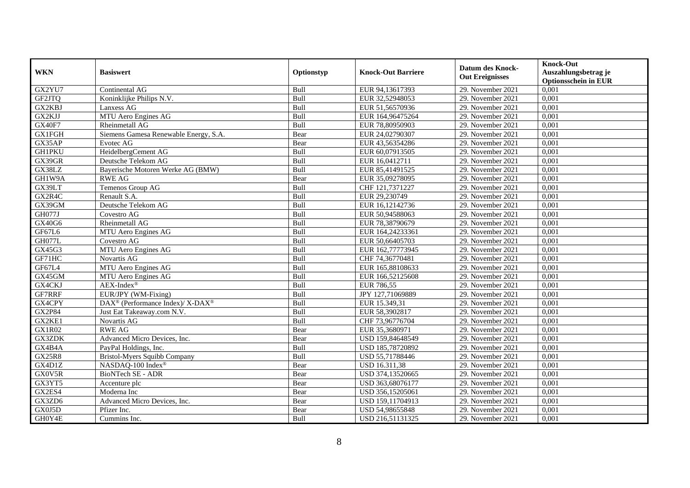| <b>WKN</b>    | <b>Basiswert</b>                                        | Optionstyp | <b>Knock-Out Barriere</b> | <b>Datum des Knock-</b><br><b>Out Ereignisses</b> | <b>Knock-Out</b><br>Auszahlungsbetrag je<br><b>Optionsschein in EUR</b> |
|---------------|---------------------------------------------------------|------------|---------------------------|---------------------------------------------------|-------------------------------------------------------------------------|
| GX2YU7        | Continental AG                                          | Bull       | EUR 94,13617393           | 29. November 2021                                 | 0,001                                                                   |
| GF2JTQ        | Koninklijke Philips N.V.                                | Bull       | EUR 32,52948053           | 29. November 2021                                 | 0,001                                                                   |
| GX2KBJ        | Lanxess AG                                              | Bull       | EUR 51,56570936           | 29. November 2021                                 | 0,001                                                                   |
| GX2KJJ        | MTU Aero Engines AG                                     | Bull       | EUR 164,96475264          | 29. November 2021                                 | 0,001                                                                   |
| <b>GX40F7</b> | Rheinmetall AG                                          | Bull       | EUR 78,80950903           | 29. November 2021                                 | 0,001                                                                   |
| <b>GX1FGH</b> | Siemens Gamesa Renewable Energy, S.A.                   | Bear       | EUR 24,02790307           | 29. November 2021                                 | 0,001                                                                   |
| GX35AP        | Evotec AG                                               | Bear       | EUR 43,56354286           | 29. November 2021                                 | 0,001                                                                   |
| <b>GH1PKU</b> | HeidelbergCement AG                                     | Bull       | EUR 60,07913505           | 29. November 2021                                 | 0,001                                                                   |
| GX39GR        | Deutsche Telekom AG                                     | Bull       | EUR 16,0412711            | 29. November 2021                                 | 0,001                                                                   |
| GX38LZ        | Bayerische Motoren Werke AG (BMW)                       | Bull       | EUR 85,41491525           | 29. November 2021                                 | 0,001                                                                   |
| GH1W9A        | <b>RWE AG</b>                                           | Bear       | EUR 35,09278095           | 29. November 2021                                 | 0,001                                                                   |
| GX39LT        | Temenos Group AG                                        | Bull       | CHF 121,7371227           | 29. November 2021                                 | 0,001                                                                   |
| GX2R4C        | Renault S.A.                                            | Bull       | EUR 29,230749             | 29. November 2021                                 | 0,001                                                                   |
| GX39GM        | Deutsche Telekom AG                                     | Bull       | EUR 16,12142736           | 29. November 2021                                 | 0,001                                                                   |
| <b>GH077J</b> | Covestro AG                                             | Bull       | EUR 50,94588063           | 29. November 2021                                 | 0,001                                                                   |
| GX40G6        | <b>Rheinmetall AG</b>                                   | Bull       | EUR 78,38790679           | 29. November 2021                                 | 0,001                                                                   |
| GF67L6        | MTU Aero Engines AG                                     | Bull       | EUR 164,24233361          | 29. November 2021                                 | 0,001                                                                   |
| GH077L        | Covestro AG                                             | Bull       | EUR 50,66405703           | 29. November 2021                                 | 0,001                                                                   |
| GX45G3        | MTU Aero Engines AG                                     | Bull       | EUR 162,77773945          | 29. November 2021                                 | 0,001                                                                   |
| GF71HC        | Novartis AG                                             | Bull       | CHF 74,36770481           | 29. November 2021                                 | 0,001                                                                   |
| GF67L4        | MTU Aero Engines AG                                     | Bull       | EUR 165,88108633          | 29. November 2021                                 | 0,001                                                                   |
| GX45GM        | MTU Aero Engines AG                                     | Bull       | EUR 166,52125608          | 29. November 2021                                 | 0,001                                                                   |
| GX4CKJ        | $AEX-Index^{\circledR}$                                 | Bull       | EUR 786,55                | 29. November 2021                                 | 0,001                                                                   |
| GF7RRF        | EUR/JPY (WM-Fixing)                                     | Bull       | JPY 127,71069889          | 29. November 2021                                 | 0,001                                                                   |
| GX4CPY        | DAX <sup>®</sup> (Performance Index)/X-DAX <sup>®</sup> | Bull       | EUR 15.349,31             | 29. November 2021                                 | 0,001                                                                   |
| <b>GX2P84</b> | Just Eat Takeaway.com N.V.                              | Bull       | EUR 58,3902817            | 29. November 2021                                 | 0,001                                                                   |
| GX2KE1        | Novartis AG                                             | Bull       | CHF 73,96776704           | 29. November 2021                                 | 0,001                                                                   |
| <b>GX1R02</b> | <b>RWE AG</b>                                           | Bear       | EUR 35,3680971            | 29. November 2021                                 | 0,001                                                                   |
| GX3ZDK        | Advanced Micro Devices, Inc.                            | Bear       | USD 159,84648549          | 29. November 2021                                 | 0,001                                                                   |
| GX4B4A        | PayPal Holdings, Inc.                                   | Bull       | USD 185,78720892          | 29. November 2021                                 | 0.001                                                                   |
| <b>GX25R8</b> | <b>Bristol-Myers Squibb Company</b>                     | Bull       | USD 55,71788446           | 29. November 2021                                 | 0,001                                                                   |
| GX4D1Z        | NASDAQ-100 Index®                                       | Bear       | USD 16.311,38             | 29. November 2021                                 | 0,001                                                                   |
| GX0V5R        | <b>BioNTech SE - ADR</b>                                | Bear       | USD 374,13520665          | 29. November 2021                                 | 0,001                                                                   |
| GX3YT5        | Accenture plc                                           | Bear       | USD 363,68076177          | 29. November 2021                                 | 0,001                                                                   |
| GX2ES4        | Moderna Inc                                             | Bear       | USD 356,15205061          | 29. November 2021                                 | 0,001                                                                   |
| GX3ZD6        | Advanced Micro Devices, Inc.                            | Bear       | USD 159,11704913          | 29. November 2021                                 | 0,001                                                                   |
| GX0J5D        | Pfizer Inc.                                             | Bear       | USD 54,98655848           | 29. November 2021                                 | 0,001                                                                   |
| GH0Y4E        | Cummins Inc.                                            | Bull       | USD 216,51131325          | 29. November 2021                                 | 0,001                                                                   |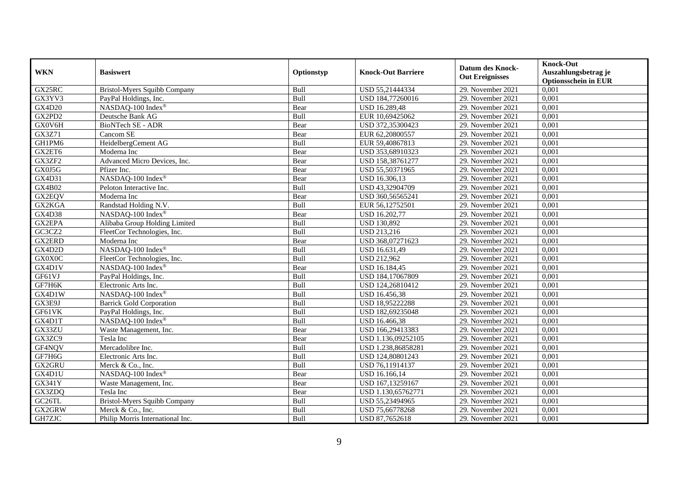| <b>WKN</b>         | <b>Basiswert</b>                    | Optionstyp | <b>Knock-Out Barriere</b> | <b>Datum des Knock-</b><br><b>Out Ereignisses</b> | <b>Knock-Out</b><br>Auszahlungsbetrag je<br><b>Optionsschein in EUR</b> |
|--------------------|-------------------------------------|------------|---------------------------|---------------------------------------------------|-------------------------------------------------------------------------|
| GX25RC             | <b>Bristol-Myers Squibb Company</b> | Bull       | USD 55,21444334           | 29. November 2021                                 | 0,001                                                                   |
| GX3YV3             | PayPal Holdings, Inc.               | Bull       | USD 184,77260016          | 29. November 2021                                 | 0,001                                                                   |
| GX4D20             | NASDAQ-100 Index®                   | Bear       | <b>USD 16.289,48</b>      | 29. November 2021                                 | 0,001                                                                   |
| GX2PD2             | Deutsche Bank AG                    | Bull       | EUR 10,69425062           | 29. November 2021                                 | 0,001                                                                   |
| GX0V6H             | BioNTech SE - ADR                   | Bear       | USD 372,35300423          | 29. November 2021                                 | 0,001                                                                   |
| GX3Z71             | Cancom SE                           | Bear       | EUR 62,20800557           | 29. November 2021                                 | 0,001                                                                   |
| GH1PM6             | HeidelbergCement AG                 | Bull       | EUR 59,40867813           | 29. November 2021                                 | 0,001                                                                   |
| GX2ET6             | Moderna Inc                         | Bear       | USD 353,68910323          | 29. November 2021                                 | 0,001                                                                   |
| GX3ZF2             | Advanced Micro Devices, Inc.        | Bear       | USD 158,38761277          | 29. November 2021                                 | 0,001                                                                   |
| GX0J5G             | Pfizer Inc.                         | Bear       | USD 55,50371965           | 29. November 2021                                 | 0,001                                                                   |
| GX4D31             | NASDAQ-100 Index®                   | Bear       | USD 16.306,13             | 29. November 2021                                 | 0,001                                                                   |
| <b>GX4B02</b>      | Peloton Interactive Inc.            | Bull       | USD 43,32904709           | 29. November 2021                                 | 0,001                                                                   |
| GX2EQV             | Moderna Inc                         | Bear       | USD 360,56565241          | 29. November 2021                                 | 0,001                                                                   |
| GX2KGA             | Randstad Holding N.V.               | Bull       | EUR 56,12752501           | 29. November 2021                                 | 0,001                                                                   |
| GX4D38             | NASDAQ-100 Index®                   | Bear       | USD 16.202,77             | 29. November 2021                                 | 0,001                                                                   |
| GX2EPA             | Alibaba Group Holding Limited       | Bull       | <b>USD 130,892</b>        | 29. November 2021                                 | 0,001                                                                   |
| GC3CZ2             | FleetCor Technologies, Inc.         | Bull       | <b>USD 213,216</b>        | 29. November 2021                                 | 0,001                                                                   |
| <b>GX2ERD</b>      | Moderna Inc                         | Bear       | USD 368,07271623          | 29. November 2021                                 | 0,001                                                                   |
| GX4D2D             | NASDAQ-100 Index®                   | Bull       | USD 16.631,49             | 29. November 2021                                 | 0,001                                                                   |
| GX0X0C             | FleetCor Technologies, Inc.         | Bull       | <b>USD 212,962</b>        | 29. November 2021                                 | 0,001                                                                   |
| GX4D1V             | NASDAQ-100 Index®                   | Bear       | USD 16.184,45             | 29. November 2021                                 | 0,001                                                                   |
| GF61VJ             | PayPal Holdings, Inc.               | Bull       | USD 184,17067809          | 29. November 2021                                 | $0,\overline{001}$                                                      |
| GF7H6K             | Electronic Arts Inc.                | Bull       | USD 124,26810412          | 29. November 2021                                 | 0,001                                                                   |
| GX4D1W             | NASDAQ-100 Index®                   | Bull       | USD 16.456,38             | 29. November 2021                                 | 0,001                                                                   |
| GX3E9J             | <b>Barrick Gold Corporation</b>     | Bull       | USD 18,95222288           | 29. November 2021                                 | 0,001                                                                   |
| GF61VK             | PayPal Holdings, Inc.               | Bull       | USD 182,69235048          | 29. November 2021                                 | 0,001                                                                   |
| GX4D1T             | NASDAQ-100 Index®                   | Bull       | USD 16.466,38             | 29. November 2021                                 | 0,001                                                                   |
| GX33ZU             | Waste Management, Inc.              | Bear       | USD 166,29413383          | 29. November 2021                                 | 0,001                                                                   |
| GX3ZC9             | Tesla Inc                           | Bear       | USD 1.136,09252105        | 29. November 2021                                 | 0,001                                                                   |
| GF4NQV             | Mercadolibre Inc.                   | Bull       | USD 1.238,86858281        | 29. November 2021                                 | 0,001                                                                   |
| GF7H6G             | Electronic Arts Inc.                | Bull       | USD 124,80801243          | 29. November 2021                                 | 0,001                                                                   |
| GX2GRU             | Merck & Co., Inc.                   | Bull       | USD 76,11914137           | 29. November 2021                                 | 0,001                                                                   |
| GX4D1U             | NASDAQ-100 Index®                   | Bear       | USD 16.166,14             | 29. November 2021                                 | 0,001                                                                   |
| <b>GX341Y</b>      | Waste Management, Inc.              | Bear       | USD 167,13259167          | 29. November 2021                                 | 0,001                                                                   |
| GX3ZDQ             | Tesla Inc                           | Bear       | USD 1.130,65762771        | 29. November 2021                                 | 0,001                                                                   |
| GC <sub>26TL</sub> | Bristol-Myers Squibb Company        | Bull       | USD 55,23494965           | 29. November 2021                                 | 0,001                                                                   |
| GX2GRW             | Merck & Co., Inc.                   | Bull       | USD 75,66778268           | 29. November 2021                                 | 0,001                                                                   |
| GH7ZJC             | Philip Morris International Inc.    | Bull       | USD 87,7652618            | 29. November 2021                                 | 0,001                                                                   |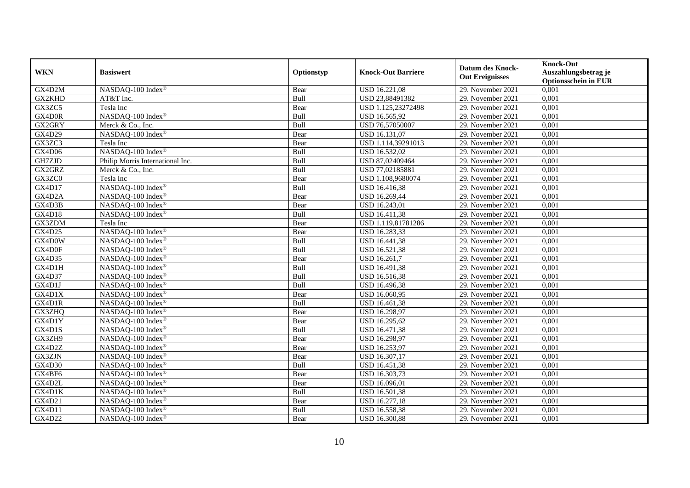| <b>WKN</b>    | <b>Basiswert</b>                 | Optionstyp  | <b>Knock-Out Barriere</b> | <b>Datum des Knock-</b><br><b>Out Ereignisses</b> | <b>Knock-Out</b><br>Auszahlungsbetrag je<br><b>Optionsschein in EUR</b> |
|---------------|----------------------------------|-------------|---------------------------|---------------------------------------------------|-------------------------------------------------------------------------|
| GX4D2M        | NASDAQ-100 Index®                | Bear        | <b>USD 16.221,08</b>      | 29. November 2021                                 | 0,001                                                                   |
| GX2KHD        | AT&T Inc.                        | Bull        | USD 23,88491382           | 29. November 2021                                 | 0,001                                                                   |
| GX3ZC5        | Tesla Inc                        | Bear        | USD 1.125,23272498        | 29. November 2021                                 | 0,001                                                                   |
| GX4D0R        | NASDAQ-100 Index®                | Bull        | USD 16.565,92             | 29. November 2021                                 | 0,001                                                                   |
| GX2GRY        | Merck & Co., Inc.                | Bull        | USD 76,57050007           | 29. November 2021                                 | 0,001                                                                   |
| GX4D29        | NASDAQ-100 Index®                | Bear        | USD 16.131,07             | 29. November 2021                                 | 0,001                                                                   |
| GX3ZC3        | Tesla Inc                        | Bear        | USD 1.114,39291013        | 29. November 2021                                 | 0,001                                                                   |
| <b>GX4D06</b> | NASDAQ-100 Index®                | Bull        | USD 16.532,02             | 29. November 2021                                 | 0,001                                                                   |
| GH7ZJD        | Philip Morris International Inc. | Bull        | USD 87,02409464           | 29. November 2021                                 | 0,001                                                                   |
| GX2GRZ        | Merck & Co., Inc.                | Bull        | USD 77,02185881           | 29. November 2021                                 | 0,001                                                                   |
| GX3ZC0        | Tesla Inc                        | Bear        | USD 1.108,9680074         | 29. November 2021                                 | 0,001                                                                   |
| GX4D17        | NASDAQ-100 Index®                | Bull        | USD 16.416,38             | 29. November 2021                                 | 0,001                                                                   |
| GX4D2A        | NASDAQ-100 Index®                | Bear        | USD 16.269,44             | 29. November 2021                                 | 0,001                                                                   |
| GX4D3B        | NASDAQ-100 Index®                | Bear        | USD 16.243,01             | 29. November 2021                                 | 0,001                                                                   |
| GX4D18        | NASDAQ-100 Index®                | Bull        | USD 16.411,38             | 29. November 2021                                 | 0,001                                                                   |
| GX3ZDM        | Tesla Inc                        | Bear        | USD 1.119,81781286        | 29. November 2021                                 | 0,001                                                                   |
| GX4D25        | NASDAQ-100 Index®                | Bear        | USD 16.283,33             | 29. November 2021                                 | 0,001                                                                   |
| GX4D0W        | NASDAQ-100 Index®                | <b>Bull</b> | <b>USD 16.441.38</b>      | 29. November 2021                                 | 0,001                                                                   |
| GX4D0F        | NASDAQ-100 Index®                | Bull        | USD 16.521,38             | 29. November 2021                                 | 0,001                                                                   |
| GX4D35        | NASDAQ-100 Index®                | Bear        | USD 16.261,7              | 29. November 2021                                 | 0,001                                                                   |
| GX4D1H        | NASDAQ-100 Index®                | Bull        | USD 16.491,38             | 29. November 2021                                 | 0,001                                                                   |
| GX4D37        | NASDAQ-100 Index®                | Bull        | USD 16.516,38             | 29. November 2021                                 | 0,001                                                                   |
| GX4D1J        | NASDAQ-100 Index®                | Bull        | USD 16.496,38             | 29. November 2021                                 | 0,001                                                                   |
| GX4D1X        | NASDAQ-100 Index®                | Bear        | USD 16.060,95             | 29. November 2021                                 | 0,001                                                                   |
| GX4D1R        | NASDAQ-100 Index®                | Bull        | USD 16.461,38             | 29. November 2021                                 | 0,001                                                                   |
| GX3ZHQ        | NASDAQ-100 Index®                | Bear        | USD 16.298,97             | 29. November 2021                                 | 0,001                                                                   |
| GX4D1Y        | NASDAQ-100 Index®                | Bear        | USD 16.295,62             | 29. November 2021                                 | 0,001                                                                   |
| GX4D1S        | NASDAQ-100 Index®                | Bull        | USD 16.471,38             | 29. November 2021                                 | 0,001                                                                   |
| GX3ZH9        | NASDAQ-100 Index®                | Bear        | USD 16.298,97             | 29. November 2021                                 | 0,001                                                                   |
| GX4D2Z        | NASDAQ-100 Index®                | Bear        | USD 16.253,97             | 29. November 2021                                 | 0,001                                                                   |
| GX3ZJN        | NASDAQ-100 Index®                | Bear        | USD 16.307,17             | 29. November 2021                                 | 0,001                                                                   |
| <b>GX4D30</b> | NASDAQ-100 Index®                | Bull        | USD 16.451,38             | 29. November 2021                                 | 0,001                                                                   |
| GX4BF6        | NASDAQ-100 Index®                | Bear        | USD 16.303,73             | 29. November 2021                                 | 0,001                                                                   |
| GX4D2L        | NASDAQ-100 Index®                | Bear        | USD 16.096,01             | 29. November 2021                                 | 0,001                                                                   |
| GX4D1K        | NASDAQ-100 Index®                | Bull        | USD 16.501,38             | 29. November 2021                                 | 0,001                                                                   |
| GX4D21        | NASDAQ-100 Index®                | Bear        | USD 16.277,18             | 29. November 2021                                 | 0,001                                                                   |
| GX4D11        | NASDAQ-100 Index®                | Bull        | USD 16.558,38             | 29. November 2021                                 | 0,001                                                                   |
| GX4D22        | NASDAQ-100 Index®                | Bear        | USD 16.300,88             | 29. November 2021                                 | 0,001                                                                   |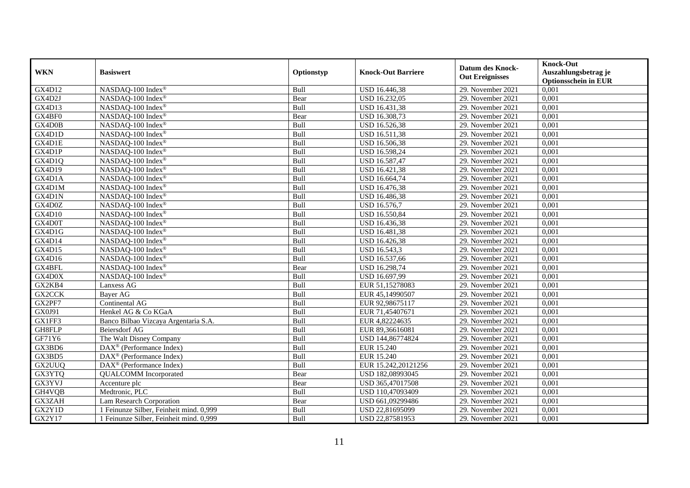|            |                                            |             |                           |                         | <b>Knock-Out</b>            |
|------------|--------------------------------------------|-------------|---------------------------|-------------------------|-----------------------------|
| <b>WKN</b> | <b>Basiswert</b>                           | Optionstyp  | <b>Knock-Out Barriere</b> | <b>Datum des Knock-</b> | Auszahlungsbetrag je        |
|            |                                            |             |                           | <b>Out Ereignisses</b>  | <b>Optionsschein in EUR</b> |
| GX4D12     | NASDAQ-100 Index®                          | Bull        | USD 16.446,38             | 29. November 2021       | 0,001                       |
| GX4D2J     | NASDAQ-100 Index®                          | Bear        | USD 16.232,05             | 29. November 2021       | 0,001                       |
| GX4D13     | NASDAQ-100 Index <sup>®</sup>              | Bull        | USD 16.431,38             | 29. November 2021       | 0,001                       |
| GX4BF0     | $NASDAQ-100$ Index <sup>®</sup>            | Bear        | USD 16.308,73             | 29. November 2021       | 0,001                       |
| GX4D0B     | NASDAQ-100 Index®                          | Bull        | USD 16.526,38             | 29. November 2021       | 0,001                       |
| GX4D1D     | NASDAQ-100 Index®                          | Bull        | USD 16.511,38             | 29. November 2021       | 0,001                       |
| GX4D1E     | NASDAQ-100 Index®                          | Bull        | USD 16.506,38             | 29. November 2021       | 0,001                       |
| GX4D1P     | NASDAQ-100 Index®                          | Bull        | USD 16.598,24             | 29. November 2021       | 0,001                       |
| GX4D1Q     | NASDAQ-100 Index®                          | Bull        | USD 16.587,47             | 29. November 2021       | 0,001                       |
| GX4D19     | NASDAQ-100 Index®                          | Bull        | USD 16.421,38             | 29. November 2021       | 0,001                       |
| GX4D1A     | NASDAQ-100 Index®                          | Bull        | USD 16.664,74             | 29. November 2021       | 0,001                       |
| GX4D1M     | NASDAQ-100 Index®                          | Bull        | USD 16.476,38             | 29. November 2021       | 0,001                       |
| GX4D1N     | NASDAQ-100 Index®                          | Bull        | USD 16.486,38             | 29. November 2021       | 0,001                       |
| GX4D0Z     | NASDAQ-100 Index <sup>®</sup>              | Bull        | USD 16.576,7              | 29. November 2021       | 0,001                       |
| GX4D10     | NASDAQ-100 Index®                          | Bull        | USD 16.550,84             | 29. November 2021       | 0,001                       |
| GX4D0T     | NASDAQ-100 Index®                          | Bull        | USD 16.436,38             | 29. November 2021       | 0,001                       |
| GX4D1G     | NASDAQ-100 Index®                          | Bull        | USD 16.481,38             | 29. November 2021       | 0,001                       |
| GX4D14     | NASDAQ-100 Index <sup>®</sup>              | <b>Bull</b> | <b>USD 16.426.38</b>      | 29. November 2021       | 0,001                       |
| GX4D15     | NASDAQ-100 Index <sup>®</sup>              | Bull        | USD 16.543,3              | 29. November 2021       | 0,001                       |
| GX4D16     | NASDAQ-100 Index®                          | Bull        | USD 16.537,66             | 29. November 2021       | 0,001                       |
| GX4BFL     | NASDAQ-100 Index®                          | Bear        | USD 16.298,74             | 29. November 2021       | 0,001                       |
| GX4D0X     | NASDAQ-100 Index®                          | Bull        | USD 16.697,99             | 29. November 2021       | 0,001                       |
| GX2KB4     | Lanxess AG                                 | Bull        | EUR 51,15278083           | 29. November 2021       | 0,001                       |
| GX2CCK     | Bayer AG                                   | Bull        | EUR 45,14990507           | 29. November 2021       | 0,001                       |
| GX2PF7     | Continental AG                             | Bull        | EUR 92,98675117           | 29. November 2021       | 0,001                       |
| GX0J91     | Henkel AG & Co KGaA                        | Bull        | EUR 71,45407671           | 29. November 2021       | 0,001                       |
| GX1FF3     | Banco Bilbao Vizcaya Argentaria S.A.       | Bull        | EUR 4,82224635            | 29. November 2021       | 0,001                       |
| GH8FLP     | Beiersdorf AG                              | Bull        | EUR 89,36616081           | 29. November 2021       | 0,001                       |
| GF71Y6     | The Walt Disney Company                    | Bull        | USD 144,86774824          | 29. November 2021       | 0,001                       |
| GX3BD6     | $\text{DAX}^{\otimes}$ (Performance Index) | Bull        | EUR 15.240                | 29. November 2021       | 0,001                       |
| GX3BD5     | DAX <sup>®</sup> (Performance Index)       | Bull        | EUR 15.240                | 29. November 2021       | 0,001                       |
| GX2UUQ     | DAX <sup>®</sup> (Performance Index)       | Bull        | EUR 15.242,20121256       | 29. November 2021       | 0.001                       |
| GX3YTQ     | <b>QUALCOMM</b> Incorporated               | Bear        | USD 182,08993045          | 29. November 2021       | 0,001                       |
| GX3YVJ     | Accenture plc                              | Bear        | USD 365,47017508          | 29. November 2021       | 0,001                       |
| GH4VQB     | Medtronic, PLC                             | Bull        | USD 110,47093409          | 29. November 2021       | 0,001                       |
| GX3ZAH     | <b>Lam Research Corporation</b>            | Bear        | USD 661,09299486          | 29. November 2021       | 0,001                       |
| GX2Y1D     | 1 Feinunze Silber, Feinheit mind. 0,999    | Bull        | USD 22,81695099           | 29. November 2021       | 0,001                       |
| GX2Y17     | 1 Feinunze Silber, Feinheit mind. 0,999    | Bull        | USD 22,87581953           | 29. November 2021       | 0,001                       |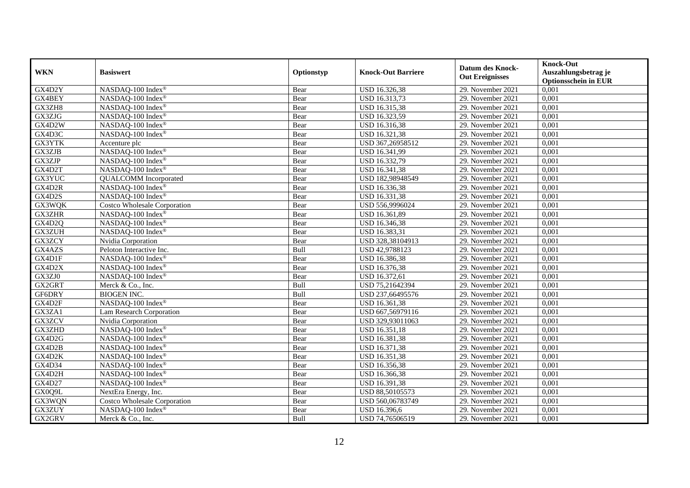|               |                                     |            |                           | <b>Datum des Knock-</b> | <b>Knock-Out</b>            |
|---------------|-------------------------------------|------------|---------------------------|-------------------------|-----------------------------|
| <b>WKN</b>    | <b>Basiswert</b>                    | Optionstyp | <b>Knock-Out Barriere</b> | <b>Out Ereignisses</b>  | Auszahlungsbetrag je        |
|               |                                     |            |                           |                         | <b>Optionsschein in EUR</b> |
| GX4D2Y        | NASDAQ-100 Index®                   | Bear       | USD 16.326,38             | 29. November 2021       | 0,001                       |
| GX4BEY        | NASDAQ-100 Index®                   | Bear       | USD 16.313,73             | 29. November 2021       | 0,001                       |
| GX3ZH8        | NASDAQ-100 Index®                   | Bear       | USD 16.315,38             | 29. November 2021       | 0,001                       |
| GX3ZJG        | NASDAQ-100 Index®                   | Bear       | USD 16.323,59             | 29. November 2021       | 0,001                       |
| GX4D2W        | NASDAQ-100 Index®                   | Bear       | USD 16.316,38             | 29. November 2021       | 0,001                       |
| GX4D3C        | NASDAQ-100 Index®                   | Bear       | USD 16.321,38             | 29. November 2021       | 0,001                       |
| GX3YTK        | Accenture plc                       | Bear       | USD 367,26958512          | 29. November 2021       | 0,001                       |
| GX3ZJB        | NASDAQ-100 Index®                   | Bear       | USD 16.341,99             | 29. November 2021       | 0,001                       |
| <b>GX3ZJP</b> | NASDAQ-100 Index®                   | Bear       | USD 16.332,79             | 29. November 2021       | 0,001                       |
| GX4D2T        | NASDAQ-100 Index®                   | Bear       | USD 16.341,38             | 29. November 2021       | 0,001                       |
| GX3YUC        | <b>QUALCOMM</b> Incorporated        | Bear       | USD 182,98948549          | 29. November 2021       | 0,001                       |
| GX4D2R        | NASDAQ-100 Index®                   | Bear       | USD 16.336,38             | 29. November 2021       | 0,001                       |
| GX4D2S        | NASDAQ-100 Index®                   | Bear       | USD 16.331,38             | 29. November 2021       | 0,001                       |
| GX3WQK        | <b>Costco Wholesale Corporation</b> | Bear       | USD 556,9996024           | 29. November 2021       | 0,001                       |
| GX3ZHR        | NASDAQ-100 Index®                   | Bear       | USD 16.361,89             | 29. November 2021       | 0,001                       |
| GX4D2Q        | NASDAQ-100 Index®                   | Bear       | USD 16.346,38             | 29. November 2021       | 0,001                       |
| GX3ZUH        | NASDAQ-100 Index®                   | Bear       | USD 16.383,31             | 29. November 2021       | 0,001                       |
| GX3ZCY        | Nvidia Corporation                  | Bear       | USD 328,38104913          | 29. November 2021       | 0,001                       |
| GX4AZS        | Peloton Interactive Inc.            | Bull       | USD 42,9788123            | 29. November 2021       | 0,001                       |
| GX4D1F        | NASDAQ-100 Index®                   | Bear       | USD 16.386,38             | 29. November 2021       | 0,001                       |
| GX4D2X        | NASDAQ-100 Index®                   | Bear       | USD 16.376,38             | 29. November 2021       | 0,001                       |
| GX3ZJ0        | NASDAQ-100 Index®                   | Bear       | USD 16.372,61             | 29. November 2021       | 0,001                       |
| GX2GRT        | Merck & Co., Inc.                   | Bull       | USD 75,21642394           | 29. November 2021       | 0,001                       |
| GF6DRY        | <b>BIOGEN INC.</b>                  | Bull       | USD 237,66495576          | 29. November 2021       | 0,001                       |
| GX4D2F        | NASDAQ-100 Index®                   | Bear       | USD 16.361,38             | 29. November 2021       | 0,001                       |
| GX3ZA1        | Lam Research Corporation            | Bear       | USD 667,56979116          | 29. November 2021       | 0,001                       |
| GX3ZCV        | Nvidia Corporation                  | Bear       | USD 329,93011063          | 29. November 2021       | 0,001                       |
| GX3ZHD        | NASDAQ-100 Index®                   | Bear       | USD 16.351,18             | 29. November 2021       | 0,001                       |
| GX4D2G        | NASDAQ-100 Index®                   | Bear       | USD 16.381,38             | 29. November 2021       | 0,001                       |
| GX4D2B        | NASDAQ-100 Index®                   | Bear       | USD 16.371,38             | 29. November 2021       | 0,001                       |
| GX4D2K        | NASDAQ-100 Index®                   | Bear       | USD 16.351,38             | 29. November 2021       | 0,001                       |
| GX4D34        | NASDAQ-100 Index®                   | Bear       | USD 16.356,38             | 29. November 2021       | 0,001                       |
| GX4D2H        | NASDAQ-100 Index®                   | Bear       | USD 16.366,38             | 29. November 2021       | 0,001                       |
| GX4D27        | NASDAQ-100 Index®                   | Bear       | USD 16.391,38             | 29. November 2021       | 0,001                       |
| GX0Q9L        | NextEra Energy, Inc.                | Bear       | USD 88,50105573           | 29. November 2021       | 0,001                       |
| GX3WQN        | Costco Wholesale Corporation        | Bear       | USD 560,06783749          | 29. November 2021       | 0,001                       |
| GX3ZUY        | NASDAQ-100 Index®                   | Bear       | USD 16.396,6              | 29. November 2021       | 0,001                       |
| GX2GRV        | Merck & Co., Inc.                   | Bull       | USD 74,76506519           | 29. November 2021       | 0,001                       |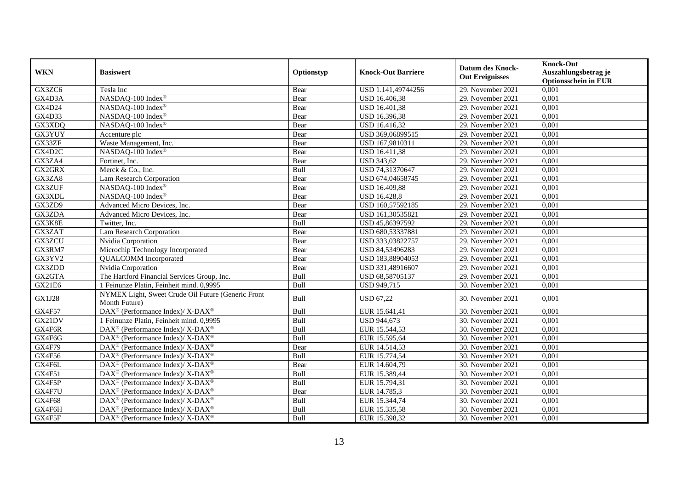| <b>WKN</b>    | <b>Basiswert</b>                                                         | Optionstyp  | <b>Knock-Out Barriere</b> | <b>Datum des Knock-</b><br><b>Out Ereignisses</b> | <b>Knock-Out</b><br>Auszahlungsbetrag je<br><b>Optionsschein in EUR</b> |
|---------------|--------------------------------------------------------------------------|-------------|---------------------------|---------------------------------------------------|-------------------------------------------------------------------------|
| GX3ZC6        | Tesla Inc                                                                | Bear        | USD 1.141,49744256        | 29. November 2021                                 | 0,001                                                                   |
| GX4D3A        | NASDAQ-100 Index®                                                        | Bear        | <b>USD 16.406,38</b>      | 29. November 2021                                 | 0,001                                                                   |
| GX4D24        | NASDAQ-100 Index®                                                        | Bear        | USD 16.401,38             | 29. November 2021                                 | 0,001                                                                   |
| GX4D33        | NASDAQ-100 Index®                                                        | Bear        | USD 16.396,38             | 29. November 2021                                 | 0,001                                                                   |
| GX3XDQ        | NASDAQ-100 Index®                                                        | Bear        | USD 16.416,32             | 29. November 2021                                 | 0,001                                                                   |
| GX3YUY        | Accenture plc                                                            | Bear        | USD 369,06899515          | 29. November 2021                                 | 0,001                                                                   |
| GX33ZF        | Waste Management, Inc.                                                   | Bear        | USD 167,9810311           | 29. November 2021                                 | 0,001                                                                   |
| GX4D2C        | NASDAQ-100 Index®                                                        | Bear        | USD 16.411,38             | 29. November 2021                                 | 0,001                                                                   |
| GX3ZA4        | Fortinet, Inc.                                                           | Bear        | <b>USD 343,62</b>         | 29. November 2021                                 | 0,001                                                                   |
| GX2GRX        | Merck & Co., Inc.                                                        | Bull        | USD 74,31370647           | 29. November 2021                                 | 0,001                                                                   |
| GX3ZA8        | Lam Research Corporation                                                 | Bear        | USD 674,04658745          | 29. November 2021                                 | 0,001                                                                   |
| GX3ZUF        | NASDAQ-100 Index®                                                        | Bear        | USD 16.409,88             | 29. November 2021                                 | 0,001                                                                   |
| GX3XDL        | NASDAO-100 Index®                                                        | Bear        | <b>USD 16.428,8</b>       | 29. November 2021                                 | 0,001                                                                   |
| GX3ZD9        | Advanced Micro Devices, Inc.                                             | Bear        | USD 160,57592185          | 29. November 2021                                 | 0,001                                                                   |
| GX3ZDA        | Advanced Micro Devices, Inc.                                             | Bear        | USD 161,30535821          | 29. November 2021                                 | 0,001                                                                   |
| GX3K8E        | Twitter, Inc.                                                            | Bull        | USD 45,86397592           | 29. November 2021                                 | 0,001                                                                   |
| GX3ZAT        | Lam Research Corporation                                                 | Bear        | USD 680,53337881          | 29. November 2021                                 | 0,001                                                                   |
| GX3ZCU        | Nvidia Corporation                                                       | Bear        | USD 333,03822757          | 29. November 2021                                 | 0,001                                                                   |
| GX3RM7        | Microchip Technology Incorporated                                        | Bear        | USD 84,53496283           | 29. November 2021                                 | 0,001                                                                   |
| GX3YV2        | <b>QUALCOMM</b> Incorporated                                             | Bear        | USD 183,88904053          | 29. November 2021                                 | 0,001                                                                   |
| GX3ZDD        | Nvidia Corporation                                                       | Bear        | USD 331,48916607          | 29. November 2021                                 | 0,001                                                                   |
| GX2GTA        | The Hartford Financial Services Group, Inc.                              | Bull        | USD 68,58705137           | 29. November 2021                                 | 0,001                                                                   |
| GX21E6        | 1 Feinunze Platin, Feinheit mind. 0,9995                                 | Bull        | USD 949,715               | 30. November 2021                                 | 0,001                                                                   |
| <b>GX1J28</b> | NYMEX Light, Sweet Crude Oil Future (Generic Front<br>Month Future)      | Bull        | <b>USD 67,22</b>          | 30. November 2021                                 | 0,001                                                                   |
| <b>GX4F57</b> | DAX <sup>®</sup> (Performance Index)/ X-DAX <sup>®</sup>                 | Bull        | EUR 15.641,41             | 30. November 2021                                 | 0,001                                                                   |
| GX21DV        | 1 Feinunze Platin, Feinheit mind. 0,9995                                 | Bull        | USD 944,673               | 30. November 2021                                 | 0,001                                                                   |
| GX4F6R        | $\text{DAX}^{\otimes}$ (Performance Index)/X-DAX <sup>®</sup>            | <b>Bull</b> | EUR 15.544,53             | 30. November 2021                                 | 0,001                                                                   |
| GX4F6G        | DAX <sup>®</sup> (Performance Index)/ X-DAX <sup>®</sup>                 | Bull        | EUR 15.595,64             | 30. November 2021                                 | 0,001                                                                   |
| <b>GX4F79</b> | DAX <sup>®</sup> (Performance Index)/ X-DAX <sup>®</sup>                 | Bear        | EUR 14.514,53             | 30. November 2021                                 | 0,001                                                                   |
| GX4F56        | $\overline{\text{DAX}^{\otimes}}$ (Performance Index)/X-DAX <sup>®</sup> | Bull        | EUR 15.774,54             | 30. November 2021                                 | 0,001                                                                   |
| GX4F6L        | DAX <sup>®</sup> (Performance Index)/ X-DAX <sup>®</sup>                 | Bear        | EUR 14.604,79             | 30. November 2021                                 | 0,001                                                                   |
| <b>GX4F51</b> | $\text{DAX}^{\otimes}$ (Performance Index)/X-DAX <sup>®</sup>            | Bull        | EUR 15.389,44             | 30. November 2021                                 | 0,001                                                                   |
| GX4F5P        | DAX <sup>®</sup> (Performance Index)/X-DAX <sup>®</sup>                  | Bull        | EUR 15.794,31             | 30. November 2021                                 | 0,001                                                                   |
| GX4F7U        | DAX <sup>®</sup> (Performance Index)/ X-DAX <sup>®</sup>                 | Bear        | EUR 14.785,3              | $30.$ November 2021                               | 0,001                                                                   |
| GX4F68        | $\text{DAX}^{\otimes}$ (Performance Index)/X-DAX <sup>®</sup>            | Bull        | EUR 15.344,74             | 30. November 2021                                 | 0,001                                                                   |
| GX4F6H        | DAX <sup>®</sup> (Performance Index)/X-DAX <sup>®</sup>                  | Bull        | EUR 15.335,58             | 30. November 2021                                 | 0,001                                                                   |
| GX4F5F        | $\text{DAX}^{\circledast}$ (Performance Index)/ X-DAX <sup>®</sup>       | Bull        | EUR 15.398,32             | 30. November 2021                                 | 0,001                                                                   |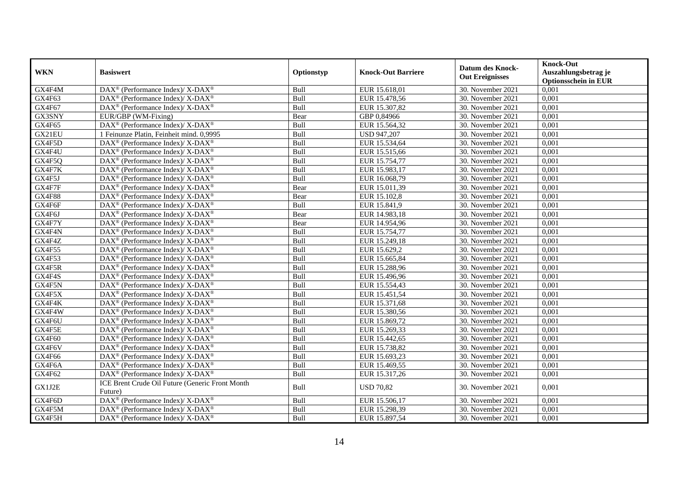| <b>WKN</b>    | <b>Basiswert</b>                                             | Optionstyp | <b>Knock-Out Barriere</b> | <b>Datum des Knock-</b><br><b>Out Ereignisses</b> | <b>Knock-Out</b><br>Auszahlungsbetrag je<br><b>Optionsschein in EUR</b> |
|---------------|--------------------------------------------------------------|------------|---------------------------|---------------------------------------------------|-------------------------------------------------------------------------|
| GX4F4M        | DAX <sup>®</sup> (Performance Index)/ X-DAX <sup>®</sup>     | Bull       | EUR 15.618,01             | 30. November 2021                                 | 0,001                                                                   |
| GX4F63        | DAX <sup>®</sup> (Performance Index)/ X-DAX <sup>®</sup>     | Bull       | EUR 15.478,56             | 30. November 2021                                 | 0,001                                                                   |
| GX4F67        | $DAX^{\circledast}$ (Performance Index)/X-DAX <sup>®</sup>   | Bull       | EUR 15.307,82             | 30. November 2021                                 | 0,001                                                                   |
| GX3SNY        | EUR/GBP (WM-Fixing)                                          | Bear       | GBP 0,84966               | 30. November 2021                                 | 0,001                                                                   |
| GX4F65        | DAX <sup>®</sup> (Performance Index)/ X-DAX <sup>®</sup>     | Bull       | EUR 15.564,32             | 30. November 2021                                 | 0,001                                                                   |
| GX21EU        | 1 Feinunze Platin, Feinheit mind. 0,9995                     | Bull       | <b>USD 947,207</b>        | 30. November 2021                                 | 0,001                                                                   |
| GX4F5D        | DAX <sup>®</sup> (Performance Index)/ X-DAX <sup>®</sup>     | Bull       | EUR 15.534,64             | 30. November 2021                                 | 0,001                                                                   |
| GX4F4U        | DAX <sup>®</sup> (Performance Index)/X-DAX <sup>®</sup>      | Bull       | EUR 15.515,66             | 30. November 2021                                 | 0,001                                                                   |
| GX4F5Q        | DAX <sup>®</sup> (Performance Index)/ X-DAX <sup>®</sup>     | Bull       | EUR 15.754,77             | 30. November 2021                                 | 0,001                                                                   |
| GX4F7K        | DAX <sup>®</sup> (Performance Index)/X-DAX <sup>®</sup>      | Bull       | EUR 15.983,17             | 30. November 2021                                 | 0,001                                                                   |
| GX4F5J        | $DAX^{\circledast}$ (Performance Index)/X-DAX <sup>®</sup>   | Bull       | EUR 16.068,79             | 30. November 2021                                 | 0,001                                                                   |
| GX4F7F        | DAX <sup>®</sup> (Performance Index)/ X-DAX <sup>®</sup>     | Bear       | EUR 15.011,39             | 30. November 2021                                 | 0,001                                                                   |
| <b>GX4F88</b> | DAX <sup>®</sup> (Performance Index)/X-DAX <sup>®</sup>      | Bear       | EUR 15.102,8              | 30. November 2021                                 | 0,001                                                                   |
| GX4F6F        | DAX <sup>®</sup> (Performance Index)/ X-DAX <sup>®</sup>     | Bull       | EUR 15.841,9              | 30. November 2021                                 | 0,001                                                                   |
| GX4F6J        | DAX <sup>®</sup> (Performance Index)/ X-DAX <sup>®</sup>     | Bear       | EUR 14.983,18             | 30. November 2021                                 | 0,001                                                                   |
| GX4F7Y        | DAX <sup>®</sup> (Performance Index)/X-DAX <sup>®</sup>      | Bear       | EUR 14.954,96             | 30. November 2021                                 | 0,001                                                                   |
| GX4F4N        | DAX <sup>®</sup> (Performance Index)/X-DAX <sup>®</sup>      | Bull       | EUR 15.754,77             | 30. November 2021                                 | 0,001                                                                   |
| GX4F4Z        | DAX <sup>®</sup> (Performance Index)/X-DAX <sup>®</sup>      | Bull       | EUR 15.249,18             | 30. November 2021                                 | 0,001                                                                   |
| <b>GX4F55</b> | $DAX^{\circledast}$ (Performance Index)/X-DAX <sup>®</sup>   | Bull       | EUR 15.629,2              | 30. November 2021                                 | 0,001                                                                   |
| GX4F53        | DAX <sup>®</sup> (Performance Index)/X-DAX <sup>®</sup>      | Bull       | EUR 15.665,84             | 30. November 2021                                 | 0,001                                                                   |
| GX4F5R        | DAX <sup>®</sup> (Performance Index)/ X-DAX <sup>®</sup>     | Bull       | EUR 15.288,96             | 30. November 2021                                 | 0,001                                                                   |
| GX4F4S        | DAX <sup>®</sup> (Performance Index)/X-DAX <sup>®</sup>      | Bull       | EUR 15.496,96             | 30. November 2021                                 | 0,001                                                                   |
| GX4F5N        | DAX <sup>®</sup> (Performance Index)/ X-DAX <sup>®</sup>     | Bull       | EUR 15.554,43             | 30. November 2021                                 | 0,001                                                                   |
| GX4F5X        | DAX <sup>®</sup> (Performance Index)/ X-DAX <sup>®</sup>     | Bull       | EUR 15.451,54             | 30. November 2021                                 | 0,001                                                                   |
| GX4F4K        | DAX <sup>®</sup> (Performance Index)/X-DAX <sup>®</sup>      | Bull       | EUR 15.371,68             | 30. November 2021                                 | 0,001                                                                   |
| GX4F4W        | DAX <sup>®</sup> (Performance Index)/ X-DAX <sup>®</sup>     | Bull       | EUR 15.380,56             | $30.$ November 2021                               | 0,001                                                                   |
| GX4F6U        | DAX <sup>®</sup> (Performance Index)/X-DAX <sup>®</sup>      | Bull       | EUR 15.869,72             | 30. November 2021                                 | 0,001                                                                   |
| GX4F5E        | DAX <sup>®</sup> (Performance Index)/X-DAX <sup>®</sup>      | Bull       | EUR 15.269,33             | 30. November 2021                                 | 0,001                                                                   |
| GX4F60        | DAX <sup>®</sup> (Performance Index)/X-DAX <sup>®</sup>      | Bull       | EUR 15.442,65             | 30. November 2021                                 | 0,001                                                                   |
| GX4F6V        | $DAX^{\circledcirc}$ (Performance Index)/ X-DAX <sup>®</sup> | Bull       | EUR 15.738,82             | 30. November 2021                                 | 0,001                                                                   |
| <b>GX4F66</b> | DAX <sup>®</sup> (Performance Index)/X-DAX <sup>®</sup>      | Bull       | EUR 15.693,23             | 30. November 2021                                 | 0,001                                                                   |
| GX4F6A        | DAX <sup>®</sup> (Performance Index)/ X-DAX <sup>®</sup>     | Bull       | EUR 15.469,55             | 30. November 2021                                 | 0,001                                                                   |
| GX4F62        | DAX <sup>®</sup> (Performance Index)/X-DAX <sup>®</sup>      | Bull       | EUR 15.317,26             | 30. November 2021                                 | 0,001                                                                   |
| GX1J2E        | ICE Brent Crude Oil Future (Generic Front Month<br>Future)   | Bull       | <b>USD 70,82</b>          | 30. November 2021                                 | 0,001                                                                   |
| GX4F6D        | DAX <sup>®</sup> (Performance Index)/X-DAX <sup>®</sup>      | Bull       | EUR 15.506,17             | 30. November 2021                                 | 0,001                                                                   |
| GX4F5M        | DAX <sup>®</sup> (Performance Index)/X-DAX <sup>®</sup>      | Bull       | EUR 15.298,39             | 30. November 2021                                 | 0,001                                                                   |
| GX4F5H        | $DAX^{\circledast}$ (Performance Index)/X-DAX <sup>®</sup>   | Bull       | EUR 15.897,54             | 30. November 2021                                 | 0,001                                                                   |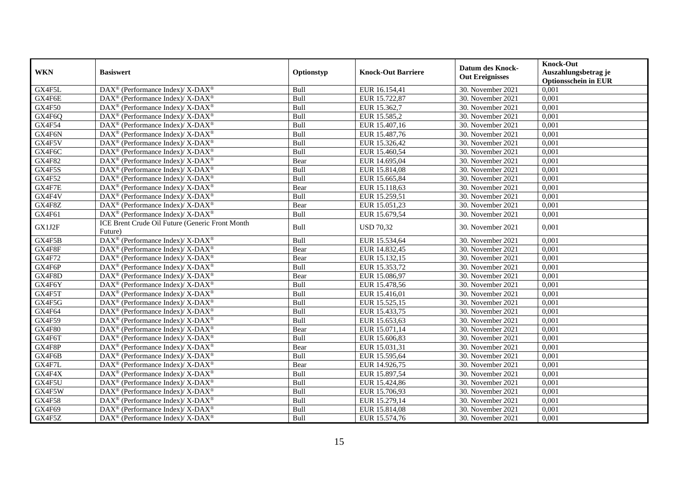| <b>WKN</b>    | <b>Basiswert</b>                                                         | Optionstyp | <b>Knock-Out Barriere</b> | <b>Datum des Knock-</b><br><b>Out Ereignisses</b> | <b>Knock-Out</b><br>Auszahlungsbetrag je<br><b>Optionsschein in EUR</b> |
|---------------|--------------------------------------------------------------------------|------------|---------------------------|---------------------------------------------------|-------------------------------------------------------------------------|
| GX4F5L        | $\text{DAX}^{\circledR}$ (Performance Index)/ X-DAX <sup>®</sup>         | Bull       | EUR 16.154,41             | 30. November 2021                                 | 0,001                                                                   |
| GX4F6E        | $\text{DAX}^{\circledast}$ (Performance Index)/ X-DAX <sup>®</sup>       | Bull       | EUR 15.722,87             | 30. November 2021                                 | 0,001                                                                   |
| GX4F50        | DAX <sup>®</sup> (Performance Index)/ X-DAX <sup>®</sup>                 | Bull       | EUR 15.362,7              | 30. November 2021                                 | 0,001                                                                   |
| GX4F6Q        | $\text{DAX}^{\otimes}$ (Performance Index)/X-DAX <sup>®</sup>            | Bull       | EUR 15.585,2              | 30. November 2021                                 | 0,001                                                                   |
| GX4F54        | DAX <sup>®</sup> (Performance Index)/ X-DAX <sup>®</sup>                 | Bull       | EUR 15.407,16             | 30. November 2021                                 | 0,001                                                                   |
| GX4F6N        | $\text{DAX}^{\otimes}$ (Performance Index)/X-DAX <sup>®</sup>            | Bull       | EUR 15.487,76             | 30. November 2021                                 | 0,001                                                                   |
| GX4F5V        | DAX <sup>®</sup> (Performance Index)/ X-DAX <sup>®</sup>                 | Bull       | EUR 15.326,42             | 30. November 2021                                 | 0,001                                                                   |
| GX4F6C        | DAX <sup>®</sup> (Performance Index)/ X-DAX <sup>®</sup>                 | Bull       | EUR 15.460,54             | 30. November 2021                                 | 0,001                                                                   |
| <b>GX4F82</b> | $\text{DAX}^{\otimes}$ (Performance Index)/X-DAX <sup>®</sup>            | Bear       | EUR 14.695,04             | 30. November 2021                                 | 0,001                                                                   |
| GX4F5S        | DAX <sup>®</sup> (Performance Index)/ X-DAX <sup>®</sup>                 | Bull       | EUR 15.814,08             | 30. November 2021                                 | 0,001                                                                   |
| <b>GX4F52</b> | DAX <sup>®</sup> (Performance Index)/ X-DAX <sup>®</sup>                 | Bull       | EUR 15.665,84             | 30. November 2021                                 | 0,001                                                                   |
| GX4F7E        | $\text{DAX}^{\otimes}$ (Performance Index)/X-DAX <sup>®</sup>            | Bear       | EUR 15.118,63             | 30. November 2021                                 | 0,001                                                                   |
| GX4F4V        | $\text{DAX}^{\otimes}$ (Performance Index)/X-DAX <sup>®</sup>            | Bull       | EUR 15.259.51             | 30. November 2021                                 | 0,001                                                                   |
| GX4F8Z        | DAX <sup>®</sup> (Performance Index)/ X-DAX <sup>®</sup>                 | Bear       | EUR 15.051,23             | 30. November 2021                                 | 0,001                                                                   |
| GX4F61        | DAX <sup>®</sup> (Performance Index)/ X-DAX <sup>®</sup>                 | Bull       | EUR 15.679,54             | 30. November 2021                                 | 0,001                                                                   |
| GX1J2F        | ICE Brent Crude Oil Future (Generic Front Month<br>Future)               | Bull       | <b>USD 70,32</b>          | 30. November 2021                                 | 0,001                                                                   |
| GX4F5B        | $\overline{\text{DAX}^{\otimes}}$ (Performance Index)/X-DAX <sup>®</sup> | Bull       | EUR 15.534,64             | 30. November 2021                                 | 0.001                                                                   |
| GX4F8F        | DAX <sup>®</sup> (Performance Index)/X-DAX <sup>®</sup>                  | Bear       | EUR 14.832,45             | 30. November 2021                                 | 0,001                                                                   |
| <b>GX4F72</b> | $\text{DAX}^{\otimes}$ (Performance Index)/X-DAX <sup>®</sup>            | Bear       | EUR 15.132,15             | 30. November 2021                                 | 0,001                                                                   |
| GX4F6P        | $\text{DAX}^{\circledast}$ (Performance Index)/ X-DAX <sup>®</sup>       | Bull       | EUR 15.353,72             | 30. November 2021                                 | 0,001                                                                   |
| GX4F8D        | DAX <sup>®</sup> (Performance Index)/ X-DAX <sup>®</sup>                 | Bear       | EUR 15.086,97             | 30. November 2021                                 | 0,001                                                                   |
| GX4F6Y        | $\text{DAX}^{\otimes}$ (Performance Index)/X-DAX <sup>®</sup>            | Bull       | EUR 15.478,56             | 30. November 2021                                 | 0,001                                                                   |
| GX4F5T        | $\text{DAX}^{\circledR}$ (Performance Index)/ X-DAX <sup>®</sup>         | Bull       | EUR 15.416,01             | 30. November 2021                                 | 0,001                                                                   |
| GX4F5G        | DAX <sup>®</sup> (Performance Index)/ X-DAX <sup>®</sup>                 | Bull       | EUR 15.525,15             | 30. November 2021                                 | 0,001                                                                   |
| GX4F64        | $\text{DAX}^{\otimes}$ (Performance Index)/X-DAX <sup>®</sup>            | Bull       | EUR 15.433,75             | 30. November 2021                                 | 0,001                                                                   |
| GX4F59        | DAX <sup>®</sup> (Performance Index)/ X-DAX <sup>®</sup>                 | Bull       | EUR 15.653,63             | 30. November 2021                                 | 0,001                                                                   |
| <b>GX4F80</b> | $\text{DAX}^{\otimes}$ (Performance Index)/X-DAX <sup>®</sup>            | Bear       | EUR 15.071,14             | 30. November 2021                                 | 0,001                                                                   |
| GX4F6T        | DAX <sup>®</sup> (Performance Index)/ X-DAX <sup>®</sup>                 | Bull       | EUR 15.606,83             | 30. November 2021                                 | 0,001                                                                   |
| GX4F8P        | DAX <sup>®</sup> (Performance Index)/ X-DAX <sup>®</sup>                 | Bear       | EUR 15.031,31             | 30. November 2021                                 | 0,001                                                                   |
| GX4F6B        | $\overline{\text{DAX}^{\otimes}}$ (Performance Index)/X-DAX <sup>®</sup> | Bull       | EUR 15.595,64             | 30. November 2021                                 | 0,001                                                                   |
| GX4F7L        | DAX <sup>®</sup> (Performance Index)/ X-DAX <sup>®</sup>                 | Bear       | EUR 14.926,75             | 30. November 2021                                 | 0,001                                                                   |
| GX4F4X        | DAX <sup>®</sup> (Performance Index)/ X-DAX <sup>®</sup>                 | Bull       | EUR 15.897,54             | 30. November 2021                                 | 0,001                                                                   |
| GX4F5U        | $\text{DAX}^{\circledR}$ (Performance Index)/ X-DAX <sup>®</sup>         | Bull       | EUR 15.424,86             | 30. November 2021                                 | 0,001                                                                   |
| GX4F5W        | DAX <sup>®</sup> (Performance Index)/ X-DAX <sup>®</sup>                 | Bull       | EUR 15.706,93             | 30. November 2021                                 | 0,001                                                                   |
| <b>GX4F58</b> | $\text{DAX}^{\otimes}$ (Performance Index)/X-DAX <sup>®</sup>            | Bull       | EUR 15.279,14             | 30. November 2021                                 | 0,001                                                                   |
| GX4F69        | DAX <sup>®</sup> (Performance Index)/X-DAX <sup>®</sup>                  | Bull       | EUR 15.814,08             | 30. November 2021                                 | 0,001                                                                   |
| GX4F5Z        | $\text{DAX}^{\circledast}$ (Performance Index)/ X-DAX <sup>®</sup>       | Bull       | EUR 15.574,76             | 30. November 2021                                 | 0,001                                                                   |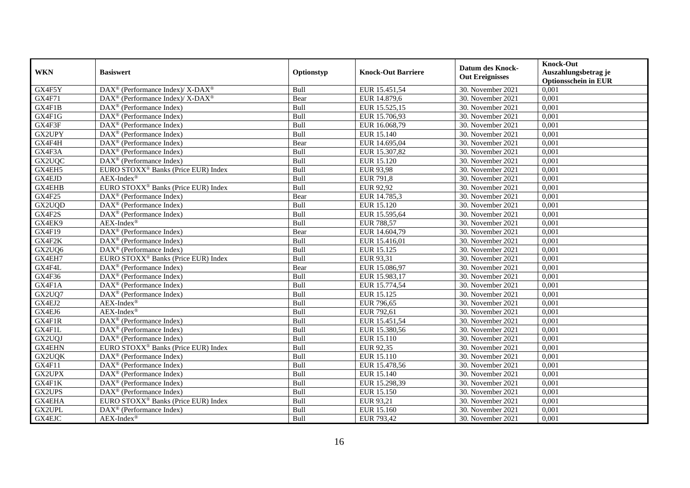| <b>WKN</b>          | <b>Basiswert</b>                                                | Optionstyp  | <b>Knock-Out Barriere</b> | <b>Datum des Knock-</b><br><b>Out Ereignisses</b> | <b>Knock-Out</b><br>Auszahlungsbetrag je<br><b>Optionsschein in EUR</b> |
|---------------------|-----------------------------------------------------------------|-------------|---------------------------|---------------------------------------------------|-------------------------------------------------------------------------|
| GX4F5Y              | DAX <sup>®</sup> (Performance Index)/ X-DAX <sup>®</sup>        | Bull        | EUR 15.451,54             | 30. November 2021                                 | 0,001                                                                   |
| <b>GX4F71</b>       | $\text{DAX}^{\circledR}$ (Performance Index)/X-DAX <sup>®</sup> | Bear        | EUR 14.879,6              | 30. November 2021                                 | 0,001                                                                   |
| GX4F1B              | $DAX^{\circledcirc}$ (Performance Index)                        | Bull        | EUR 15.525,15             | 30. November 2021                                 | $0,\overline{001}$                                                      |
| GX4F1G              | $DAX^{\circledast}$ (Performance Index)                         | Bull        | EUR 15.706,93             | 30. November 2021                                 | 0,001                                                                   |
| GX4F3F              | DAX <sup>®</sup> (Performance Index)                            | Bull        | EUR 16.068,79             | 30. November 2021                                 | 0,001                                                                   |
| GX2UPY              | $DAX^{\circledast}$ (Performance Index)                         | Bull        | EUR 15.140                | 30. November 2021                                 | 0,001                                                                   |
| GX4F4H              | DAX <sup>®</sup> (Performance Index)                            | Bear        | EUR 14.695,04             | 30. November 2021                                 | 0,001                                                                   |
| GX4F3A              | DAX <sup>®</sup> (Performance Index)                            | Bull        | EUR 15.307,82             | 30. November 2021                                 | 0,001                                                                   |
| GX2UQC              | $DAX^{\circledR}$ (Performance Index)                           | Bull        | EUR 15.120                | 30. November 2021                                 | 0,001                                                                   |
| GX4EH5              | EURO STOXX <sup>®</sup> Banks (Price EUR) Index                 | Bull        | <b>EUR 93,98</b>          | 30. November 2021                                 | 0,001                                                                   |
| GX4EJD              | $AEX-Index^{\circledR}$                                         | Bull        | <b>EUR 791,8</b>          | 30. November 2021                                 | 0,001                                                                   |
| <b>GX4EHB</b>       | EURO STOXX <sup>®</sup> Banks (Price EUR) Index                 | Bull        | <b>EUR 92,92</b>          | 30. November 2021                                 | 0,001                                                                   |
| <b>GX4F25</b>       | $\overline{\text{DAX}^{\textcircled{a}}}$ (Performance Index)   | Bear        | EUR 14.785,3              | 30. November 2021                                 | 0,001                                                                   |
| GX2UQD              | $DAX^{\circledast}$ (Performance Index)                         | Bull        | EUR 15.120                | 30. November 2021                                 | 0,001                                                                   |
| GX4F2S              | DAX <sup>®</sup> (Performance Index)                            | Bull        | EUR 15.595,64             | 30. November 2021                                 | 0,001                                                                   |
| GX4EK9              | $AEX-Index^{\circledR}$                                         | Bull        | <b>EUR 788,57</b>         | 30. November 2021                                 | 0,001                                                                   |
| GX4F19              | DAX <sup>®</sup> (Performance Index)                            | Bear        | EUR 14.604,79             | 30. November 2021                                 | 0,001                                                                   |
| GX4F2K              | $DAX^{\circledcirc}$ (Performance Index)                        | <b>Bull</b> | EUR 15.416.01             | 30. November 2021                                 | 0,001                                                                   |
| GX2UQ6              | $\overline{\text{DAX}}^{\textcirc}$ (Performance Index)         | Bull        | EUR 15.125                | 30. November 2021                                 | 0,001                                                                   |
| GX4EH7              | EURO STOXX <sup>®</sup> Banks (Price EUR) Index                 | Bull        | EUR 93,31                 | 30. November 2021                                 | 0,001                                                                   |
| GX4F4L              | DAX <sup>®</sup> (Performance Index)                            | Bear        | EUR 15.086,97             | 30. November 2021                                 | 0,001                                                                   |
| GX4F36              | DAX <sup>®</sup> (Performance Index)                            | Bull        | EUR 15.983,17             | 30. November 2021                                 | 0,001                                                                   |
| GX4F1A              | $\overline{\text{DAX}^{\otimes}}$ (Performance Index)           | Bull        | EUR 15.774,54             | 30. November 2021                                 | 0,001                                                                   |
| GX2UQ7              | $\overline{\text{DAX}}^{\textcirc}$ (Performance Index)         | Bull        | EUR 15.125                | 30. November 2021                                 | 0,001                                                                   |
| $G\overline{X4EJ2}$ | $AEX-Index^{\circledR}$                                         | Bull        | EUR 796,65                | 30. November 2021                                 | 0,001                                                                   |
| GX4EJ6              | $AEX-Index^{\circledR}$                                         | Bull        | EUR 792,61                | 30. November 2021                                 | 0,001                                                                   |
| GX4F1R              | DAX <sup>®</sup> (Performance Index)                            | Bull        | EUR 15.451,54             | 30. November 2021                                 | 0,001                                                                   |
| GX4F1L              | $\text{DAX}^{\textcircled{}}$ (Performance Index)               | Bull        | EUR 15.380,56             | 30. November 2021                                 | 0,001                                                                   |
| GX2UQJ              | DAX <sup>®</sup> (Performance Index)                            | Bull        | EUR 15.110                | 30. November 2021                                 | 0,001                                                                   |
| <b>GX4EHN</b>       | EURO STOXX <sup>®</sup> Banks (Price EUR) Index                 | Bull        | EUR 92,35                 | 30. November 2021                                 | 0,001                                                                   |
| GX2UQK              | DAX <sup>®</sup> (Performance Index)                            | Bull        | EUR 15.110                | 30. November 2021                                 | 0,001                                                                   |
| GX4F11              | DAX <sup>®</sup> (Performance Index)                            | Bull        | EUR 15.478,56             | 30. November 2021                                 | 0,001                                                                   |
| <b>GX2UPX</b>       | $\overline{\text{DAX}^{\otimes}}$ (Performance Index)           | Bull        | EUR 15.140                | 30. November 2021                                 | 0,001                                                                   |
| GX4F1K              | $\overline{\text{DAX}^{\otimes}}$ (Performance Index)           | Bull        | EUR 15.298,39             | 30. November 2021                                 | 0,001                                                                   |
| <b>GX2UPS</b>       | $\text{DAX}^{\textcircled{}}$ (Performance Index)               | Bull        | EUR 15.150                | 30. November 2021                                 | 0,001                                                                   |
| GX4EHA              | EURO STOXX <sup>®</sup> Banks (Price EUR) Index                 | Bull        | EUR 93,21                 | 30. November 2021                                 | 0,001                                                                   |
| GX2UPL              | DAX <sup>®</sup> (Performance Index)                            | Bull        | EUR 15.160                | 30. November 2021                                 | 0,001                                                                   |
| GX4EJC              | $AEX-Index^{\circledR}$                                         | Bull        | EUR 793,42                | 30. November 2021                                 | 0,001                                                                   |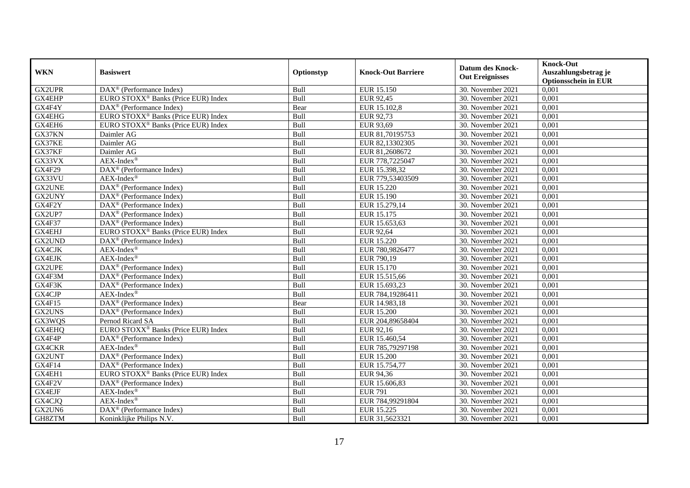|               |                                                              |            |                           | <b>Datum des Knock-</b> | <b>Knock-Out</b>            |
|---------------|--------------------------------------------------------------|------------|---------------------------|-------------------------|-----------------------------|
| <b>WKN</b>    | <b>Basiswert</b>                                             | Optionstyp | <b>Knock-Out Barriere</b> | <b>Out Ereignisses</b>  | Auszahlungsbetrag je        |
|               |                                                              |            |                           |                         | <b>Optionsschein in EUR</b> |
| <b>GX2UPR</b> | DAX <sup>®</sup> (Performance Index)                         | Bull       | EUR 15.150                | 30. November 2021       | 0,001                       |
| GX4EHP        | EURO STOXX <sup>®</sup> Banks (Price EUR) Index              | Bull       | EUR 92,45                 | 30. November 2021       | 0,001                       |
| GX4F4Y        | $DAX^{\circledR}$ (Performance Index)                        | Bear       | EUR 15.102,8              | 30. November 2021       | 0,001                       |
| GX4EHG        | EURO STOXX <sup>®</sup> Banks (Price EUR) Index              | Bull       | EUR 92,73                 | 30. November 2021       | 0,001                       |
| GX4EH6        | EURO STOXX <sup>®</sup> Banks (Price EUR) Index              | Bull       | EUR 93,69                 | 30. November 2021       | 0,001                       |
| GX37KN        | Daimler AG                                                   | Bull       | EUR 81,70195753           | 30. November 2021       | 0,001                       |
| GX37KE        | Daimler AG                                                   | Bull       | EUR 82,13302305           | 30. November 2021       | 0,001                       |
| GX37KF        | Daimler AG                                                   | Bull       | EUR 81,2608672            | 30. November 2021       | 0,001                       |
| GX33VX        | $AEX-Index^{\circledR}$                                      | Bull       | EUR 778,7225047           | 30. November 2021       | 0,001                       |
| <b>GX4F29</b> | DAX <sup>®</sup> (Performance Index)                         | Bull       | EUR 15.398,32             | 30. November 2021       | 0,001                       |
| GX33VU        | $AEX-Index^{\circledR}$                                      | Bull       | EUR 779,53403509          | 30. November 2021       | 0,001                       |
| <b>GX2UNE</b> | DAX <sup>®</sup> (Performance Index)                         | Bull       | EUR 15.220                | 30. November 2021       | 0,001                       |
| GX2UNY        | $\text{DAX}^{\textcircled{n}}$ (Performance Index)           | Bull       | EUR 15.190                | 30. November 2021       | 0,001                       |
| GX4F2Y        | DAX <sup>®</sup> (Performance Index)                         | Bull       | EUR 15.279,14             | 30. November 2021       | 0.001                       |
| GX2UP7        | $DAX^{\otimes}$ (Performance Index)                          | Bull       | EUR 15.175                | 30. November 2021       | 0,001                       |
| <b>GX4F37</b> | DAX <sup>®</sup> (Performance Index)                         | Bull       | EUR 15.653,63             | 30. November 2021       | 0,001                       |
| GX4EHJ        | EURO STOXX <sup>®</sup> Banks (Price EUR) Index              | Bull       | <b>EUR 92,64</b>          | 30. November 2021       | 0,001                       |
| GX2UND        | $\text{DAX}^{\textcircled{n}}$ (Performance Index)           | Bull       | EUR 15.220                | 30. November 2021       | 0,001                       |
| GX4CJK        | $AEX-Index^{\circledR}$                                      | Bull       | EUR 780,9826477           | 30. November 2021       | 0,001                       |
| GX4EJK        | $AEX-Index^{\circledR}$                                      | Bull       | EUR 790,19                | 30. November 2021       | 0,001                       |
| GX2UPE        | DAX <sup>®</sup> (Performance Index)                         | Bull       | EUR 15.170                | 30. November 2021       | 0,001                       |
| GX4F3M        | $\overline{\text{DAX}^{\otimes}(\text{Performance Index})}$  | Bull       | EUR 15.515,66             | 30. November 2021       | 0,001                       |
| GX4F3K        | $\text{DAX}^{\textcircled{p}}$ (Performance Index)           | Bull       | EUR 15.693,23             | 30. November 2021       | 0,001                       |
| GX4CJP        | $AEX-Index^{\circledR}$                                      | Bull       | EUR 784,19286411          | 30. November 2021       | 0,001                       |
| GX4F15        | $\overline{\text{DAX}^{\otimes}}$ (Performance Index)        | Bear       | EUR 14.983,18             | 30. November 2021       | 0,001                       |
| GX2UNS        | DAX <sup>®</sup> (Performance Index)                         | Bull       | <b>EUR 15.200</b>         | 30. November 2021       | 0,001                       |
| GX3WQS        | Pernod Ricard SA                                             | Bull       | EUR 204,89658404          | 30. November 2021       | 0,001                       |
| GX4EHQ        | EURO STOXX <sup>®</sup> Banks (Price EUR) Index              | Bull       | EUR 92,16                 | 30. November 2021       | 0,001                       |
| GX4F4P        | $\text{DAX}^{\textcircled{n}}$ (Performance Index)           | Bull       | EUR 15.460,54             | 30. November 2021       | 0,001                       |
| GX4CKR        | $AEX-Index^{\circledR}$                                      | Bull       | EUR 785,79297198          | 30. November 2021       | 0,001                       |
| GX2UNT        | $\overline{\text{DAX}}^{\textcirc}$ (Performance Index)      | Bull       | <b>EUR 15.200</b>         | 30. November 2021       | 0,001                       |
| GX4F14        | DAX <sup>®</sup> (Performance Index)                         | Bull       | EUR 15.754,77             | 30. November 2021       | 0,001                       |
| GX4EH1        | EURO STOXX <sup>®</sup> Banks (Price EUR) Index              | Bull       | EUR 94,36                 | 30. November 2021       | 0,001                       |
| GX4F2V        | $\overline{\text{DAX}}^{\textcircled{}}$ (Performance Index) | Bull       | EUR 15.606,83             | 30. November 2021       | 0,001                       |
| GX4EJF        | $AEX-Index^{\circledR}$                                      | Bull       | <b>EUR 791</b>            | 30. November 2021       | 0,001                       |
| GX4CJQ        | $AEX-Index^{\circledR}$                                      | Bull       | EUR 784,99291804          | 30. November 2021       | 0,001                       |
| GX2UN6        | DAX <sup>®</sup> (Performance Index)                         | Bull       | EUR 15.225                | 30. November 2021       | 0,001                       |
| GH8ZTM        | Koninklijke Philips N.V.                                     | Bull       | EUR 31,5623321            | 30. November 2021       | 0,001                       |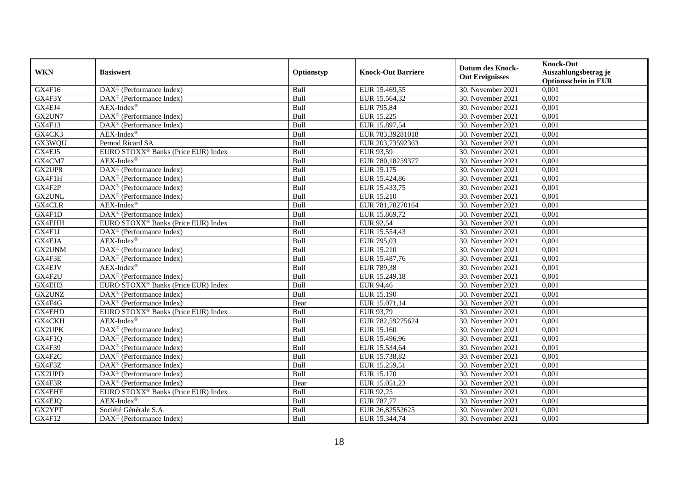| <b>WKN</b>    | <b>Basiswert</b>                                             | Optionstyp  | <b>Knock-Out Barriere</b> | <b>Datum des Knock-</b><br><b>Out Ereignisses</b> | <b>Knock-Out</b><br>Auszahlungsbetrag je<br><b>Optionsschein in EUR</b> |
|---------------|--------------------------------------------------------------|-------------|---------------------------|---------------------------------------------------|-------------------------------------------------------------------------|
| GX4F16        | $\text{DAX}^{\textcircled{p}}$ (Performance Index)           | Bull        | EUR 15.469,55             | 30. November 2021                                 | 0,001                                                                   |
| GX4F3Y        | $\text{DAX}^{\circledR}$ (Performance Index)                 | Bull        | EUR 15.564,32             | 30. November 2021                                 | 0,001                                                                   |
| GX4EJ4        | $AEX-Index^{\circledR}$                                      | Bull        | EUR 795,84                | 30. November 2021                                 | 0,001                                                                   |
| GX2UN7        | DAX <sup>®</sup> (Performance Index)                         | Bull        | EUR 15.225                | 30. November 2021                                 | 0,001                                                                   |
| GX4F13        | DAX <sup>®</sup> (Performance Index)                         | Bull        | EUR 15.897,54             | 30. November 2021                                 | 0,001                                                                   |
| GX4CK3        | $AEX-Index^{\circledR}$                                      | Bull        | EUR 783,39281018          | 30. November 2021                                 | 0,001                                                                   |
| GX3WQU        | Pernod Ricard SA                                             | Bull        | EUR 203,73592363          | 30. November 2021                                 | 0,001                                                                   |
| GX4EJ5        | EURO STOXX <sup>®</sup> Banks (Price EUR) Index              | Bull        | EUR 93,59                 | 30. November 2021                                 | 0,001                                                                   |
| GX4CM7        | $AEX-Index^{\circledR}$                                      | Bull        | EUR 780,18259377          | 30. November 2021                                 | 0,001                                                                   |
| GX2UP8        | DAX <sup>®</sup> (Performance Index)                         | Bull        | EUR 15.175                | 30. November 2021                                 | 0,001                                                                   |
| GX4F1H        | $\overline{\text{DAX}^{\otimes}(\text{Performance Index})}$  | Bull        | EUR 15.424,86             | 30. November 2021                                 | 0,001                                                                   |
| GX4F2P        | $\overline{\text{DAX}^{\otimes}}$ (Performance Index)        | Bull        | EUR 15.433,75             | 30. November 2021                                 | 0,001                                                                   |
| GX2UNL        | $\text{DAX}^{\circledR}$ (Performance Index)                 | Bull        | <b>EUR 15.210</b>         | 30. November 2021                                 | 0,001                                                                   |
| GX4CLR        | $AEX-Index^{\circledR}$                                      | Bull        | EUR 781,78270164          | 30. November 2021                                 | 0,001                                                                   |
| GX4F1D        | DAX <sup>®</sup> (Performance Index)                         | Bull        | EUR 15.869,72             | 30. November 2021                                 | 0,001                                                                   |
| GX4EHH        | EURO STOXX <sup>®</sup> Banks (Price EUR) Index              | Bull        | EUR 92,54                 | 30. November 2021                                 | 0,001                                                                   |
| GX4F1J        | DAX <sup>®</sup> (Performance Index)                         | Bull        | EUR 15.554,43             | 30. November 2021                                 | 0,001                                                                   |
| GX4EJA        | $AEX-Index^{\circledR}$                                      | <b>Bull</b> | EUR 795,03                | 30. November 2021                                 | 0.001                                                                   |
| GX2UNM        | DAX <sup>®</sup> (Performance Index)                         | Bull        | EUR 15.210                | 30. November 2021                                 | 0,001                                                                   |
| GX4F3E        | DAX <sup>®</sup> (Performance Index)                         | Bull        | EUR 15.487,76             | 30. November 2021                                 | 0,001                                                                   |
| GX4EJV        | AEX-Index®                                                   | Bull        | EUR 789,38                | 30. November 2021                                 | 0,001                                                                   |
| GX4F2U        | DAX <sup>®</sup> (Performance Index)                         | Bull        | EUR 15.249,18             | 30. November 2021                                 | $0,\overline{001}$                                                      |
| GX4EH3        | EURO STOXX <sup>®</sup> Banks (Price EUR) Index              | Bull        | EUR 94,46                 | 30. November 2021                                 | 0,001                                                                   |
| GX2UNZ        | DAX <sup>®</sup> (Performance Index)                         | Bull        | EUR 15.190                | 30. November 2021                                 | 0,001                                                                   |
| GX4F4G        | $\text{DAX}^{\textcircled{p}}$ (Performance Index)           | Bear        | EUR 15.071,14             | 30. November 2021                                 | 0,001                                                                   |
| GX4EHD        | EURO STOXX <sup>®</sup> Banks (Price EUR) Index              | Bull        | EUR 93,79                 | 30. November 2021                                 | 0,001                                                                   |
| GX4CKH        | $AEX-Index^{\circledR}$                                      | Bull        | EUR 782,59275624          | 30. November 2021                                 | 0,001                                                                   |
| <b>GX2UPK</b> | $\text{DAX}^{\textcircled{p}}$ (Performance Index)           | Bull        | EUR 15.160                | 30. November 2021                                 | 0,001                                                                   |
| GX4F1Q        | $\text{DAX}^{\textcircled{p}}$ (Performance Index)           | Bull        | EUR 15.496,96             | 30. November 2021                                 | 0,001                                                                   |
| GX4F39        | $\text{DAX}^{\textcircled{p}}$ (Performance Index)           | Bull        | EUR 15.534,64             | 30. November 2021                                 | 0,001                                                                   |
| GX4F2C        | $\text{DAX}^{\textcircled{p}}$ (Performance Index)           | Bull        | EUR 15.738,82             | 30. November 2021                                 | 0,001                                                                   |
| GX4F3Z        | DAX <sup>®</sup> (Performance Index)                         | Bull        | EUR 15.259,51             | 30. November 2021                                 | 0,001                                                                   |
| GX2UPD        | DAX <sup>®</sup> (Performance Index)                         | Bull        | <b>EUR 15.170</b>         | 30. November 2021                                 | 0,001                                                                   |
| GX4F3R        | $\overline{\text{DAX}^{\otimes}}$ (Performance Index)        | Bear        | EUR 15.051,23             | 30. November 2021                                 | 0,001                                                                   |
| GX4EHF        | EURO STOXX <sup>®</sup> Banks (Price EUR) Index              | Bull        | EUR 92,25                 | 30. November 2021                                 | 0,001                                                                   |
| GX4EJQ        | $AEX-Index^{\circledR}$                                      | Bull        | <b>EUR 787,77</b>         | 30. November 2021                                 | 0,001                                                                   |
| GX2YPT        | Société Générale S.A.                                        | Bull        | EUR 26,82552625           | 30. November 2021                                 | 0,001                                                                   |
| GX4F12        | $\overline{\text{DAX}}^{\textcircled{}}$ (Performance Index) | Bull        | EUR 15.344,74             | 30. November 2021                                 | 0,001                                                                   |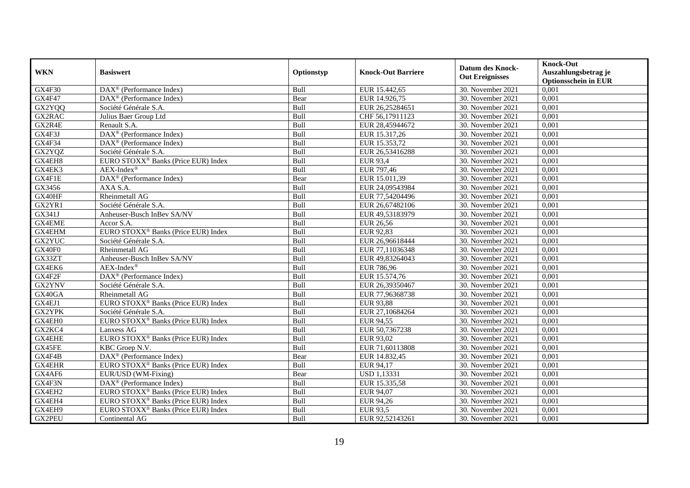| <b>WKN</b>    | <b>Basiswert</b>                                              | Optionstyp  | <b>Knock-Out Barriere</b> | <b>Datum des Knock-</b><br><b>Out Ereignisses</b> | <b>Knock-Out</b><br>Auszahlungsbetrag je<br><b>Optionsschein in EUR</b> |
|---------------|---------------------------------------------------------------|-------------|---------------------------|---------------------------------------------------|-------------------------------------------------------------------------|
| GX4F30        | $\overline{\text{DAX}^{\textcircled{a}}}$ (Performance Index) | Bull        | EUR 15.442,65             | 30. November 2021                                 | 0,001                                                                   |
| <b>GX4F47</b> | $\overline{\text{DAX}}^{\textcircled{}}$ (Performance Index)  | Bear        | EUR 14.926,75             | 30. November 2021                                 | 0,001                                                                   |
| GX2YQQ        | Société Générale S.A.                                         | Bull        | EUR 26,25284651           | 30. November 2021                                 | 0,001                                                                   |
| GX2RAC        | Julius Baer Group Ltd                                         | Bull        | CHF 56,17911123           | 30. November 2021                                 | 0,001                                                                   |
| GX2R4E        | Renault S.A.                                                  | Bull        | EUR 28,45944672           | 30. November 2021                                 | 0,001                                                                   |
| GX4F3J        | DAX <sup>®</sup> (Performance Index)                          | Bull        | EUR 15.317,26             | 30. November 2021                                 | 0,001                                                                   |
| GX4F34        | $\text{DAX}^{\textcircled{p}}$ (Performance Index)            | Bull        | EUR 15.353,72             | 30. November 2021                                 | 0,001                                                                   |
| GX2YQZ        | Société Générale S.A.                                         | Bull        | EUR 26,53416288           | 30. November 2021                                 | 0,001                                                                   |
| GX4EH8        | EURO STOXX <sup>®</sup> Banks (Price EUR) Index               | Bull        | <b>EUR 93,4</b>           | 30. November 2021                                 | 0,001                                                                   |
| GX4EK3        | $AEX-Index^{\circledR}$                                       | Bull        | EUR 797,46                | 30. November 2021                                 | 0,001                                                                   |
| GX4F1E        | DAX <sup>®</sup> (Performance Index)                          | Bear        | EUR 15.011,39             | 30. November 2021                                 | 0,001                                                                   |
| GX3456        | AXA S.A.                                                      | Bull        | EUR 24,09543984           | 30. November 2021                                 | 0,001                                                                   |
| GX40HF        | Rheinmetall AG                                                | Bull        | EUR 77,54204496           | 30. November 2021                                 | 0,001                                                                   |
| GX2YR1        | Société Générale S.A.                                         | Bull        | EUR 26,67482106           | 30. November 2021                                 | 0.001                                                                   |
| GX341J        | Anheuser-Busch InBev SA/NV                                    | Bull        | EUR 49,53183979           | 30. November 2021                                 | 0,001                                                                   |
| <b>GX4EME</b> | Accor S.A.                                                    | Bull        | <b>EUR 26,56</b>          | 30. November 2021                                 | 0,001                                                                   |
| GX4EHM        | EURO STOXX <sup>®</sup> Banks (Price EUR) Index               | Bull        | EUR 92,83                 | 30. November 2021                                 | 0,001                                                                   |
| GX2YUC        | Société Générale S.A.                                         | Bull        | EUR 26,96618444           | 30. November 2021                                 | 0,001                                                                   |
| GX40F0        | Rheinmetall AG                                                | Bull        | EUR 77,11036348           | 30. November 2021                                 | 0,001                                                                   |
| GX33ZT        | Anheuser-Busch InBev SA/NV                                    | Bull        | EUR 49,83264043           | 30. November 2021                                 | 0,001                                                                   |
| GX4EK6        | $AEX-Index^{\circledR}$                                       | Bull        | <b>EUR 786,96</b>         | 30. November 2021                                 | 0,001                                                                   |
| GX4F2F        | DAX <sup>®</sup> (Performance Index)                          | Bull        | EUR 15.574,76             | 30. November 2021                                 | 0,001                                                                   |
| GX2YNV        | Société Générale S.A.                                         | Bull        | EUR 26,39350467           | 30. November 2021                                 | 0,001                                                                   |
| GX40GA        | Rheinmetall AG                                                | Bull        | EUR 77,96368738           | 30. November 2021                                 | 0,001                                                                   |
| GX4EJ1        | EURO STOXX <sup>®</sup> Banks (Price EUR) Index               | Bull        | <b>EUR 93,88</b>          | 30. November 2021                                 | 0,001                                                                   |
| GX2YPK        | Société Générale S.A.                                         | Bull        | EUR 27,10684264           | 30. November 2021                                 | 0,001                                                                   |
| GX4EH0        | EURO STOXX <sup>®</sup> Banks (Price EUR) Index               | Bull        | EUR 94,55                 | 30. November 2021                                 | 0,001                                                                   |
| GX2KC4        | Lanxess AG                                                    | Bull        | EUR 50,7367238            | 30. November 2021                                 | 0,001                                                                   |
| <b>GX4EHE</b> | EURO STOXX <sup>®</sup> Banks (Price EUR) Index               | Bull        | EUR 93,02                 | 30. November 2021                                 | 0,001                                                                   |
| GX45FE        | KBC Groep N.V.                                                | Bull        | EUR 71,60113808           | 30. November 2021                                 | 0,001                                                                   |
| GX4F4B        | $\text{DAX}^{\textcircled{p}}$ (Performance Index)            | Bear        | EUR 14.832,45             | 30. November 2021                                 | 0,001                                                                   |
| <b>GX4EHR</b> | EURO STOXX <sup>®</sup> Banks (Price EUR) Index               | <b>Bull</b> | EUR 94,17                 | 30. November 2021                                 | 0,001                                                                   |
| GX4AF6        | EUR/USD (WM-Fixing)                                           | Bear        | <b>USD 1,13331</b>        | 30. November 2021                                 | 0,001                                                                   |
| GX4F3N        | DAX <sup>®</sup> (Performance Index)                          | Bull        | EUR 15.335,58             | 30. November 2021                                 | 0,001                                                                   |
| GX4EH2        | EURO STOXX <sup>®</sup> Banks (Price EUR) Index               | Bull        | EUR 94,07                 | 30. November 2021                                 | 0,001                                                                   |
| GX4EH4        | EURO STOXX <sup>®</sup> Banks (Price EUR) Index               | Bull        | EUR 94,26                 | 30. November 2021                                 | 0,001                                                                   |
| GX4EH9        | EURO STOXX <sup>®</sup> Banks (Price EUR) Index               | Bull        | EUR 93,5                  | 30. November 2021                                 | 0,001                                                                   |
| GX2PEU        | Continental AG                                                | Bull        | EUR 92,52143261           | 30. November 2021                                 | 0,001                                                                   |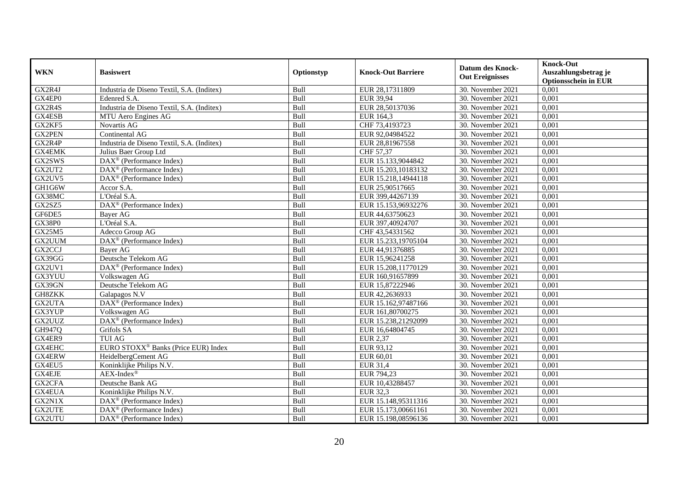|                     |                                                    |            |                           | <b>Datum des Knock-</b> | <b>Knock-Out</b>            |
|---------------------|----------------------------------------------------|------------|---------------------------|-------------------------|-----------------------------|
| <b>WKN</b>          | <b>Basiswert</b>                                   | Optionstyp | <b>Knock-Out Barriere</b> | <b>Out Ereignisses</b>  | Auszahlungsbetrag je        |
|                     |                                                    |            |                           |                         | <b>Optionsschein in EUR</b> |
| GX2R4J              | Industria de Diseno Textil, S.A. (Inditex)         | Bull       | EUR 28,17311809           | 30. November 2021       | 0,001                       |
| GX4EP0              | Edenred S.A.                                       | Bull       | EUR 39,94                 | 30. November 2021       | 0,001                       |
| $GX2R\overline{4S}$ | Industria de Diseno Textil, S.A. (Inditex)         | Bull       | EUR 28,50137036           | 30. November 2021       | 0,001                       |
| GX4ESB              | MTU Aero Engines AG                                | Bull       | EUR 164,3                 | 30. November 2021       | 0,001                       |
| GX2KF5              | Novartis AG                                        | Bull       | CHF 73,4193723            | 30. November 2021       | 0,001                       |
| <b>GX2PEN</b>       | Continental AG                                     | Bull       | EUR 92,04984522           | 30. November 2021       | 0,001                       |
| GX2R4P              | Industria de Diseno Textil, S.A. (Inditex)         | Bull       | EUR 28,81967558           | 30. November 2021       | 0,001                       |
| <b>GX4EMK</b>       | Julius Baer Group Ltd                              | Bull       | CHF 57,37                 | 30. November 2021       | 0,001                       |
| GX2SWS              | DAX <sup>®</sup> (Performance Index)               | Bull       | EUR 15.133,9044842        | 30. November 2021       | 0,001                       |
| GX2UT2              | $\text{DAX}^{\textcircled{p}}$ (Performance Index) | Bull       | EUR 15.203,10183132       | 30. November 2021       | 0,001                       |
| GX2UV5              | DAX <sup>®</sup> (Performance Index)               | Bull       | EUR 15.218,14944118       | 30. November 2021       | 0,001                       |
| GH1G6W              | Accor S.A.                                         | Bull       | EUR 25,90517665           | 30. November 2021       | 0,001                       |
| GX38MC              | L'Oréal S.A.                                       | Bull       | EUR 399,44267139          | 30. November 2021       | 0,001                       |
| GX2SZ5              | $\text{DAX}^{\textcircled{p}}$ (Performance Index) | Bull       | EUR 15.153,96932276       | 30. November 2021       | 0.001                       |
| GF6DE5              | Bayer AG                                           | Bull       | EUR 44,63750623           | 30. November 2021       | 0,001                       |
| <b>GX38P0</b>       | L'Oréal S.A.                                       | Bull       | EUR 397,40924707          | 30. November 2021       | 0,001                       |
| GX25M5              | Adecco Group AG                                    | Bull       | CHF 43,54331562           | 30. November 2021       | 0,001                       |
| GX2UUM              | DAX <sup>®</sup> (Performance Index)               | Bull       | EUR 15.233,19705104       | 30. November 2021       | 0,001                       |
| GX2CCJ              | Bayer AG                                           | Bull       | EUR 44,91376885           | 30. November 2021       | 0,001                       |
| GX39GG              | Deutsche Telekom AG                                | Bull       | EUR 15,96241258           | 30. November 2021       | 0,001                       |
| GX2UV1              | DAX <sup>®</sup> (Performance Index)               | Bull       | EUR 15.208,11770129       | 30. November 2021       | 0,001                       |
| GX3YUU              | Volkswagen AG                                      | Bull       | EUR 160,91657899          | 30. November 2021       | 0,001                       |
| GX39GN              | Deutsche Telekom AG                                | Bull       | EUR 15,87222946           | 30. November 2021       | 0,001                       |
| <b>GH8ZKK</b>       | Galapagos N.V                                      | Bull       | EUR 42,2636933            | 30. November 2021       | 0,001                       |
| GX2UTA              | $\text{DAX}^{\textcircled{p}}$ (Performance Index) | Bull       | EUR 15.162,97487166       | 30. November 2021       | 0,001                       |
| GX3YUP              | Volkswagen AG                                      | Bull       | EUR 161,80700275          | 30. November 2021       | 0,001                       |
| GX2UUZ              | DAX <sup>®</sup> (Performance Index)               | Bull       | EUR 15.238,21292099       | 30. November 2021       | 0,001                       |
| GH947Q              | Grifols SA                                         | Bull       | EUR 16,64804745           | 30. November 2021       | 0,001                       |
| GX4ER9              | <b>TUI AG</b>                                      | Bull       | <b>EUR 2,37</b>           | 30. November 2021       | 0,001                       |
| GX4EHC              | EURO STOXX <sup>®</sup> Banks (Price EUR) Index    | Bull       | EUR 93,12                 | 30. November 2021       | 0,001                       |
| GX4ERW              | HeidelbergCement AG                                | Bull       | EUR 60,01                 | 30. November 2021       | 0,001                       |
| GX4EU5              | Koninklijke Philips N.V.                           | Bull       | <b>EUR 31,4</b>           | 30. November 2021       | 0,001                       |
| <b>GX4EJE</b>       | $AEX-Index^{\circledR}$                            | Bull       | EUR 794,23                | 30. November 2021       | 0,001                       |
| GX2CFA              | Deutsche Bank AG                                   | Bull       | EUR 10,43288457           | 30. November 2021       | 0,001                       |
| <b>GX4EUA</b>       | Koninklijke Philips N.V.                           | Bull       | EUR 32,3                  | 30. November 2021       | 0,001                       |
| GX2N1X              | DAX <sup>®</sup> (Performance Index)               | Bull       | EUR 15.148,95311316       | 30. November 2021       | 0,001                       |
| <b>GX2UTE</b>       | $\text{DAX}^{\circledR}$ (Performance Index)       | Bull       | EUR 15.173,00661161       | 30. November 2021       | 0,001                       |
| GX2UTU              | $\text{DAX}^{\circledR}$ (Performance Index)       | Bull       | EUR 15.198,08596136       | 30. November 2021       | 0,001                       |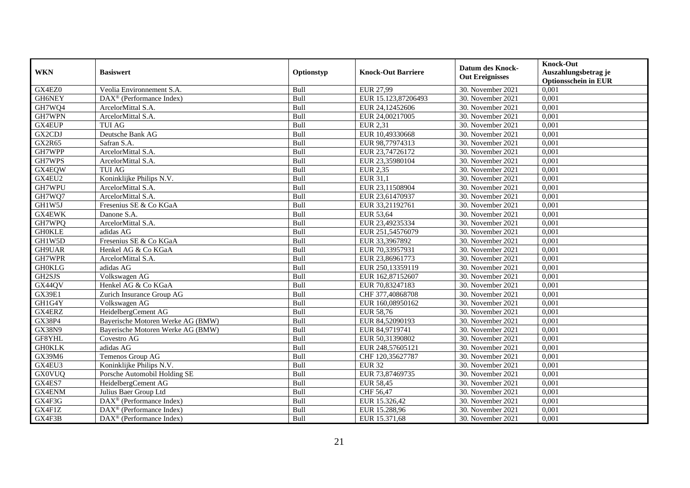|               |                                                    |            |                           | <b>Datum des Knock-</b> | <b>Knock-Out</b>            |
|---------------|----------------------------------------------------|------------|---------------------------|-------------------------|-----------------------------|
| <b>WKN</b>    | <b>Basiswert</b>                                   | Optionstyp | <b>Knock-Out Barriere</b> | <b>Out Ereignisses</b>  | Auszahlungsbetrag je        |
|               |                                                    |            |                           |                         | <b>Optionsschein in EUR</b> |
| GX4EZ0        | Veolia Environnement S.A.                          | Bull       | EUR 27,99                 | 30. November 2021       | 0,001                       |
| GH6NEY        | $\text{DAX}^{\textcircled{p}}$ (Performance Index) | Bull       | EUR 15.123,87206493       | 30. November 2021       | 0,001                       |
| GH7WQ4        | ArcelorMittal S.A.                                 | Bull       | EUR 24,12452606           | 30. November 2021       | 0,001                       |
| GH7WPN        | ArcelorMittal S.A.                                 | Bull       | EUR 24,00217005           | 30. November 2021       | 0,001                       |
| GX4EUP        | <b>TUI AG</b>                                      | Bull       | <b>EUR 2,31</b>           | 30. November 2021       | 0,001                       |
| GX2CDJ        | Deutsche Bank AG                                   | Bull       | EUR 10,49330668           | 30. November 2021       | $0,\overline{001}$          |
| GX2R65        | Safran S.A.                                        | Bull       | EUR 98,77974313           | 30. November 2021       | 0,001                       |
| GH7WPP        | ArcelorMittal S.A.                                 | Bull       | EUR 23,74726172           | 30. November 2021       | 0,001                       |
| GH7WPS        | ArcelorMittal S.A.                                 | Bull       | EUR 23,35980104           | 30. November 2021       | 0,001                       |
| GX4EQW        | <b>TUI AG</b>                                      | Bull       | <b>EUR 2,35</b>           | 30. November 2021       | 0,001                       |
| GX4EU2        | Koninklijke Philips N.V.                           | Bull       | EUR 31,1                  | 30. November 2021       | 0,001                       |
| GH7WPU        | ArcelorMittal S.A.                                 | Bull       | EUR 23,11508904           | 30. November 2021       | 0,001                       |
| GH7WQ7        | ArcelorMittal S.A.                                 | Bull       | EUR 23,61470937           | 30. November 2021       | 0,001                       |
| GH1W5J        | Fresenius SE & Co KGaA                             | Bull       | EUR 33,21192761           | 30. November 2021       | 0.001                       |
| <b>GX4EWK</b> | Danone S.A.                                        | Bull       | EUR 53,64                 | 30. November 2021       | 0,001                       |
| GH7WPQ        | ArcelorMittal S.A.                                 | Bull       | EUR 23,49235334           | 30. November 2021       | 0,001                       |
| <b>GH0KLE</b> | adidas AG                                          | Bull       | EUR 251,54576079          | 30. November 2021       | 0,001                       |
| GH1W5D        | Fresenius SE & Co KGaA                             | Bull       | EUR 33,3967892            | 30. November 2021       | 0,001                       |
| GH9UAR        | Henkel AG & Co KGaA                                | Bull       | EUR 70,33957931           | 30. November 2021       | 0,001                       |
| GH7WPR        | ArcelorMittal S.A.                                 | Bull       | EUR 23,86961773           | 30. November 2021       | 0,001                       |
| <b>GH0KLG</b> | adidas AG                                          | Bull       | EUR 250,13359119          | 30. November 2021       | 0,001                       |
| GH2SJS        | Volkswagen AG                                      | Bull       | EUR 162,87152607          | 30. November 2021       | 0,001                       |
| GX44QV        | Henkel AG & Co KGaA                                | Bull       | EUR 70,83247183           | 30. November 2021       | 0,001                       |
| <b>GX39E1</b> | Zurich Insurance Group AG                          | Bull       | CHF 377,40868708          | 30. November 2021       | 0,001                       |
| GH1G4Y        | Volkswagen AG                                      | Bull       | EUR 160,08950162          | 30. November 2021       | 0,001                       |
| GX4ERZ        | HeidelbergCement AG                                | Bull       | EUR 58,76                 | 30. November 2021       | 0,001                       |
| GX38P4        | Bayerische Motoren Werke AG (BMW)                  | Bull       | EUR 84,52090193           | 30. November 2021       | 0,001                       |
| <b>GX38N9</b> | Bayerische Motoren Werke AG (BMW)                  | Bull       | EUR 84,9719741            | 30. November 2021       | 0,001                       |
| GF8YHL        | Covestro AG                                        | Bull       | EUR 50,31390802           | 30. November 2021       | 0,001                       |
| <b>GH0KLK</b> | adidas AG                                          | Bull       | EUR 248,57605121          | 30. November 2021       | 0,001                       |
| GX39M6        | Temenos Group AG                                   | Bull       | CHF 120,35627787          | 30. November 2021       | 0,001                       |
| GX4EU3        | Koninklijke Philips N.V.                           | Bull       | <b>EUR 32</b>             | 30. November 2021       | 0,001                       |
| <b>GX0VUQ</b> | Porsche Automobil Holding SE                       | Bull       | EUR 73,87469735           | 30. November 2021       | 0,001                       |
| GX4ES7        | HeidelbergCement AG                                | Bull       | <b>EUR 58,45</b>          | 30. November 2021       | 0,001                       |
| GX4ENM        | Julius Baer Group Ltd                              | Bull       | CHF 56,47                 | 30. November 2021       | 0,001                       |
| GX4F3G        | DAX <sup>®</sup> (Performance Index)               | Bull       | EUR 15.326,42             | 30. November 2021       | 0,001                       |
| GX4F1Z        | DAX <sup>®</sup> (Performance Index)               | Bull       | EUR 15.288,96             | 30. November 2021       | 0,001                       |
| GX4F3B        | $\text{DAX}^{\circledR}$ (Performance Index)       | Bull       | EUR 15.371,68             | 30. November 2021       | 0,001                       |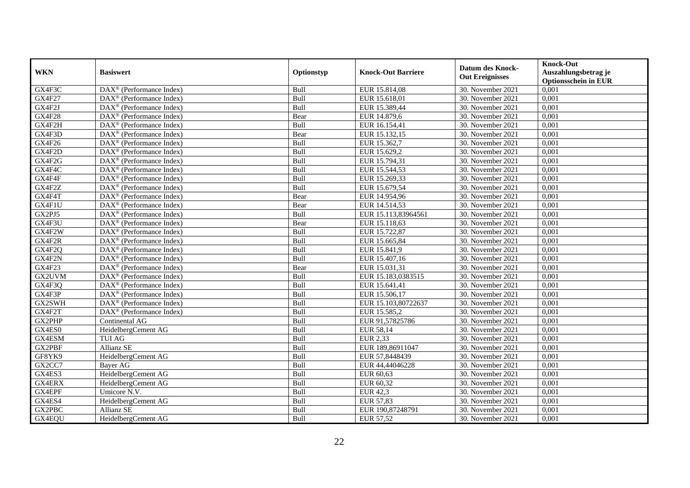| <b>WKN</b>    | <b>Basiswert</b>                                        | Optionstyp  | <b>Knock-Out Barriere</b> | <b>Datum des Knock-</b><br><b>Out Ereignisses</b> | <b>Knock-Out</b><br>Auszahlungsbetrag je<br><b>Optionsschein in EUR</b> |
|---------------|---------------------------------------------------------|-------------|---------------------------|---------------------------------------------------|-------------------------------------------------------------------------|
| GX4F3C        | $\overline{\text{DAX}}^{\textcirc}$ (Performance Index) | Bull        | EUR 15.814,08             | 30. November 2021                                 | 0,001                                                                   |
| <b>GX4F27</b> | $DAX^{\circledR}$ (Performance Index)                   | Bull        | EUR 15.618,01             | 30. November 2021                                 | 0,001                                                                   |
| GX4F2J        | $DAX^{\circledR}$ (Performance Index)                   | Bull        | EUR 15.389,44             | 30. November 2021                                 | $0,\overline{001}$                                                      |
| <b>GX4F28</b> | $DAX^{\circledast}$ (Performance Index)                 | Bear        | EUR 14.879,6              | 30. November 2021                                 | 0,001                                                                   |
| GX4F2H        | DAX <sup>®</sup> (Performance Index)                    | Bull        | EUR 16.154,41             | 30. November 2021                                 | 0,001                                                                   |
| GX4F3D        | $DAX^{\circledast}$ (Performance Index)                 | Bear        | EUR 15.132,15             | 30. November 2021                                 | 0,001                                                                   |
| GX4F26        | $DAX^{\circledast}$ (Performance Index)                 | Bull        | EUR 15.362,7              | 30. November 2021                                 | 0,001                                                                   |
| GX4F2D        | DAX <sup>®</sup> (Performance Index)                    | Bull        | EUR 15.629,2              | 30. November 2021                                 | 0,001                                                                   |
| GX4F2G        | $DAX^{\circledR}$ (Performance Index)                   | Bull        | EUR 15.794,31             | 30. November 2021                                 | 0,001                                                                   |
| GX4F4C        | DAX <sup>®</sup> (Performance Index)                    | Bull        | EUR 15.544,53             | 30. November 2021                                 | 0,001                                                                   |
| GX4F4F        | DAX <sup>®</sup> (Performance Index)                    | Bull        | EUR 15.269,33             | 30. November 2021                                 | 0,001                                                                   |
| GX4F2Z        | $\overline{\text{DAX}^{\otimes}}$ (Performance Index)   | Bull        | EUR 15.679,54             | 30. November 2021                                 | 0,001                                                                   |
| GX4F4T        | DAX <sup>®</sup> (Performance Index)                    | Bear        | EUR 14.954,96             | 30. November 2021                                 | 0,001                                                                   |
| GX4F1U        | $DAX^{\circledast}$ (Performance Index)                 | Bear        | EUR 14.514,53             | 30. November 2021                                 | 0,001                                                                   |
| GX2PJ5        | DAX <sup>®</sup> (Performance Index)                    | Bull        | EUR 15.113,83964561       | 30. November 2021                                 | 0,001                                                                   |
| GX4F3U        | $DAX^{\circledast}$ (Performance Index)                 | Bear        | EUR 15.118,63             | 30. November 2021                                 | 0,001                                                                   |
| GX4F2W        | $\text{DAX}^{\textcircled{}}$ (Performance Index)       | Bull        | EUR 15.722,87             | 30. November 2021                                 | 0,001                                                                   |
| GX4F2R        | $DAX^{\circledR}$ (Performance Index)                   | <b>Bull</b> | EUR 15.665,84             | 30. November 2021                                 | 0,001                                                                   |
| GX4F2Q        | DAX <sup>®</sup> (Performance Index)                    | Bull        | EUR 15.841,9              | 30. November 2021                                 | 0,001                                                                   |
| GX4F2N        | DAX <sup>®</sup> (Performance Index)                    | Bull        | EUR 15.407,16             | 30. November 2021                                 | 0,001                                                                   |
| GX4F23        | $DAX^{\circledR}$ (Performance Index)                   | Bear        | EUR 15.031,31             | 30. November 2021                                 | 0,001                                                                   |
| GX2UVM        | DAX <sup>®</sup> (Performance Index)                    | Bull        | EUR 15.183,0383515        | 30. November 2021                                 | 0,001                                                                   |
| GX4F3Q        | $\overline{\text{DAX}^{\otimes}}$ (Performance Index)   | Bull        | EUR 15.641,41             | 30. November 2021                                 | 0,001                                                                   |
| GX4F3P        | $\overline{\text{DAX}^{\otimes}}$ (Performance Index)   | Bull        | EUR 15.506,17             | 30. November 2021                                 | 0,001                                                                   |
| GX2SWH        | $DAX^{\circledR}$ (Performance Index)                   | Bull        | EUR 15.103,80722637       | 30. November 2021                                 | 0,001                                                                   |
| GX4F2T        | DAX <sup>®</sup> (Performance Index)                    | Bull        | EUR 15.585,2              | 30. November 2021                                 | 0,001                                                                   |
| GX2PHP        | Continental AG                                          | Bull        | EUR 91,57825786           | 30. November 2021                                 | 0,001                                                                   |
| GX4ES0        | Heidelberg Cement AG                                    | Bull        | EUR 58,14                 | 30. November 2021                                 | 0,001                                                                   |
| GX4ESM        | <b>TUI AG</b>                                           | Bull        | <b>EUR 2,33</b>           | 30. November 2021                                 | 0,001                                                                   |
| GX2PBF        | <b>Allianz SE</b>                                       | Bull        | EUR 189,86911047          | 30. November 2021                                 | 0,001                                                                   |
| GF8YK9        | HeidelbergCement AG                                     | Bull        | EUR 57,8448439            | 30. November 2021                                 | 0,001                                                                   |
| GX2CC7        | Bayer AG                                                | Bull        | EUR 44,44046228           | 30. November 2021                                 | 0,001                                                                   |
| GX4ES3        | HeidelbergCement AG                                     | Bull        | EUR 60,63                 | 30. November 2021                                 | 0,001                                                                   |
| <b>GX4ERX</b> | HeidelbergCement AG                                     | Bull        | EUR 60,32                 | 30. November 2021                                 | 0,001                                                                   |
| GX4EPF        | Umicore N.V.                                            | Bull        | <b>EUR 42,3</b>           | 30. November 2021                                 | 0,001                                                                   |
| GX4ES4        | HeidelbergCement AG                                     | Bull        | <b>EUR 57,83</b>          | 30. November 2021                                 | 0,001                                                                   |
| GX2PBC        | <b>Allianz SE</b>                                       | Bull        | EUR 190,87248791          | 30. November 2021                                 | 0,001                                                                   |
| GX4EQU        | HeidelbergCement AG                                     | Bull        | <b>EUR 57,52</b>          | 30. November 2021                                 | 0,001                                                                   |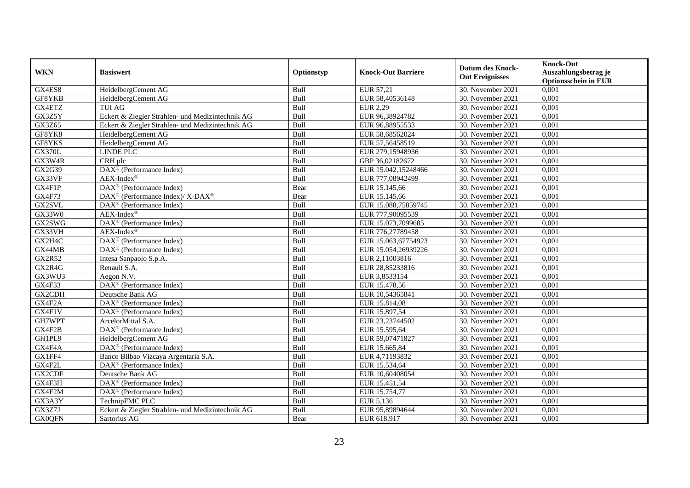|               |                                                                  |             |                                        | <b>Datum des Knock-</b>                | <b>Knock-Out</b>                     |
|---------------|------------------------------------------------------------------|-------------|----------------------------------------|----------------------------------------|--------------------------------------|
| <b>WKN</b>    | <b>Basiswert</b>                                                 | Optionstyp  | <b>Knock-Out Barriere</b>              | <b>Out Ereignisses</b>                 | Auszahlungsbetrag je                 |
| GX4ES8        | HeidelbergCement AG                                              | Bull        | EUR 57,21                              | 30. November 2021                      | <b>Optionsschein in EUR</b><br>0,001 |
| GF8YKB        | HeidelbergCement AG                                              | Bull        | EUR 58,40536148                        | 30. November 2021                      | 0,001                                |
| GX4ETZ        | <b>TUI AG</b>                                                    | Bull        | <b>EUR 2,29</b>                        | 30. November 2021                      | 0,001                                |
| GX3Z5Y        | Eckert & Ziegler Strahlen- und Medizintechnik AG                 | Bull        | EUR 96,38924782                        | 30. November 2021                      | 0,001                                |
| GX3Z65        | Eckert & Ziegler Strahlen- und Medizintechnik AG                 | Bull        | EUR 96,88955533                        | 30. November 2021                      | 0,001                                |
| GF8YK8        | HeidelbergCement AG                                              | Bull        | EUR 58,68562024                        | 30. November 2021                      | 0,001                                |
| GF8YKS        | HeidelbergCement AG                                              | Bull        | EUR 57,56458519                        | 30. November 2021                      | 0,001                                |
| <b>GX370L</b> | LINDE PLC                                                        | Bull        | EUR 279,15948936                       | 30. November 2021                      | 0,001                                |
| GX3W4R        |                                                                  | Bull        |                                        |                                        | 0,001                                |
| GX2G39        | CRH plc<br>DAX <sup>®</sup> (Performance Index)                  | Bull        | GBP 36,02182672<br>EUR 15.042,15248466 | 30. November 2021<br>30. November 2021 | 0,001                                |
|               | $AEX-Index^{\circledR}$                                          |             |                                        |                                        |                                      |
| GX33VF        |                                                                  | Bull        | EUR 777,08942499                       | 30. November 2021                      | 0,001                                |
| GX4F1P        | DAX <sup>®</sup> (Performance Index)                             | Bear        | EUR 15.145,66                          | 30. November 2021                      | 0,001                                |
| <b>GX4F73</b> | $\text{DAX}^{\circledR}$ (Performance Index)/ X-DAX <sup>®</sup> | Bear        | EUR 15.145,66                          | 30. November 2021                      | 0,001                                |
| GX2SVL        | DAX <sup>®</sup> (Performance Index)                             | <b>Bull</b> | EUR 15.088,75859745                    | 30. November 2021                      | 0.001                                |
| GX33W0        | $AEX-Index^{\circledR}$                                          | Bull        | EUR 777,90095539                       | 30. November 2021                      | 0,001                                |
| GX2SWG        | DAX <sup>®</sup> (Performance Index)                             | Bull        | EUR 15.073,7099685                     | 30. November 2021                      | 0,001                                |
| GX33VH        | $AEX-Index^{\circledR}$                                          | Bull        | EUR 776,27789458                       | 30. November 2021                      | 0,001                                |
| GX2H4C        | DAX <sup>®</sup> (Performance Index)                             | Bull        | EUR 15.063,67754923                    | 30. November 2021                      | 0,001                                |
| GX44MB        | $\text{DAX}^{\textcircled{n}}$ (Performance Index)               | Bull        | EUR 15.054,26939226                    | 30. November 2021                      | 0,001                                |
| <b>GX2R52</b> | Intesa Sanpaolo S.p.A.                                           | Bull        | EUR 2,11003816                         | 30. November 2021                      | 0,001                                |
| GX2R4G        | Renault S.A.                                                     | Bull        | EUR 28,85233816                        | 30. November 2021                      | 0,001                                |
| GX3WU3        | Aegon N.V.                                                       | Bull        | EUR 3,8533154                          | 30. November 2021                      | 0,001                                |
| GX4F33        | $\overline{\text{DAX}^{\textcircled{a}}}$ (Performance Index)    | Bull        | EUR 15.478,56                          | 30. November 2021                      | 0,001                                |
| GX2CDH        | Deutsche Bank AG                                                 | Bull        | EUR 10,54365841                        | 30. November 2021                      | 0,001                                |
| GX4F2A        | $\text{DAX}^{\textcircled{D}}$ (Performance Index)               | Bull        | EUR 15.814,08                          | 30. November 2021                      | 0,001                                |
| GX4F1V        | $\text{DAX}^{\textcircled{}}$ (Performance Index)                | Bull        | EUR 15.897,54                          | 30. November 2021                      | 0,001                                |
| GH7WPT        | ArcelorMittal S.A.                                               | Bull        | EUR 23,23744502                        | 30. November 2021                      | 0,001                                |
| GX4F2B        | DAX <sup>®</sup> (Performance Index)                             | Bull        | EUR 15.595,64                          | 30. November 2021                      | 0,001                                |
| GH1PL9        | HeidelbergCement AG                                              | Bull        | EUR 59,07471827                        | 30. November 2021                      | 0,001                                |
| GX4F4A        | $\text{DAX}^{\textcircled{D}}$ (Performance Index)               | Bull        | EUR 15.665,84                          | 30. November 2021                      | 0,001                                |
| GX1FF4        | Banco Bilbao Vizcaya Argentaria S.A.                             | Bull        | EUR 4,71193832                         | 30. November 2021                      | 0,001                                |
| GX4F2L        | DAX <sup>®</sup> (Performance Index)                             | Bull        | EUR 15.534,64                          | 30. November 2021                      | 0,001                                |
| GX2CDF        | Deutsche Bank AG                                                 | Bull        | EUR 10,60408054                        | 30. November 2021                      | 0,001                                |
| GX4F3H        | DAX <sup>®</sup> (Performance Index)                             | Bull        | EUR 15.451,54                          | 30. November 2021                      | 0,001                                |
| GX4F2M        | $\text{DAX}^{\circledR}$ (Performance Index)                     | Bull        | EUR 15.754,77                          | 30. November 2021                      | 0,001                                |
| GX3A3Y        | TechnipFMC PLC                                                   | Bull        | EUR 5,136                              | 30. November 2021                      | 0,001                                |
| GX3Z7J        | Eckert & Ziegler Strahlen- und Medizintechnik AG                 | Bull        | EUR 95,89894644                        | 30. November 2021                      | 0,001                                |
| <b>GX0QFN</b> | Sartorius AG                                                     | Bear        | EUR 618,917                            | 30. November 2021                      | 0,001                                |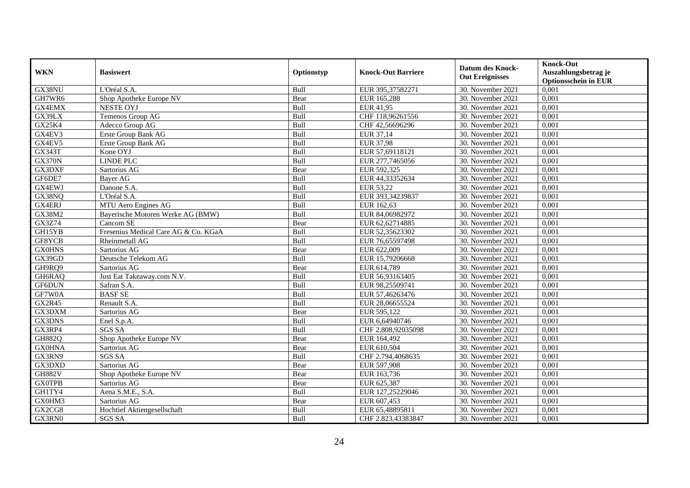| <b>WKN</b>    | <b>Basiswert</b>                     | Optionstyp | <b>Knock-Out Barriere</b> | Datum des Knock-<br><b>Out Ereignisses</b> | <b>Knock-Out</b><br>Auszahlungsbetrag je<br><b>Optionsschein in EUR</b> |
|---------------|--------------------------------------|------------|---------------------------|--------------------------------------------|-------------------------------------------------------------------------|
| GX38NU        | L'Oréal S.A.                         | Bull       | EUR 395,37582271          | 30. November 2021                          | 0,001                                                                   |
| GH7WR6        | Shop Apotheke Europe NV              | Bear       | EUR 165,288               | 30. November 2021                          | 0,001                                                                   |
| GX4EMX        | <b>NESTE OYJ</b>                     | Bull       | EUR 41,95                 | 30. November 2021                          | 0,001                                                                   |
| GX39LX        | Temenos Group AG                     | Bull       | CHF 118,96261556          | 30. November 2021                          | 0,001                                                                   |
| GX25K4        | Adecco Group AG                      | Bull       | CHF 42,56696296           | 30. November 2021                          | 0,001                                                                   |
| GX4EV3        | Erste Group Bank AG                  | Bull       | EUR 37,14                 | 30. November 2021                          | 0,001                                                                   |
| GX4EV5        | Erste Group Bank AG                  | Bull       | <b>EUR 37,98</b>          | 30. November 2021                          | 0,001                                                                   |
| <b>GX343T</b> | Kone OYJ                             | Bull       | EUR 57,69118121           | 30. November 2021                          | 0,001                                                                   |
| <b>GX370N</b> | <b>LINDE PLC</b>                     | Bull       | EUR 277,7465056           | 30. November 2021                          | 0,001                                                                   |
| GX3DXF        | Sartorius AG                         | Bear       | EUR 592,325               | 30. November 2021                          | 0,001                                                                   |
| GF6DE7        | Bayer AG                             | Bull       | EUR 44,33352634           | 30. November 2021                          | 0,001                                                                   |
| GX4EWJ        | Danone S.A.                          | Bull       | EUR 53,22                 | 30. November 2021                          | 0,001                                                                   |
| GX38NQ        | L'Oréal S.A.                         | Bull       | EUR 393.34239837          | 30. November 2021                          | 0,001                                                                   |
| GX4ERJ        | MTU Aero Engines AG                  | Bull       | EUR 162,63                | 30. November 2021                          | 0,001                                                                   |
| GX38M2        | Bayerische Motoren Werke AG (BMW)    | Bull       | EUR 84,06982972           | 30. November 2021                          | 0,001                                                                   |
| GX3Z74        | Cancom SE                            | Bear       | EUR 62,62714885           | 30. November 2021                          | 0,001                                                                   |
| GH15YB        | Fresenius Medical Care AG & Co. KGaA | Bull       | EUR 52,35623302           | 30. November 2021                          | 0,001                                                                   |
| GF8YCB        | Rheinmetall AG                       | Bull       | EUR 76,65597498           | 30. November 2021                          | 0,001                                                                   |
| <b>GX0HNS</b> | Sartorius AG                         | Bear       | EUR 622,009               | 30. November 2021                          | 0,001                                                                   |
| GX39GD        | Deutsche Telekom AG                  | Bull       | EUR 15,79206668           | 30. November 2021                          | 0,001                                                                   |
| GH9RQ9        | Sartorius AG                         | Bear       | EUR 614,789               | 30. November 2021                          | 0,001                                                                   |
| GH6RAQ        | Just Eat Takeaway.com N.V.           | Bull       | EUR 56,93163405           | 30. November 2021                          | 0,001                                                                   |
| GF6DUN        | Safran S.A.                          | Bull       | EUR 98,25509741           | 30. November 2021                          | 0,001                                                                   |
| GF7W0A        | <b>BASF SE</b>                       | Bull       | EUR 57,46263476           | 30. November 2021                          | 0,001                                                                   |
| <b>GX2R45</b> | Renault S.A.                         | Bull       | EUR 28,06655524           | 30. November 2021                          | 0,001                                                                   |
| GX3DXM        | Sartorius AG                         | Bear       | EUR 595,122               | 30. November 2021                          | 0,001                                                                   |
| GX3DNS        | Enel S.p.A.                          | Bull       | EUR 6,64940746            | 30. November 2021                          | 0,001                                                                   |
| GX3RP4        | <b>SGS SA</b>                        | Bull       | CHF 2.808,92035098        | 30. November 2021                          | 0,001                                                                   |
| <b>GH882Q</b> | Shop Apotheke Europe NV              | Bear       | EUR 164,492               | 30. November 2021                          | 0,001                                                                   |
| <b>GX0HNA</b> | Sartorius AG                         | Bear       | EUR 610,504               | 30. November 2021                          | 0,001                                                                   |
| GX3RN9        | <b>SGS SA</b>                        | Bull       | CHF 2.794,4068635         | 30. November 2021                          | 0,001                                                                   |
| GX3DXD        | Sartorius AG                         | Bear       | EUR 597,908               | 30. November 2021                          | 0,001                                                                   |
| <b>GH882V</b> | Shop Apotheke Europe NV              | Bear       | EUR 163,736               | 30. November 2021                          | 0,001                                                                   |
| <b>GX0TPB</b> | Sartorius AG                         | Bear       | EUR 625,387               | 30. November 2021                          | 0,001                                                                   |
| GH1TY4        | Aena S.M.E., S.A.                    | Bull       | EUR 127,25229046          | 30. November 2021                          | 0,001                                                                   |
| GX0HM3        | Sartorius AG                         | Bear       | EUR 607,453               | 30. November 2021                          | 0,001                                                                   |
| GX2CG8        | Hochtief Aktiengesellschaft          | Bull       | EUR 65,48895811           | 30. November 2021                          | 0,001                                                                   |
| GX3RN0        | <b>SGS SA</b>                        | Bull       | CHF 2.823,43383847        | 30. November 2021                          | 0,001                                                                   |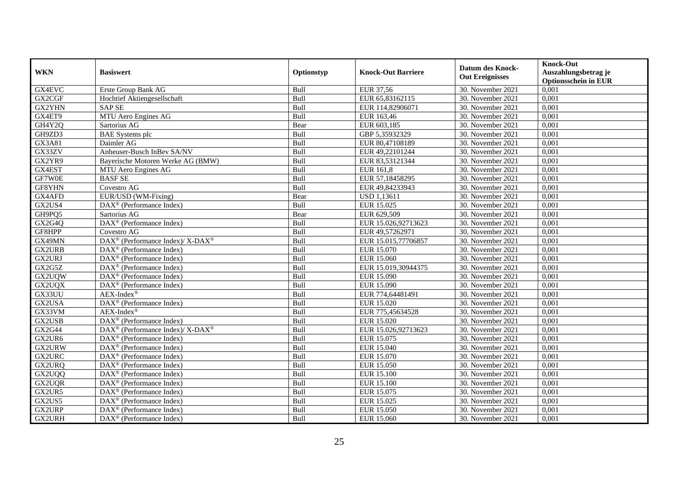| <b>WKN</b>    | <b>Basiswert</b>                                             | Optionstyp  | <b>Knock-Out Barriere</b> | <b>Datum des Knock-</b><br><b>Out Ereignisses</b> | <b>Knock-Out</b><br>Auszahlungsbetrag je<br><b>Optionsschein in EUR</b> |
|---------------|--------------------------------------------------------------|-------------|---------------------------|---------------------------------------------------|-------------------------------------------------------------------------|
| <b>GX4EVC</b> | Erste Group Bank AG                                          | Bull        | EUR 37,56                 | 30. November 2021                                 | 0,001                                                                   |
| GX2CGF        | Hochtief Aktiengesellschaft                                  | Bull        | EUR 65,83162115           | 30. November 2021                                 | 0,001                                                                   |
| GX2YHN        | <b>SAP SE</b>                                                | Bull        | EUR 114,82906071          | 30. November 2021                                 | 0,001                                                                   |
| GX4ET9        | MTU Aero Engines AG                                          | Bull        | EUR 163,46                | 30. November 2021                                 | 0,001                                                                   |
| GH4Y2Q        | Sartorius AG                                                 | Bear        | EUR 603,185               | 30. November 2021                                 | 0,001                                                                   |
| GH9ZD3        | <b>BAE</b> Systems plc                                       | Bull        | GBP 5,35932329            | 30. November 2021                                 | 0,001                                                                   |
| GX3A81        | Daimler AG                                                   | Bull        | EUR 80,47108189           | 30. November 2021                                 | 0,001                                                                   |
| GX33ZV        | Anheuser-Busch InBev SA/NV                                   | Bull        | EUR 49,22101244           | 30. November 2021                                 | 0,001                                                                   |
| GX2YR9        | Bayerische Motoren Werke AG (BMW)                            | Bull        | EUR 83,53121344           | 30. November 2021                                 | 0,001                                                                   |
| GX4EST        | MTU Aero Engines AG                                          | Bull        | <b>EUR 161,8</b>          | 30. November 2021                                 | 0,001                                                                   |
| GF7W0E        | <b>BASF SE</b>                                               | Bull        | EUR 57,18458295           | 30. November 2021                                 | 0,001                                                                   |
| GF8YHN        | Covestro AG                                                  | Bull        | EUR 49,84233943           | 30. November 2021                                 | 0,001                                                                   |
| GX4AFD        | EUR/USD (WM-Fixing)                                          | Bear        | <b>USD</b> 1,13611        | 30. November 2021                                 | 0,001                                                                   |
| GX2US4        | $\text{DAX}^{\textcircled{p}}$ (Performance Index)           | Bull        | EUR 15.025                | 30. November 2021                                 | 0,001                                                                   |
| GH9PQ5        | Sartorius AG                                                 | Bear        | EUR 629,509               | 30. November 2021                                 | 0,001                                                                   |
| GX2G4Q        | DAX <sup>®</sup> (Performance Index)                         | Bull        | EUR 15.026,92713623       | 30. November 2021                                 | 0,001                                                                   |
| GF8HPP        | Covestro AG                                                  | Bull        | EUR 49,57262971           | 30. November 2021                                 | 0,001                                                                   |
| GX49MN        | $DAX^{\circledcirc}$ (Performance Index)/ X-DAX <sup>®</sup> | <b>Bull</b> | EUR 15.015.77706857       | 30. November 2021                                 | 0.001                                                                   |
| <b>GX2URB</b> | $\overline{\text{DAX}}^{\textcircled{}}$ (Performance Index) | Bull        | EUR 15.070                | 30. November 2021                                 | 0,001                                                                   |
| GX2URJ        | $\text{DAX}^{\textcircled{p}}$ (Performance Index)           | Bull        | <b>EUR 15.060</b>         | 30. November 2021                                 | 0,001                                                                   |
| GX2G5Z        | $\text{DAX}^{\textcircled{p}}$ (Performance Index)           | Bull        | EUR 15.019,30944375       | 30. November 2021                                 | 0,001                                                                   |
| GX2UQW        | $\text{DAX}^{\textcircled{p}}$ (Performance Index)           | Bull        | <b>EUR 15.090</b>         | 30. November 2021                                 | $0,\overline{001}$                                                      |
| GX2UQX        | $\text{DAX}^{\circledR}$ (Performance Index)                 | Bull        | EUR 15.090                | 30. November 2021                                 | 0,001                                                                   |
| GX33UU        | $AEX-Index^{\circledR}$                                      | Bull        | EUR 774,64481491          | 30. November 2021                                 | 0,001                                                                   |
| GX2USA        | DAX <sup>®</sup> (Performance Index)                         | Bull        | EUR 15.020                | 30. November 2021                                 | 0,001                                                                   |
| GX33VM        | $AEX-Index^{\circledR}$                                      | Bull        | EUR 775,45634528          | 30. November 2021                                 | 0,001                                                                   |
| GX2USB        | DAX <sup>®</sup> (Performance Index)                         | Bull        | EUR 15.020                | 30. November 2021                                 | 0,001                                                                   |
| GX2G44        | $DAX^{\circledast}$ (Performance Index)/ X-DAX <sup>®</sup>  | Bull        | EUR 15.026,92713623       | 30. November 2021                                 | 0,001                                                                   |
| GX2UR6        | $\text{DAX}^{\textcircled{p}}$ (Performance Index)           | Bull        | EUR 15.075                | 30. November 2021                                 | 0,001                                                                   |
| <b>GX2URW</b> | $\text{DAX}^{\textcircled{p}}$ (Performance Index)           | Bull        | <b>EUR 15.040</b>         | 30. November 2021                                 | 0,001                                                                   |
| GX2URC        | $\text{DAX}^{\textcircled{p}}$ (Performance Index)           | Bull        | <b>EUR 15.070</b>         | 30. November 2021                                 | 0,001                                                                   |
| GX2URQ        | DAX <sup>®</sup> (Performance Index)                         | Bull        | <b>EUR 15.050</b>         | 30. November 2021                                 | 0,001                                                                   |
| GX2UQQ        | $\text{DAX}^{\textcircled{p}}$ (Performance Index)           | Bull        | <b>EUR 15.100</b>         | 30. November 2021                                 | 0,001                                                                   |
| GX2UQR        | $\overline{\text{DAX}}^{\textcircled{}}$ (Performance Index) | Bull        | <b>EUR 15.100</b>         | 30. November 2021                                 | 0,001                                                                   |
| GX2UR5        | $\text{DAX}^{\circledR}$ (Performance Index)                 | Bull        | EUR 15.075                | 30. November 2021                                 | 0,001                                                                   |
| GX2US5        | DAX <sup>®</sup> (Performance Index)                         | Bull        | EUR 15.025                | 30. November 2021                                 | 0,001                                                                   |
| GX2URP        | $\text{DAX}^{\circledR}$ (Performance Index)                 | Bull        | <b>EUR 15.050</b>         | 30. November 2021                                 | 0,001                                                                   |
| GX2URH        | $\text{DAX}^{\circledR}$ (Performance Index)                 | Bull        | EUR 15.060                | 30. November 2021                                 | 0,001                                                                   |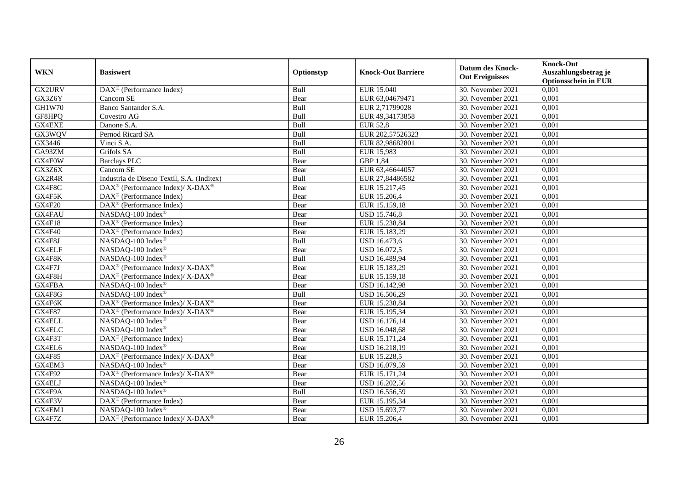| <b>WKN</b>    | <b>Basiswert</b>                                                   | Optionstyp | <b>Knock-Out Barriere</b> | <b>Datum des Knock-</b><br><b>Out Ereignisses</b> | <b>Knock-Out</b><br>Auszahlungsbetrag je<br><b>Optionsschein in EUR</b> |
|---------------|--------------------------------------------------------------------|------------|---------------------------|---------------------------------------------------|-------------------------------------------------------------------------|
| GX2URV        | DAX <sup>®</sup> (Performance Index)                               | Bull       | EUR 15.040                | 30. November 2021                                 | 0,001                                                                   |
| GX3Z6Y        | Cancom SE                                                          | Bear       | EUR 63,04679471           | 30. November 2021                                 | 0,001                                                                   |
| <b>GH1W70</b> | Banco Santander S.A.                                               | Bull       | EUR 2,71799028            | 30. November 2021                                 | 0,001                                                                   |
| GF8HPQ        | Covestro AG                                                        | Bull       | EUR 49,34173858           | 30. November 2021                                 | 0,001                                                                   |
| GX4EXE        | Danone S.A.                                                        | Bull       | <b>EUR 52,8</b>           | 30. November 2021                                 | 0,001                                                                   |
| GX3WQV        | Pernod Ricard SA                                                   | Bull       | EUR 202,57526323          | 30. November 2021                                 | 0,001                                                                   |
| GX3446        | Vinci S.A.                                                         | Bull       | EUR 82,98682801           | 30. November 2021                                 | 0,001                                                                   |
| GA93ZM        | Grifols SA                                                         | Bull       | EUR 15,983                | 30. November 2021                                 | 0,001                                                                   |
| GX4F0W        | <b>Barclays PLC</b>                                                | Bear       | GBP 1,84                  | 30. November 2021                                 | 0,001                                                                   |
| GX3Z6X        | Cancom SE                                                          | Bear       | EUR 63,46644057           | 30. November 2021                                 | 0,001                                                                   |
| GX2R4R        | Industria de Diseno Textil, S.A. (Inditex)                         | Bull       | EUR 27,84486582           | 30. November 2021                                 | 0,001                                                                   |
| GX4F8C        | DAX <sup>®</sup> (Performance Index)/ X-DAX <sup>®</sup>           | Bear       | EUR 15.217,45             | 30. November 2021                                 | 0,001                                                                   |
| GX4F5K        | $\text{DAX}^{\textcircled{n}}$ (Performance Index)                 | Bear       | EUR 15.206,4              | 30. November 2021                                 | 0,001                                                                   |
| GX4F20        | DAX <sup>®</sup> (Performance Index)                               | Bear       | EUR 15.159,18             | 30. November 2021                                 | 0,001                                                                   |
| GX4FAU        | NASDAQ-100 Index®                                                  | Bear       | <b>USD 15.746,8</b>       | 30. November 2021                                 | 0,001                                                                   |
| GX4F18        | DAX <sup>®</sup> (Performance Index)                               | Bear       | EUR 15.238,84             | 30. November 2021                                 | 0,001                                                                   |
| GX4F40        | $\overline{\text{DA}}X^{\textcircled{a}}$ (Performance Index)      | Bear       | EUR 15.183,29             | 30. November 2021                                 | 0,001                                                                   |
| GX4F8J        | NASDAQ-100 Index®                                                  | Bull       | <b>USD 16.473,6</b>       | 30. November 2021                                 | 0,001                                                                   |
| GX4ELF        | NASDAQ-100 Index®                                                  | Bear       | USD 16.072,5              | 30. November 2021                                 | 0,001                                                                   |
| GX4F8K        | NASDAQ-100 Index®                                                  | Bull       | USD 16.489,94             | 30. November 2021                                 | 0,001                                                                   |
| GX4F7J        | $\text{DAX}^{\circledR}$ (Performance Index)/ X-DAX <sup>®</sup>   | Bear       | EUR 15.183,29             | 30. November 2021                                 | 0,001                                                                   |
| GX4F8H        | $\text{DAX}^{\otimes}$ (Performance Index)/X-DAX <sup>®</sup>      | Bear       | EUR 15.159,18             | 30. November 2021                                 | 0,001                                                                   |
| GX4FBA        | NASDAQ-100 Index®                                                  | Bear       | <b>USD 16.142,98</b>      | 30. November 2021                                 | 0,001                                                                   |
| GX4F8G        | NASDAQ-100 Index®                                                  | Bull       | USD 16.506,29             | 30. November 2021                                 | 0,001                                                                   |
| GX4F6K        | DAX <sup>®</sup> (Performance Index)/ X-DAX <sup>®</sup>           | Bear       | EUR 15.238,84             | 30. November 2021                                 | 0,001                                                                   |
| <b>GX4F87</b> | $\text{DAX}^{\circledast}$ (Performance Index)/ X-DAX <sup>®</sup> | Bear       | EUR 15.195,34             | 30. November 2021                                 | 0,001                                                                   |
| <b>GX4ELL</b> | NASDAQ-100 Index®                                                  | Bear       | USD 16.176,14             | 30. November 2021                                 | 0,001                                                                   |
| <b>GX4ELC</b> | NASDAQ-100 Index®                                                  | Bear       | USD 16.048,68             | 30. November 2021                                 | 0,001                                                                   |
| GX4F3T        | DAX <sup>®</sup> (Performance Index)                               | Bear       | EUR 15.171,24             | 30. November 2021                                 | 0,001                                                                   |
| GX4EL6        | NASDAQ-100 Index®                                                  | Bear       | USD 16.218,19             | 30. November 2021                                 | 0,001                                                                   |
| <b>GX4F85</b> | $\text{DAX}^{\circledR}$ (Performance Index)/ X-DAX <sup>®</sup>   | Bear       | EUR 15.228,5              | 30. November 2021                                 | 0,001                                                                   |
| GX4EM3        | NASDAQ-100 Index®                                                  | Bear       | USD 16.079,59             | 30. November 2021                                 | 0,001                                                                   |
| <b>GX4F92</b> | DAX <sup>®</sup> (Performance Index)/X-DAX <sup>®</sup>            | Bear       | EUR 15.171,24             | 30. November 2021                                 | 0,001                                                                   |
| GX4ELJ        | NASDAQ-100 Index®                                                  | Bear       | USD 16.202,56             | 30. November 2021                                 | 0,001                                                                   |
| GX4F9A        | NASDAQ-100 Index®                                                  | Bull       | USD 16.556,59             | 30. November 2021                                 | 0,001                                                                   |
| GX4F3V        | DAX <sup>®</sup> (Performance Index)                               | Bear       | EUR 15.195,34             | 30. November 2021                                 | 0,001                                                                   |
| GX4EM1        | NASDAQ-100 Index®                                                  | Bear       | USD 15.693,77             | 30. November 2021                                 | 0,001                                                                   |
| GX4F7Z        | DAX <sup>®</sup> (Performance Index)/ X-DAX <sup>®</sup>           | Bear       | EUR 15.206,4              | 30. November 2021                                 | 0,001                                                                   |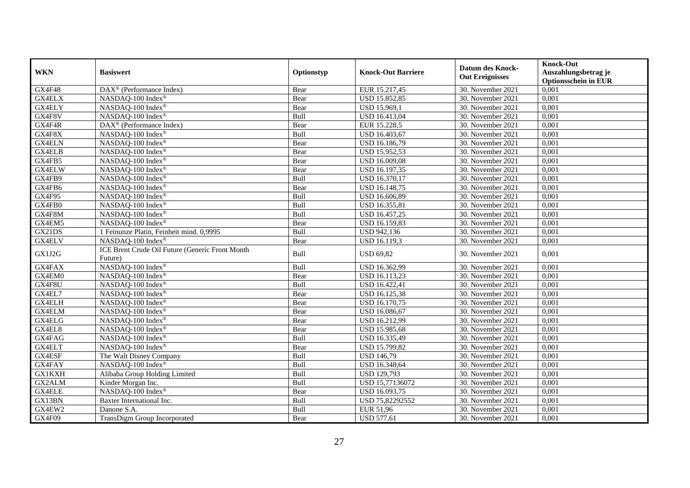|               |                                                            |            |                           | <b>Datum des Knock-</b> | <b>Knock-Out</b>            |
|---------------|------------------------------------------------------------|------------|---------------------------|-------------------------|-----------------------------|
| <b>WKN</b>    | <b>Basiswert</b>                                           | Optionstyp | <b>Knock-Out Barriere</b> | <b>Out Ereignisses</b>  | Auszahlungsbetrag je        |
|               |                                                            |            |                           |                         | <b>Optionsschein in EUR</b> |
| GX4F48        | DAX <sup>®</sup> (Performance Index)                       | Bear       | EUR 15.217,45             | 30. November 2021       | 0,001                       |
| <b>GX4ELX</b> | NASDAQ-100 Index®                                          | Bear       | USD 15.852,85             | 30. November 2021       | 0,001                       |
| <b>GX4ELY</b> | NASDAQ-100 Index®                                          | Bear       | USD 15.969,1              | 30. November 2021       | 0,001                       |
| GX4F8V        | NASDAQ-100 Index®                                          | Bull       | USD 16.413,04             | 30. November 2021       | 0,001                       |
| GX4F4R        | DAX <sup>®</sup> (Performance Index)                       | Bear       | EUR 15.228,5              | 30. November 2021       | 0,001                       |
| GX4F8X        | NASDAQ-100 Index®                                          | Bull       | USD 16.403,67             | 30. November 2021       | 0,001                       |
| <b>GX4ELN</b> | NASDAQ-100 Index®                                          | Bear       | USD 16.186,79             | 30. November 2021       | 0,001                       |
| GX4ELB        | NASDAQ-100 Index®                                          | Bear       | USD 15.952,53             | 30. November 2021       | 0,001                       |
| GX4FB5        | NASDAQ-100 Index®                                          | Bear       | USD 16.009,08             | 30. November 2021       | 0,001                       |
| GX4ELW        | NASDAQ-100 Index®                                          | Bear       | USD 16.197,35             | 30. November 2021       | 0,001                       |
| GX4FB9        | NASDAQ-100 Index®                                          | Bull       | USD 16.370,17             | 30. November 2021       | 0,001                       |
| GX4FB6        | NASDAQ-100 Index®                                          | Bear       | <b>USD 16.148,75</b>      | 30. November 2021       | 0,001                       |
| GX4F95        | NASDAQ-100 Index®                                          | Bull       | USD 16.606,89             | 30. November 2021       | 0,001                       |
| GX4FB0        | NASDAQ-100 Index®                                          | Bull       | USD 16.355,81             | 30. November 2021       | 0,001                       |
| GX4F8M        | NASDAQ-100 Index®                                          | Bull       | USD 16.457,25             | 30. November 2021       | 0,001                       |
| GX4EM5        | NASDAQ-100 Index®                                          | Bear       | USD 16.159,83             | 30. November 2021       | 0,001                       |
| GX21DS        | 1 Feinunze Platin, Feinheit mind. 0,9995                   | Bull       | USD 942,136               | 30. November 2021       | 0,001                       |
| <b>GX4ELV</b> | NASDAO-100 Index <sup>®</sup>                              | Bear       | <b>USD 16.119.3</b>       | 30. November 2021       | 0,001                       |
| GX1J2G        | ICE Brent Crude Oil Future (Generic Front Month<br>Future) | Bull       | <b>USD 69,82</b>          | 30. November 2021       | 0,001                       |
| <b>GX4FAX</b> | NASDAQ-100 Index®                                          | Bull       | USD 16.362,99             | 30. November 2021       | 0,001                       |
| GX4EM0        | NASDAQ-100 Index®                                          | Bear       | USD 16.113,23             | 30. November 2021       | 0,001                       |
| GX4F8U        | NASDAQ-100 Index®                                          | Bull       | USD 16.422,41             | 30. November 2021       | 0,001                       |
| GX4EL7        | NASDAQ-100 Index®                                          | Bear       | USD 16.125,38             | 30. November 2021       | 0,001                       |
| <b>GX4ELH</b> | NASDAQ-100 Index®                                          | Bear       | USD 16.170,75             | 30. November 2021       | 0,001                       |
| <b>GX4ELM</b> | NASDAQ-100 Index®                                          | Bear       | USD 16.086,67             | 30. November 2021       | 0,001                       |
| <b>GX4ELG</b> | NASDAQ-100 Index®                                          | Bear       | USD 16.212,99             | 30. November 2021       | 0,001                       |
| GX4EL8        | NASDAQ-100 Index®                                          | Bear       | USD 15.985,68             | 30. November 2021       | 0,001                       |
| GX4FAG        | NASDAQ-100 Index®                                          | Bull       | USD 16.335,49             | 30. November 2021       | 0,001                       |
| GX4ELT        | NASDAQ-100 Index®                                          | Bear       | USD 15.799,82             | 30. November 2021       | 0,001                       |
| GX4ESF        | The Walt Disney Company                                    | Bull       | <b>USD 146,79</b>         | 30. November 2021       | 0,001                       |
| GX4FAY        | NASDAO-100 Index®                                          | Bull       | USD 16.348,64             | 30. November 2021       | 0,001                       |
| <b>GX1KXH</b> | Alibaba Group Holding Limited                              | Bull       | <b>USD 129,793</b>        | 30. November 2021       | 0,001                       |
| <b>GX2ALM</b> | Kinder Morgan Inc.                                         | Bull       | USD 15,77136072           | 30. November 2021       | 0,001                       |
| <b>GX4ELE</b> | NASDAQ-100 Index®                                          | Bear       | USD 16.093,75             | 30. November 2021       | 0,001                       |
| GX13BN        | Baxter International Inc.                                  | Bull       | USD 75,82292552           | 30. November 2021       | 0,001                       |
| GX4EW2        | Danone S.A.                                                | Bull       | EUR 51,96                 | 30. November 2021       | 0,001                       |
| GX4F09        | TransDigm Group Incorporated                               | Bear       | <b>USD 577,61</b>         | 30. November 2021       | 0,001                       |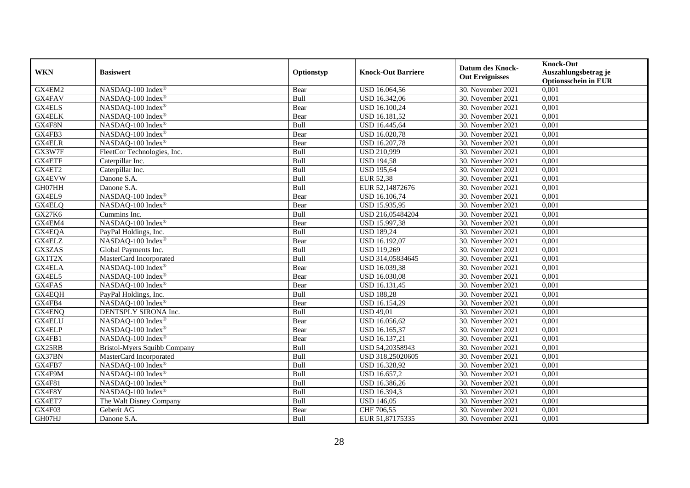| <b>WKN</b>    | <b>Basiswert</b>                    | Optionstyp | <b>Knock-Out Barriere</b> | <b>Datum des Knock-</b><br><b>Out Ereignisses</b> | <b>Knock-Out</b><br>Auszahlungsbetrag je<br><b>Optionsschein in EUR</b> |
|---------------|-------------------------------------|------------|---------------------------|---------------------------------------------------|-------------------------------------------------------------------------|
| GX4EM2        | NASDAQ-100 Index®                   | Bear       | USD 16.064,56             | 30. November 2021                                 | 0,001                                                                   |
| GX4FAV        | NASDAQ-100 Index®                   | Bull       | USD 16.342,06             | 30. November 2021                                 | 0,001                                                                   |
| <b>GX4ELS</b> | NASDAQ-100 Index®                   | Bear       | USD 16.100,24             | 30. November 2021                                 | $0,\overline{001}$                                                      |
| <b>GX4ELK</b> | NASDAQ-100 Index®                   | Bear       | USD 16.181,52             | 30. November 2021                                 | 0,001                                                                   |
| GX4F8N        | NASDAQ-100 Index®                   | Bull       | USD 16.445,64             | 30. November 2021                                 | 0,001                                                                   |
| GX4FB3        | NASDAQ-100 Index®                   | Bear       | USD 16.020,78             | 30. November 2021                                 | 0,001                                                                   |
| GX4ELR        | NASDAQ-100 Index®                   | Bear       | USD 16.207,78             | 30. November 2021                                 | 0,001                                                                   |
| GX3W7F        | FleetCor Technologies, Inc.         | Bull       | <b>USD 210,999</b>        | 30. November 2021                                 | 0,001                                                                   |
| GX4ETF        | Caterpillar Inc.                    | Bull       | <b>USD 194,58</b>         | 30. November 2021                                 | 0,001                                                                   |
| GX4ET2        | Caterpillar Inc.                    | Bull       | <b>USD 195,64</b>         | 30. November 2021                                 | 0,001                                                                   |
| <b>GX4EVW</b> | Danone S.A.                         | Bull       | <b>EUR 52,38</b>          | 30. November 2021                                 | 0,001                                                                   |
| GH07HH        | Danone S.A.                         | Bull       | EUR 52,14872676           | 30. November 2021                                 | 0,001                                                                   |
| GX4EL9        | NASDAQ-100 Index®                   | Bear       | USD 16.106,74             | 30. November 2021                                 | 0,001                                                                   |
| GX4ELQ        | NASDAQ-100 Index®                   | Bear       | USD 15.935,95             | 30. November 2021                                 | 0,001                                                                   |
| GX27K6        | Cummins Inc.                        | Bull       | USD 216,05484204          | 30. November 2021                                 | 0,001                                                                   |
| GX4EM4        | NASDAQ-100 Index®                   | Bear       | USD 15.997,38             | 30. November 2021                                 | 0,001                                                                   |
| GX4EQA        | PayPal Holdings, Inc.               | Bull       | <b>USD 189,24</b>         | 30. November 2021                                 | 0,001                                                                   |
| <b>GX4ELZ</b> | NASDAO-100 Index®                   | Bear       | <b>USD 16.192.07</b>      | 30. November 2021                                 | 0,001                                                                   |
| GX3ZAS        | Global Payments Inc.                | Bull       | <b>USD 119,269</b>        | 30. November 2021                                 | 0,001                                                                   |
| GX1T2X        | MasterCard Incorporated             | Bull       | USD 314,05834645          | 30. November 2021                                 | 0,001                                                                   |
| GX4ELA        | NASDAQ-100 Index®                   | Bear       | USD 16.039,38             | 30. November 2021                                 | 0,001                                                                   |
| GX4EL5        | NASDAQ-100 Index®                   | Bear       | <b>USD 16.030,08</b>      | 30. November 2021                                 | 0,001                                                                   |
| GX4FAS        | NASDAQ-100 Index®                   | Bear       | USD 16.131,45             | 30. November 2021                                 | 0,001                                                                   |
| GX4EQH        | PayPal Holdings, Inc.               | Bull       | <b>USD 188,28</b>         | 30. November 2021                                 | 0,001                                                                   |
| GX4FB4        | NASDAQ-100 Index®                   | Bear       | USD 16.154,29             | 30. November 2021                                 | 0,001                                                                   |
| GX4ENQ        | DENTSPLY SIRONA Inc.                | Bull       | <b>USD 49,01</b>          | 30. November 2021                                 | 0,001                                                                   |
| GX4ELU        | NASDAQ-100 Index®                   | Bear       | USD 16.056,62             | 30. November 2021                                 | 0,001                                                                   |
| GX4ELP        | NASDAQ-100 Index®                   | Bear       | USD 16.165,37             | 30. November 2021                                 | 0,001                                                                   |
| GX4FB1        | NASDAQ-100 Index®                   | Bear       | USD 16.137,21             | 30. November 2021                                 | 0,001                                                                   |
| GX25RB        | <b>Bristol-Myers Squibb Company</b> | Bull       | USD 54,20358943           | 30. November 2021                                 | 0,001                                                                   |
| GX37BN        | MasterCard Incorporated             | Bull       | USD 318,25020605          | 30. November 2021                                 | 0,001                                                                   |
| GX4FB7        | NASDAQ-100 Index®                   | Bull       | USD 16.328,92             | 30. November 2021                                 | 0,001                                                                   |
| GX4F9M        | NASDAQ-100 Index®                   | Bull       | USD 16.657,2              | 30. November 2021                                 | 0,001                                                                   |
| <b>GX4F81</b> | NASDAQ-100 Index®                   | Bull       | USD 16.386,26             | 30. November 2021                                 | 0,001                                                                   |
| GX4F8Y        | NASDAQ-100 Index®                   | Bull       | USD 16.394,3              | 30. November 2021                                 | 0,001                                                                   |
| GX4ET7        | The Walt Disney Company             | Bull       | <b>USD 146,05</b>         | 30. November 2021                                 | 0,001                                                                   |
| GX4F03        | Geberit AG                          | Bear       | CHF 706,55                | 30. November 2021                                 | 0,001                                                                   |
| GH07HJ        | Danone S.A.                         | Bull       | EUR 51,87175335           | 30. November 2021                                 | 0,001                                                                   |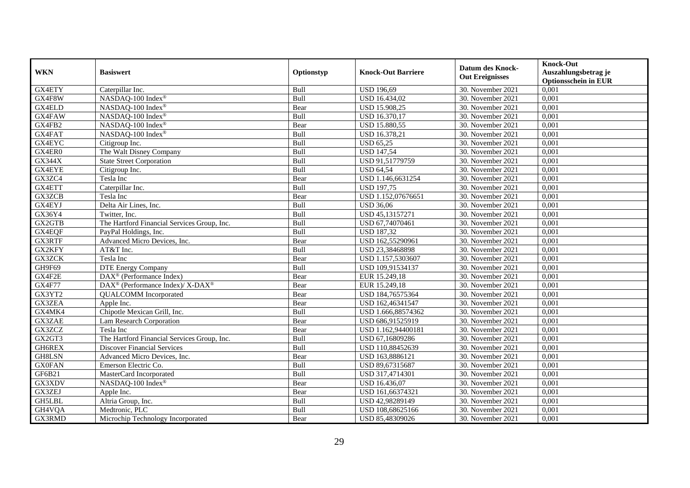| <b>WKN</b>    | <b>Basiswert</b>                                        | Optionstyp | <b>Knock-Out Barriere</b> | <b>Datum des Knock-</b><br><b>Out Ereignisses</b> | <b>Knock-Out</b><br>Auszahlungsbetrag je<br><b>Optionsschein in EUR</b> |
|---------------|---------------------------------------------------------|------------|---------------------------|---------------------------------------------------|-------------------------------------------------------------------------|
| GX4ETY        | Caterpillar Inc.                                        | Bull       | <b>USD 196,69</b>         | 30. November 2021                                 | 0,001                                                                   |
| GX4F8W        | NASDAQ-100 Index®                                       | Bull       | USD 16.434,02             | 30. November 2021                                 | 0,001                                                                   |
| GX4ELD        | NASDAQ-100 Index®                                       | Bear       | USD 15.908,25             | 30. November 2021                                 | 0,001                                                                   |
| GX4FAW        | NASDAQ-100 Index®                                       | Bull       | USD 16.370,17             | 30. November 2021                                 | 0,001                                                                   |
| GX4FB2        | NASDAQ-100 Index®                                       | Bear       | USD 15.880,55             | 30. November 2021                                 | 0,001                                                                   |
| GX4FAT        | NASDAQ-100 Index®                                       | Bull       | USD 16.378,21             | 30. November 2021                                 | 0,001                                                                   |
| <b>GX4EYC</b> | Citigroup Inc.                                          | Bull       | <b>USD 65,25</b>          | 30. November 2021                                 | 0,001                                                                   |
| GX4ER0        | The Walt Disney Company                                 | Bull       | <b>USD 147,54</b>         | 30. November 2021                                 | 0,001                                                                   |
| <b>GX344X</b> | <b>State Street Corporation</b>                         | Bull       | USD 91,51779759           | 30. November 2021                                 | 0,001                                                                   |
| GX4EYE        | Citigroup Inc.                                          | Bull       | <b>USD 64,54</b>          | 30. November 2021                                 | 0,001                                                                   |
| GX3ZC4        | Tesla Inc                                               | Bear       | USD 1.146,6631254         | 30. November 2021                                 | 0,001                                                                   |
| GX4ETT        | Caterpillar Inc.                                        | Bull       | <b>USD 197,75</b>         | 30. November 2021                                 | 0,001                                                                   |
| GX3ZCB        | Tesla Inc                                               | Bear       | USD 1.152,07676651        | 30. November 2021                                 | 0,001                                                                   |
| GX4EYJ        | Delta Air Lines, Inc.                                   | Bull       | <b>USD 36.06</b>          | 30. November 2021                                 | 0,001                                                                   |
| GX36Y4        | Twitter, Inc.                                           | Bull       | USD 45,13157271           | 30. November 2021                                 | 0,001                                                                   |
| GX2GTB        | The Hartford Financial Services Group, Inc.             | Bull       | USD 67,74070461           | 30. November 2021                                 | 0,001                                                                   |
| GX4EQF        | PayPal Holdings, Inc.                                   | Bull       | <b>USD 187,32</b>         | 30. November 2021                                 | 0,001                                                                   |
| <b>GX3RTF</b> | Advanced Micro Devices, Inc.                            | Bear       | USD 162,55290961          | 30. November 2021                                 | 0,001                                                                   |
| GX2KFY        | AT&T Inc.                                               | Bull       | USD 23,38468898           | 30. November 2021                                 | 0,001                                                                   |
| GX3ZCK        | Tesla Inc                                               | Bear       | USD 1.157,5303607         | 30. November 2021                                 | 0,001                                                                   |
| GH9F69        | DTE Energy Company                                      | Bull       | USD 109,91534137          | 30. November 2021                                 | 0,001                                                                   |
| GX4F2E        | DAX <sup>®</sup> (Performance Index)                    | Bear       | EUR 15.249,18             | 30. November 2021                                 | 0,001                                                                   |
| <b>GX4F77</b> | DAX <sup>®</sup> (Performance Index)/X-DAX <sup>®</sup> | Bear       | EUR 15.249,18             | 30. November 2021                                 | 0,001                                                                   |
| GX3YT2        | <b>QUALCOMM</b> Incorporated                            | Bear       | USD 184,76575364          | 30. November 2021                                 | 0,001                                                                   |
| <b>GX3ZEA</b> | Apple Inc.                                              | Bear       | USD 162,46341547          | 30. November 2021                                 | 0,001                                                                   |
| GX4MK4        | Chipotle Mexican Grill, Inc.                            | Bull       | USD 1.666,88574362        | 30. November 2021                                 | 0,001                                                                   |
| GX3ZAE        | Lam Research Corporation                                | Bear       | USD 686,91525919          | 30. November 2021                                 | 0,001                                                                   |
| GX3ZCZ        | Tesla Inc                                               | Bear       | USD 1.162,94400181        | 30. November 2021                                 | 0,001                                                                   |
| GX2GT3        | The Hartford Financial Services Group, Inc.             | Bull       | USD 67,16809286           | 30. November 2021                                 | 0,001                                                                   |
| GH6REX        | <b>Discover Financial Services</b>                      | Bull       | USD 110,88452639          | 30. November 2021                                 | 0,001                                                                   |
| GH8LSN        | Advanced Micro Devices, Inc.                            | Bear       | USD 163,8886121           | 30. November 2021                                 | 0,001                                                                   |
| <b>GX0FAN</b> | Emerson Electric Co.                                    | Bull       | USD 89,67315687           | 30. November 2021                                 | 0,001                                                                   |
| GF6B21        | MasterCard Incorporated                                 | Bull       | USD 317,4714301           | 30. November 2021                                 | 0,001                                                                   |
| GX3XDV        | NASDAQ-100 Index®                                       | Bear       | <b>USD 16.436,07</b>      | 30. November 2021                                 | 0,001                                                                   |
| GX3ZEJ        | Apple Inc.                                              | Bear       | USD 161,66374321          | 30. November 2021                                 | 0,001                                                                   |
| GH5LBL        | Altria Group, Inc.                                      | Bull       | USD 42,98289149           | 30. November 2021                                 | 0,001                                                                   |
| GH4VQA        | Medtronic, PLC                                          | Bull       | USD 108,68625166          | 30. November 2021                                 | 0,001                                                                   |
| GX3RMD        | Microchip Technology Incorporated                       | Bear       | USD 85,48309026           | 30. November 2021                                 | 0,001                                                                   |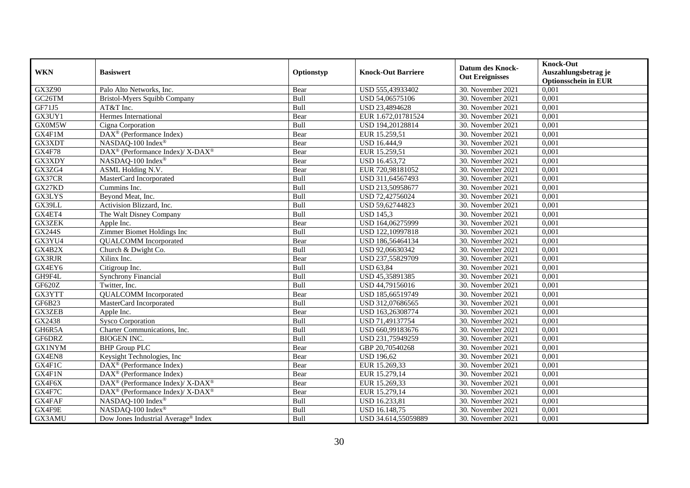| <b>WKN</b>    | <b>Basiswert</b>                                         | Optionstyp | <b>Knock-Out Barriere</b> | <b>Datum des Knock-</b><br><b>Out Ereignisses</b> | <b>Knock-Out</b><br>Auszahlungsbetrag je<br><b>Optionsschein in EUR</b> |
|---------------|----------------------------------------------------------|------------|---------------------------|---------------------------------------------------|-------------------------------------------------------------------------|
| GX3Z90        | Palo Alto Networks, Inc.                                 | Bear       | USD 555,43933402          | 30. November 2021                                 | 0,001                                                                   |
| GC26TM        | Bristol-Myers Squibb Company                             | Bull       | USD 54,06575106           | 30. November 2021                                 | 0,001                                                                   |
| GF71J5        | AT&T Inc.                                                | Bull       | USD 23,4894628            | 30. November 2021                                 | 0,001                                                                   |
| GX3UY1        | Hermes International                                     | Bear       | EUR 1.672,01781524        | 30. November 2021                                 | 0,001                                                                   |
| GX0M5W        | Cigna Corporation                                        | Bull       | USD 194,20128814          | 30. November 2021                                 | 0,001                                                                   |
| GX4F1M        | DAX <sup>®</sup> (Performance Index)                     | Bear       | EUR 15.259,51             | 30. November 2021                                 | 0,001                                                                   |
| GX3XDT        | NASDAQ-100 Index®                                        | Bear       | <b>USD 16.444,9</b>       | 30. November 2021                                 | 0,001                                                                   |
| <b>GX4F78</b> | DAX <sup>®</sup> (Performance Index)/ X-DAX <sup>®</sup> | Bear       | EUR 15.259,51             | 30. November 2021                                 | 0,001                                                                   |
| GX3XDY        | NASDAQ-100 Index®                                        | Bear       | USD 16.453,72             | 30. November 2021                                 | 0,001                                                                   |
| GX3ZG4        | ASML Holding N.V.                                        | Bear       | EUR 720,98181052          | 30. November 2021                                 | 0,001                                                                   |
| GX37CR        | MasterCard Incorporated                                  | Bull       | USD 311,64567493          | 30. November 2021                                 | 0,001                                                                   |
| GX27KD        | Cummins Inc.                                             | Bull       | USD 213,50958677          | 30. November 2021                                 | 0,001                                                                   |
| GX3LYS        | Beyond Meat, Inc.                                        | Bull       | USD 72,42756024           | 30. November 2021                                 | 0,001                                                                   |
| GX39LL        | Activision Blizzard, Inc.                                | Bull       | USD 59,62744823           | 30. November 2021                                 | 0,001                                                                   |
| GX4ET4        | The Walt Disney Company                                  | Bull       | <b>USD 145,3</b>          | 30. November 2021                                 | 0,001                                                                   |
| <b>GX3ZEK</b> | Apple Inc.                                               | Bear       | USD 164,06275999          | 30. November 2021                                 | 0,001                                                                   |
| <b>GX244S</b> | Zimmer Biomet Holdings Inc                               | Bull       | USD 122,10997818          | 30. November 2021                                 | 0,001                                                                   |
| GX3YU4        | <b>QUALCOMM</b> Incorporated                             | Bear       | USD 186,56464134          | 30. November 2021                                 | 0,001                                                                   |
| GX4B2X        | Church & Dwight Co.                                      | Bull       | USD 92,06630342           | 30. November 2021                                 | 0,001                                                                   |
| <b>GX3RJR</b> | Xilinx Inc.                                              | Bear       | USD 237,55829709          | 30. November 2021                                 | 0,001                                                                   |
| GX4EY6        | Citigroup Inc.                                           | Bull       | <b>USD 63,84</b>          | 30. November 2021                                 | 0,001                                                                   |
| GH9F4L        | <b>Synchrony Financial</b>                               | Bull       | USD 45,35891385           | 30. November 2021                                 | 0,001                                                                   |
| GF620Z        | Twitter, Inc.                                            | Bull       | USD 44,79156016           | 30. November 2021                                 | 0,001                                                                   |
| GX3YTT        | <b>QUALCOMM</b> Incorporated                             | Bear       | USD 185,66519749          | 30. November 2021                                 | 0,001                                                                   |
| GF6B23        | MasterCard Incorporated                                  | Bull       | USD 312,07686565          | 30. November 2021                                 | 0,001                                                                   |
| GX3ZEB        | Apple Inc.                                               | Bear       | USD 163,26308774          | 30. November 2021                                 | 0,001                                                                   |
| GX2438        | <b>Sysco Corporation</b>                                 | Bull       | USD 71,49137754           | 30. November 2021                                 | 0,001                                                                   |
| GH6R5A        | Charter Communications, Inc.                             | Bull       | USD 660,99183676          | 30. November 2021                                 | 0,001                                                                   |
| GF6DRZ        | <b>BIOGEN INC.</b>                                       | Bull       | USD 231,75949259          | 30. November 2021                                 | 0,001                                                                   |
| <b>GX1NYM</b> | <b>BHP Group PLC</b>                                     | Bear       | GBP 20.70540268           | 30. November 2021                                 | 0,001                                                                   |
| GX4EN8        | Keysight Technologies, Inc                               | Bear       | <b>USD 196,62</b>         | 30. November 2021                                 | 0,001                                                                   |
| GX4F1C        | DAX <sup>®</sup> (Performance Index)                     | Bear       | EUR 15.269,33             | 30. November 2021                                 | 0,001                                                                   |
| GX4F1N        | $\overline{\text{DAX}^{\otimes}}$ (Performance Index)    | Bear       | EUR 15.279,14             | 30. November 2021                                 | 0,001                                                                   |
| GX4F6X        | DAX <sup>®</sup> (Performance Index)/ X-DAX <sup>®</sup> | Bear       | EUR 15.269,33             | 30. November 2021                                 | 0,001                                                                   |
| GX4F7C        | DAX <sup>®</sup> (Performance Index)/ X-DAX <sup>®</sup> | Bear       | EUR 15.279,14             | 30. November 2021                                 | 0,001                                                                   |
| GX4FAF        | NASDAQ-100 Index®                                        | Bull       | USD 16.233,81             | 30. November 2021                                 | 0,001                                                                   |
| GX4F9E        | NASDAQ-100 Index®                                        | Bull       | USD 16.148,75             | 30. November 2021                                 | 0,001                                                                   |
| GX3AMU        | Dow Jones Industrial Average <sup>®</sup> Index          | Bull       | USD 34.614,55059889       | 30. November 2021                                 | 0,001                                                                   |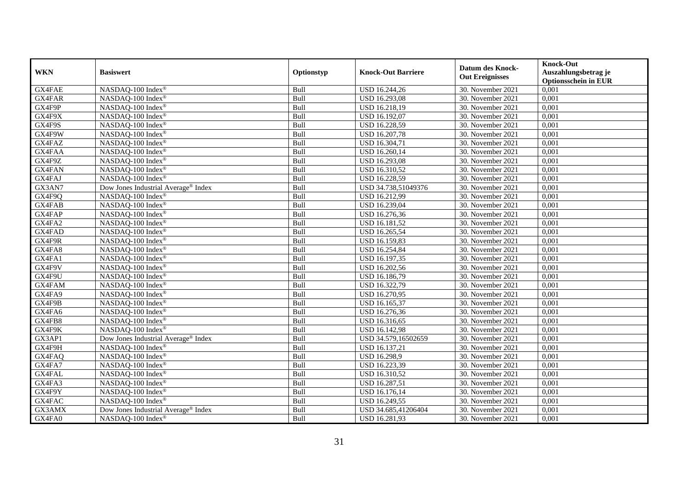|            |                                     |            |                           | <b>Datum des Knock-</b> | <b>Knock-Out</b>            |
|------------|-------------------------------------|------------|---------------------------|-------------------------|-----------------------------|
| <b>WKN</b> | <b>Basiswert</b>                    | Optionstyp | <b>Knock-Out Barriere</b> | <b>Out Ereignisses</b>  | Auszahlungsbetrag je        |
|            |                                     |            |                           |                         | <b>Optionsschein in EUR</b> |
| GX4FAE     | NASDAQ-100 Index®                   | Bull       | USD 16.244,26             | 30. November 2021       | 0,001                       |
| GX4FAR     | NASDAQ-100 Index®                   | Bull       | USD 16.293,08             | 30. November 2021       | 0,001                       |
| GX4F9P     | NASDAQ-100 Index®                   | Bull       | USD 16.218,19             | 30. November 2021       | 0,001                       |
| GX4F9X     | $NASDAQ-100$ Index <sup>®</sup>     | Bull       | USD 16.192,07             | 30. November 2021       | 0,001                       |
| GX4F9S     | NASDAQ-100 Index®                   | Bull       | USD 16.228,59             | 30. November 2021       | 0,001                       |
| GX4F9W     | NASDAQ-100 Index®                   | Bull       | <b>USD 16.207,78</b>      | 30. November 2021       | 0,001                       |
| GX4FAZ     | NASDAQ-100 Index®                   | Bull       | USD 16.304,71             | 30. November 2021       | 0,001                       |
| GX4FAA     | NASDAQ-100 Index®                   | Bull       | USD 16.260,14             | 30. November 2021       | 0,001                       |
| GX4F9Z     | NASDAQ-100 Index®                   | Bull       | USD 16.293,08             | 30. November 2021       | 0,001                       |
| GX4FAN     | NASDAQ-100 Index®                   | Bull       | USD 16.310,52             | 30. November 2021       | 0,001                       |
| GX4FAJ     | NASDAQ-100 Index®                   | Bull       | USD 16.228,59             | 30. November 2021       | 0,001                       |
| GX3AN7     | Dow Jones Industrial Average® Index | Bull       | USD 34.738,51049376       | 30. November 2021       | 0,001                       |
| GX4F9Q     | NASDAQ-100 Index®                   | Bull       | USD 16.212,99             | 30. November 2021       | 0,001                       |
| GX4FAB     | NASDAQ-100 Index <sup>®</sup>       | Bull       | USD 16.239,04             | 30. November 2021       | 0,001                       |
| GX4FAP     | NASDAQ-100 Index®                   | Bull       | USD 16.276,36             | 30. November 2021       | 0,001                       |
| GX4FA2     | NASDAQ-100 Index®                   | Bull       | USD 16.181,52             | 30. November 2021       | 0,001                       |
| GX4FAD     | NASDAQ-100 Index®                   | Bull       | USD 16.265,54             | 30. November 2021       | 0,001                       |
| GX4F9R     | NASDAQ-100 Index <sup>®</sup>       | Bull       | USD 16.159,83             | 30. November 2021       | 0,001                       |
| GX4FA8     | NASDAQ-100 Index®                   | Bull       | USD 16.254,84             | 30. November 2021       | 0,001                       |
| GX4FA1     | NASDAQ-100 Index®                   | Bull       | USD 16.197,35             | 30. November 2021       | 0,001                       |
| GX4F9V     | NASDAQ-100 Index®                   | Bull       | USD 16.202,56             | 30. November 2021       | 0,001                       |
| GX4F9U     | NASDAQ-100 Index®                   | Bull       | USD 16.186,79             | 30. November 2021       | 0,001                       |
| GX4FAM     | NASDAQ-100 Index®                   | Bull       | USD 16.322,79             | 30. November 2021       | 0,001                       |
| GX4FA9     | NASDAQ-100 Index®                   | Bull       | USD 16.270,95             | 30. November 2021       | 0,001                       |
| GX4F9B     | NASDAQ-100 Index <sup>®</sup>       | Bull       | USD 16.165,37             | 30. November 2021       | 0,001                       |
| GX4FA6     | NASDAQ-100 Index®                   | Bull       | USD 16.276,36             | 30. November 2021       | 0,001                       |
| GX4FB8     | NASDAQ-100 Index®                   | Bull       | USD 16.316,65             | 30. November 2021       | 0,001                       |
| GX4F9K     | NASDAQ-100 Index®                   | Bull       | USD 16.142,98             | 30. November 2021       | 0,001                       |
| GX3AP1     | Dow Jones Industrial Average® Index | Bull       | USD 34.579,16502659       | 30. November 2021       | 0,001                       |
| GX4F9H     | NASDAQ-100 Index®                   | Bull       | USD 16.137,21             | 30. November 2021       | 0,001                       |
| GX4FAQ     | NASDAQ-100 Index®                   | Bull       | USD 16.298,9              | 30. November 2021       | 0,001                       |
| GX4FA7     | NASDAQ-100 Index <sup>®</sup>       | Bull       | USD 16.223,39             | 30. November 2021       | 0,001                       |
| GX4FAL     | NASDAQ-100 Index®                   | Bull       | USD 16.310,52             | 30. November 2021       | 0,001                       |
| GX4FA3     | NASDAQ-100 Index®                   | Bull       | USD 16.287,51             | 30. November 2021       | 0,001                       |
| GX4F9Y     | NASDAQ-100 Index®                   | Bull       | USD 16.176,14             | 30. November 2021       | 0,001                       |
| GX4FAC     | NASDAQ-100 Index®                   | Bull       | USD 16.249,55             | 30. November 2021       | 0,001                       |
| GX3AMX     | Dow Jones Industrial Average® Index | Bull       | USD 34.685,41206404       | 30. November 2021       | 0,001                       |
| GX4FA0     | NASDAQ-100 Index®                   | Bull       | USD 16.281,93             | 30. November 2021       | 0,001                       |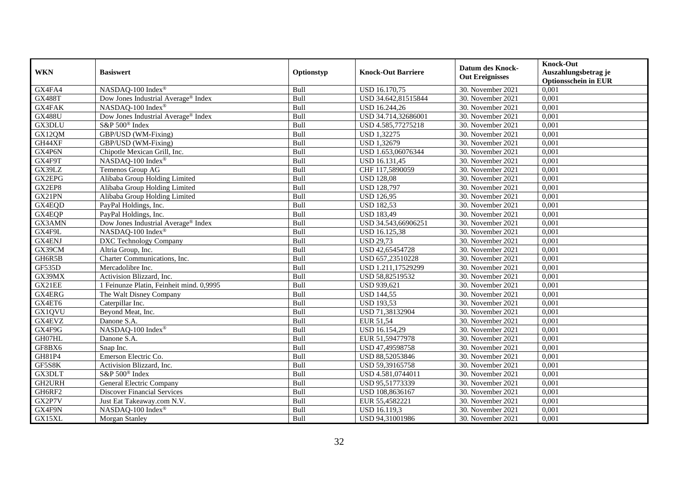|               | <b>Basiswert</b>                                | Optionstyp | <b>Knock-Out Barriere</b> | <b>Datum des Knock-</b><br><b>Out Ereignisses</b> | <b>Knock-Out</b>                                    |
|---------------|-------------------------------------------------|------------|---------------------------|---------------------------------------------------|-----------------------------------------------------|
| <b>WKN</b>    |                                                 |            |                           |                                                   | Auszahlungsbetrag je<br><b>Optionsschein in EUR</b> |
| GX4FA4        | NASDAQ-100 Index®                               | Bull       | USD 16.170,75             | 30. November 2021                                 | 0,001                                               |
| <b>GX488T</b> | Dow Jones Industrial Average® Index             | Bull       | USD 34.642,81515844       | 30. November 2021                                 | 0,001                                               |
| <b>GX4FAK</b> | NASDAQ-100 Index®                               | Bull       | USD 16.244,26             | 30. November 2021                                 | 0,001                                               |
| <b>GX488U</b> | Dow Jones Industrial Average <sup>®</sup> Index | Bull       | USD 34.714,32686001       | 30. November 2021                                 | 0,001                                               |
| GX3DLU        | S&P 500 <sup>®</sup> Index                      | Bull       | USD 4.585,77275218        | 30. November 2021                                 | 0,001                                               |
| GX12QM        | GBP/USD (WM-Fixing)                             | Bull       | <b>USD 1,32275</b>        | 30. November 2021                                 | 0,001                                               |
| GH44XF        | GBP/USD (WM-Fixing)                             | Bull       | <b>USD 1,32679</b>        | 30. November 2021                                 | 0,001                                               |
| GX4P6N        | Chipotle Mexican Grill, Inc.                    | Bull       | USD 1.653,06076344        | 30. November 2021                                 | 0,001                                               |
| GX4F9T        | NASDAQ-100 Index®                               | Bull       | USD 16.131,45             | 30. November 2021                                 | 0,001                                               |
| GX39LZ        | Temenos Group AG                                | Bull       | CHF 117,5890059           | 30. November 2021                                 | 0,001                                               |
| GX2EPG        | Alibaba Group Holding Limited                   | Bull       | <b>USD 128,08</b>         | 30. November 2021                                 | 0,001                                               |
| GX2EP8        | Alibaba Group Holding Limited                   | Bull       | <b>USD 128,797</b>        | 30. November 2021                                 | 0,001                                               |
| GX21PN        | Alibaba Group Holding Limited                   | Bull       | <b>USD 126,95</b>         | 30. November 2021                                 | 0,001                                               |
| GX4EQD        | PayPal Holdings, Inc.                           | Bull       | <b>USD 182,53</b>         | 30. November 2021                                 | 0.001                                               |
| GX4EQP        | PayPal Holdings, Inc.                           | Bull       | <b>USD 183,49</b>         | 30. November 2021                                 | 0,001                                               |
| GX3AMN        | Dow Jones Industrial Average <sup>®</sup> Index | Bull       | USD 34.543,66906251       | 30. November 2021                                 | 0,001                                               |
| GX4F9L        | NASDAQ-100 Index®                               | Bull       | USD 16.125,38             | 30. November 2021                                 | 0,001                                               |
| <b>GX4ENJ</b> | <b>DXC Technology Company</b>                   | Bull       | <b>USD 29,73</b>          | 30. November 2021                                 | 0,001                                               |
| GX39CM        | Altria Group, Inc.                              | Bull       | USD 42,65454728           | 30. November 2021                                 | 0,001                                               |
| GH6R5B        | Charter Communications, Inc.                    | Bull       | USD 657,23510228          | 30. November 2021                                 | 0,001                                               |
| GF535D        | Mercadolibre Inc.                               | Bull       | USD 1.211,17529299        | 30. November 2021                                 | 0,001                                               |
| GX39MX        | Activision Blizzard, Inc.                       | Bull       | USD 58,82519532           | 30. November 2021                                 | 0,001                                               |
| GX21EE        | 1 Feinunze Platin, Feinheit mind. 0,9995        | Bull       | <b>USD 939,621</b>        | 30. November 2021                                 | 0,001                                               |
| <b>GX4ERG</b> | The Walt Disney Company                         | Bull       | <b>USD 144,55</b>         | 30. November 2021                                 | 0,001                                               |
| GX4ET6        | Caterpillar Inc.                                | Bull       | <b>USD 193,53</b>         | 30. November 2021                                 | 0,001                                               |
| GX1QVU        | Beyond Meat, Inc.                               | Bull       | USD 71,38132904           | 30. November 2021                                 | 0,001                                               |
| <b>GX4EVZ</b> | Danone S.A.                                     | Bull       | EUR 51,54                 | 30. November 2021                                 | 0,001                                               |
| GX4F9G        | NASDAQ-100 Index®                               | Bull       | USD 16.154,29             | 30. November 2021                                 | 0,001                                               |
| GH07HL        | Danone S.A.                                     | Bull       | EUR 51,59477978           | 30. November 2021                                 | 0,001                                               |
| GF8BX6        | Snap Inc.                                       | Bull       | USD 47,49598758           | 30. November 2021                                 | 0,001                                               |
| GH81P4        | Emerson Electric Co.                            | Bull       | USD 88,52053846           | 30. November 2021                                 | 0,001                                               |
| GF5S8K        | Activision Blizzard, Inc.                       | Bull       | USD 59,39165758           | 30. November 2021                                 | 0,001                                               |
| GX3DLT        | S&P 500 <sup>®</sup> Index                      | Bull       | USD 4.581,0744011         | 30. November 2021                                 | 0,001                                               |
| GH2URH        | General Electric Company                        | Bull       | USD 95,51773339           | 30. November 2021                                 | 0,001                                               |
| GH6RF2        | <b>Discover Financial Services</b>              | Bull       | USD 108,8636167           | 30. November 2021                                 | 0,001                                               |
| GX2P7V        | Just Eat Takeaway.com N.V.                      | Bull       | EUR 55,4582221            | 30. November 2021                                 | 0,001                                               |
| GX4F9N        | NASDAQ-100 Index®                               | Bull       | USD 16.119,3              | 30. November 2021                                 | 0,001                                               |
| GX15XL        | Morgan Stanley                                  | Bull       | USD 94,31001986           | 30. November 2021                                 | 0,001                                               |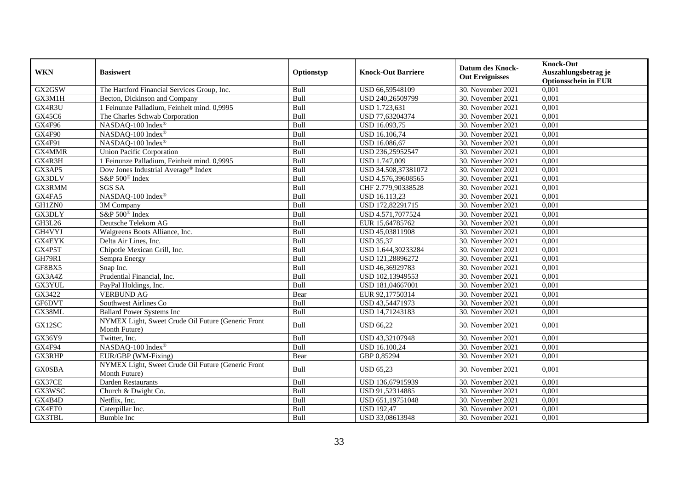| <b>WKN</b>    | <b>Basiswert</b>                                                    | Optionstyp | <b>Knock-Out Barriere</b> | <b>Datum des Knock-</b> | <b>Knock-Out</b>            |
|---------------|---------------------------------------------------------------------|------------|---------------------------|-------------------------|-----------------------------|
|               |                                                                     |            |                           |                         | Auszahlungsbetrag je        |
|               |                                                                     |            |                           | <b>Out Ereignisses</b>  | <b>Optionsschein in EUR</b> |
| GX2GSW        | The Hartford Financial Services Group, Inc.                         | Bull       | USD 66,59548109           | 30. November 2021       | 0,001                       |
| GX3M1H        | Becton, Dickinson and Company                                       | Bull       | USD 240,26509799          | 30. November 2021       | 0,001                       |
| GX4R3U        | 1 Feinunze Palladium, Feinheit mind. 0,9995                         | Bull       | USD 1.723,631             | 30. November 2021       | 0,001                       |
| GX45C6        | The Charles Schwab Corporation                                      | Bull       | USD 77,63204374           | 30. November 2021       | 0,001                       |
| GX4F96        | NASDAQ-100 Index®                                                   | Bull       | USD 16.093,75             | 30. November 2021       | 0,001                       |
| GX4F90        | NASDAQ-100 Index®                                                   | Bull       | USD 16.106,74             | 30. November 2021       | 0,001                       |
| GX4F91        | NASDAQ-100 Index®                                                   | Bull       | USD 16.086,67             | 30. November 2021       | 0,001                       |
| GX4MMR        | <b>Union Pacific Corporation</b>                                    | Bull       | USD 236,25952547          | 30. November 2021       | 0,001                       |
| GX4R3H        | 1 Feinunze Palladium, Feinheit mind. 0,9995                         | Bull       | USD 1.747,009             | 30. November 2021       | 0,001                       |
| GX3AP5        | Dow Jones Industrial Average® Index                                 | Bull       | USD 34.508,37381072       | 30. November 2021       | 0,001                       |
| GX3DLV        | S&P 500 <sup>®</sup> Index                                          | Bull       | USD 4.576,39608565        | 30. November 2021       | 0,001                       |
| GX3RMM        | <b>SGS SA</b>                                                       | Bull       | CHF 2.779,90338528        | 30. November 2021       | 0,001                       |
| GX4FA5        | NASDAQ-100 Index®                                                   | Bull       | <b>USD 16.113.23</b>      | 30. November 2021       | 0,001                       |
| GH1ZN0        | 3M Company                                                          | Bull       | USD 172,82291715          | 30. November 2021       | 0,001                       |
| GX3DLY        | S&P 500 <sup>®</sup> Index                                          | Bull       | USD 4.571,7077524         | 30. November 2021       | 0,001                       |
| GH3L26        | Deutsche Telekom AG                                                 | Bull       | EUR 15,64785762           | 30. November 2021       | 0,001                       |
| GH4VYJ        | Walgreens Boots Alliance, Inc.                                      | Bull       | USD 45,03811908           | 30. November 2021       | 0,001                       |
| <b>GX4EYK</b> | Delta Air Lines, Inc.                                               | Bull       | <b>USD 35.37</b>          | 30. November 2021       | 0,001                       |
| GX4P5T        | Chipotle Mexican Grill, Inc.                                        | Bull       | USD 1.644,30233284        | 30. November 2021       | 0,001                       |
| <b>GH79R1</b> | Sempra Energy                                                       | Bull       | USD 121,28896272          | 30. November 2021       | 0,001                       |
| GF8BX5        | Snap Inc.                                                           | Bull       | USD 46,36929783           | 30. November 2021       | 0,001                       |
| GX3A4Z        | Prudential Financial, Inc.                                          | Bull       | USD 102,13949553          | 30. November 2021       | 0,001                       |
| GX3YUL        | PayPal Holdings, Inc.                                               | Bull       | USD 181,04667001          | 30. November 2021       | 0,001                       |
| GX3422        | <b>VERBUND AG</b>                                                   | Bear       | EUR 92,17750314           | 30. November 2021       | 0,001                       |
| GF6DVT        | Southwest Airlines Co                                               | Bull       | USD 43,54471973           | 30. November 2021       | 0,001                       |
| GX38ML        | <b>Ballard Power Systems Inc</b>                                    | Bull       | USD 14,71243183           | 30. November 2021       | 0,001                       |
| GX12SC        | NYMEX Light, Sweet Crude Oil Future (Generic Front<br>Month Future) | Bull       | <b>USD 66,22</b>          | 30. November 2021       | 0,001                       |
| GX36Y9        | Twitter, Inc.                                                       | Bull       | USD 43,32107948           | 30. November 2021       | 0,001                       |
| GX4F94        | NASDAQ-100 Index®                                                   | Bull       | USD 16.100,24             | 30. November 2021       | 0,001                       |
| GX3RHP        | EUR/GBP (WM-Fixing)                                                 | Bear       | GBP 0,85294               | 30. November 2021       | 0,001                       |
| <b>GX0SBA</b> | NYMEX Light, Sweet Crude Oil Future (Generic Front<br>Month Future) | Bull       | <b>USD 65,23</b>          | 30. November 2021       | 0,001                       |
| GX37CE        | Darden Restaurants                                                  | Bull       | USD 136,67915939          | 30. November 2021       | 0,001                       |
| GX3WSC        | Church & Dwight Co.                                                 | Bull       | USD 91,52314885           | 30. November 2021       | 0,001                       |
| GX4B4D        | Netflix, Inc.                                                       | Bull       | USD 651,19751048          | 30. November 2021       | 0,001                       |
| GX4ET0        | Caterpillar Inc.                                                    | Bull       | <b>USD 192,47</b>         | 30. November 2021       | 0,001                       |
| GX3TBL        | <b>Bumble Inc</b>                                                   | Bull       | USD 33,08613948           | 30. November 2021       | 0,001                       |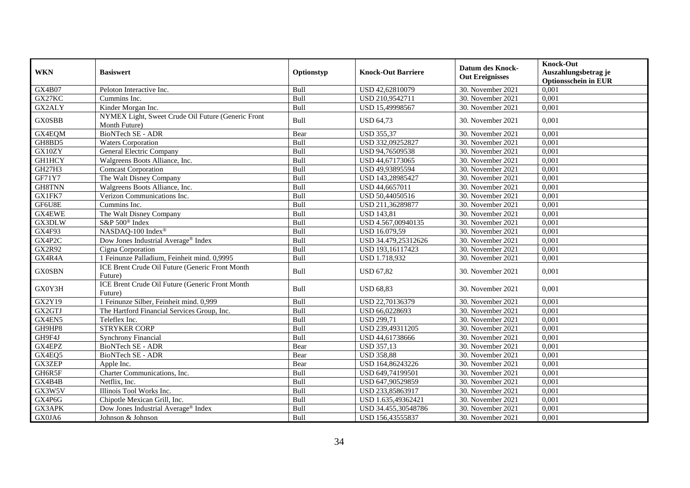| <b>WKN</b>    | <b>Basiswert</b>                                                    |            | <b>Knock-Out Barriere</b> | <b>Datum des Knock-</b> | <b>Knock-Out</b><br>Auszahlungsbetrag je |
|---------------|---------------------------------------------------------------------|------------|---------------------------|-------------------------|------------------------------------------|
|               |                                                                     | Optionstyp |                           | <b>Out Ereignisses</b>  | <b>Optionsschein in EUR</b>              |
| <b>GX4B07</b> | Peloton Interactive Inc.                                            | Bull       | USD 42,62810079           | 30. November 2021       | 0,001                                    |
| GX27KC        | Cummins Inc.                                                        | Bull       | USD 210,9542711           | 30. November 2021       | 0,001                                    |
| GX2ALY        | Kinder Morgan Inc.                                                  | Bull       | USD 15,49998567           | 30. November 2021       | 0,001                                    |
| <b>GX0SBB</b> | NYMEX Light, Sweet Crude Oil Future (Generic Front<br>Month Future) | Bull       | <b>USD 64,73</b>          | 30. November 2021       | 0,001                                    |
| GX4EQM        | <b>BioNTech SE - ADR</b>                                            | Bear       | <b>USD 355,37</b>         | 30. November 2021       | 0,001                                    |
| GH8BD5        | <b>Waters Corporation</b>                                           | Bull       | USD 332,09252827          | 30. November 2021       | 0,001                                    |
| GX10ZY        | <b>General Electric Company</b>                                     | Bull       | USD 94,76509538           | 30. November 2021       | 0,001                                    |
| <b>GH1HCY</b> | Walgreens Boots Alliance, Inc.                                      | Bull       | USD 44,67173065           | 30. November 2021       | 0,001                                    |
| GH27H3        | <b>Comcast Corporation</b>                                          | Bull       | USD 49,93895594           | 30. November 2021       | 0,001                                    |
| GF71Y7        | The Walt Disney Company                                             | Bull       | USD 143,28985427          | 30. November 2021       | 0,001                                    |
| GH8TNN        | Walgreens Boots Alliance, Inc.                                      | Bull       | USD 44,6657011            | 30. November 2021       | 0,001                                    |
| GX1FK7        | Verizon Communications Inc.                                         | Bull       | USD 50,44050516           | 30. November 2021       | 0,001                                    |
| GF6U8E        | Cummins Inc.                                                        | Bull       | USD 211,36289877          | 30. November 2021       | 0,001                                    |
| GX4EWE        | The Walt Disney Company                                             | Bull       | <b>USD 143,81</b>         | 30. November 2021       | 0,001                                    |
| GX3DLW        | S&P 500 <sup>®</sup> Index                                          | Bull       | USD 4.567,00940135        | 30. November 2021       | 0,001                                    |
| GX4F93        | NASDAQ-100 Index®                                                   | Bull       | USD 16.079,59             | 30. November 2021       | 0,001                                    |
| GX4P2C        | Dow Jones Industrial Average <sup>®</sup> Index                     | Bull       | USD 34.479,25312626       | 30. November 2021       | 0,001                                    |
| GX2R92        | Cigna Corporation                                                   | Bull       | USD 193,16117423          | 30. November 2021       | 0,001                                    |
| GX4R4A        | 1 Feinunze Palladium, Feinheit mind. 0,9995                         | Bull       | USD 1.718,932             | 30. November 2021       | 0,001                                    |
| <b>GX0SBN</b> | ICE Brent Crude Oil Future (Generic Front Month<br>Future)          | Bull       | <b>USD 67,82</b>          | 30. November 2021       | 0,001                                    |
| GX0Y3H        | ICE Brent Crude Oil Future (Generic Front Month<br>Future)          | Bull       | <b>USD 68,83</b>          | 30. November 2021       | 0,001                                    |
| GX2Y19        | 1 Feinunze Silber, Feinheit mind. 0,999                             | Bull       | USD 22,70136379           | 30. November 2021       | 0,001                                    |
| GX2GTJ        | The Hartford Financial Services Group, Inc.                         | Bull       | USD 66,0228693            | 30. November 2021       | 0,001                                    |
| GX4EN5        | Teleflex Inc.                                                       | Bull       | <b>USD 299,71</b>         | 30. November 2021       | 0,001                                    |
| GH9HP8        | <b>STRYKER CORP</b>                                                 | Bull       | USD 239,49311205          | 30. November 2021       | 0,001                                    |
| GH9F4J        | <b>Synchrony Financial</b>                                          | Bull       | USD 44,61738666           | 30. November 2021       | 0,001                                    |
| GX4EPZ        | <b>BioNTech SE - ADR</b>                                            | Bear       | <b>USD 357,13</b>         | 30. November 2021       | 0,001                                    |
| GX4EQ5        | BioNTech SE - ADR                                                   | Bear       | <b>USD 358,88</b>         | 30. November 2021       | 0,001                                    |
| <b>GX3ZEP</b> | Apple Inc.                                                          | Bear       | USD 164,86243226          | 30. November 2021       | 0,001                                    |
| GH6R5F        | Charter Communications, Inc.                                        | Bull       | USD 649,74199501          | 30. November 2021       | 0,001                                    |
| GX4B4B        | Netflix. Inc.                                                       | Bull       | USD 647,90529859          | 30. November 2021       | 0,001                                    |
| GX3W5V        | Illinois Tool Works Inc.                                            | Bull       | USD 233,85863917          | 30. November 2021       | 0,001                                    |
| GX4P6G        | Chipotle Mexican Grill, Inc.                                        | Bull       | USD 1.635,49362421        | 30. November 2021       | 0,001                                    |
| GX3APK        | Dow Jones Industrial Average® Index                                 | Bull       | USD 34.455,30548786       | 30. November 2021       | 0,001                                    |
| GX0JA6        | Johnson & Johnson                                                   | Bull       | USD 156,43555837          | 30. November 2021       | 0,001                                    |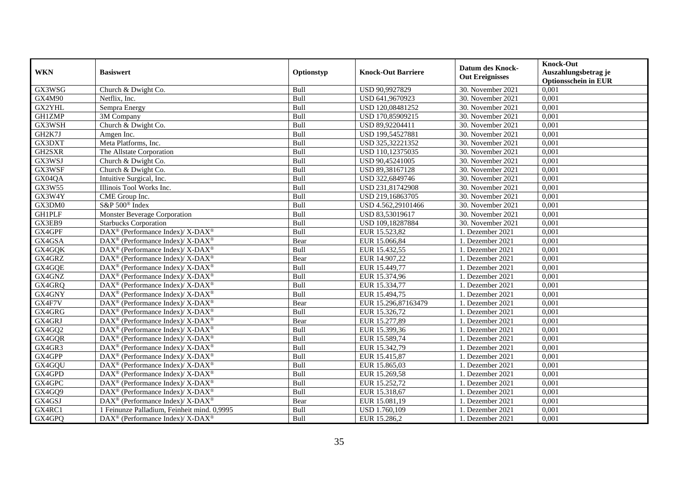| <b>WKN</b>    | <b>Basiswert</b>                                                  | Optionstyp | <b>Knock-Out Barriere</b> | <b>Datum des Knock-</b><br><b>Out Ereignisses</b> | <b>Knock-Out</b><br>Auszahlungsbetrag je<br><b>Optionsschein in EUR</b> |
|---------------|-------------------------------------------------------------------|------------|---------------------------|---------------------------------------------------|-------------------------------------------------------------------------|
| GX3WSG        | Church & Dwight Co.                                               | Bull       | USD 90,9927829            | 30. November 2021                                 | 0,001                                                                   |
| GX4M90        | Netflix. Inc.                                                     | Bull       | USD 641,9670923           | 30. November 2021                                 | 0,001                                                                   |
| GX2YHL        | Sempra Energy                                                     | Bull       | USD 120,08481252          | 30. November 2021                                 | 0,001                                                                   |
| <b>GH1ZMP</b> | 3M Company                                                        | Bull       | USD 170,85909215          | 30. November 2021                                 | 0,001                                                                   |
| GX3WSH        | Church & Dwight Co.                                               | Bull       | USD 89,92204411           | 30. November 2021                                 | 0,001                                                                   |
| GH2K7J        | Amgen Inc.                                                        | Bull       | USD 199,54527881          | 30. November 2021                                 | 0,001                                                                   |
| GX3DXT        | Meta Platforms, Inc.                                              | Bull       | USD 325,32221352          | 30. November 2021                                 | 0,001                                                                   |
| GH2SXR        | The Allstate Corporation                                          | Bull       | USD 110,12375035          | 30. November 2021                                 | 0,001                                                                   |
| GX3WSJ        | Church & Dwight Co.                                               | Bull       | USD 90,45241005           | 30. November 2021                                 | 0,001                                                                   |
| GX3WSF        | Church & Dwight Co.                                               | Bull       | USD 89,38167128           | 30. November 2021                                 | 0,001                                                                   |
| GX04QA        | Intuitive Surgical, Inc.                                          | Bull       | USD 322,6849746           | 30. November 2021                                 | 0,001                                                                   |
| GX3W55        | Illinois Tool Works Inc.                                          | Bull       | USD 231,81742908          | 30. November 2021                                 | 0,001                                                                   |
| GX3W4Y        | CME Group Inc.                                                    | Bull       | USD 219,16863705          | 30. November 2021                                 | 0,001                                                                   |
| GX3DM0        | S&P 500 <sup>®</sup> Index                                        | Bull       | USD 4.562,29101466        | 30. November 2021                                 | 0,001                                                                   |
| <b>GH1PLF</b> | <b>Monster Beverage Corporation</b>                               | Bull       | USD 83,53019617           | 30. November 2021                                 | 0,001                                                                   |
| GX3EB9        | <b>Starbucks Corporation</b>                                      | Bull       | USD 109,18287884          | 30. November 2021                                 | 0,001                                                                   |
| GX4GPF        | DAX <sup>®</sup> (Performance Index)/X-DAX <sup>®</sup>           | Bull       | EUR 15.523,82             | 1. Dezember 2021                                  | 0,001                                                                   |
| GX4GSA        | DAX <sup>®</sup> (Performance Index)/X-DAX <sup>®</sup>           | Bear       | EUR 15.066,84             | 1. Dezember 2021                                  | 0,001                                                                   |
| GX4GQK        | $DAX^{\circledast}$ (Performance Index)/X-DAX <sup>®</sup>        | Bull       | EUR 15.432,55             | 1. Dezember 2021                                  | 0,001                                                                   |
| GX4GRZ        | DAX <sup>®</sup> (Performance Index)/ X-DAX <sup>®</sup>          | Bear       | EUR 14.907,22             | 1. Dezember 2021                                  | 0,001                                                                   |
| GX4GQE        | DAX <sup>®</sup> (Performance Index)/X-DAX <sup>®</sup>           | Bull       | EUR 15.449,77             | 1. Dezember 2021                                  | 0,001                                                                   |
| GX4GNZ        | $DAX^{\circledcirc}$ (Performance Index)/ X- $DAX^{\circledcirc}$ | Bull       | EUR 15.374,96             | 1. Dezember 2021                                  | 0,001                                                                   |
| GX4GRQ        | DAX <sup>®</sup> (Performance Index)/X-DAX <sup>®</sup>           | Bull       | EUR 15.334,77             | 1. Dezember 2021                                  | 0,001                                                                   |
| GX4GNY        | DAX <sup>®</sup> (Performance Index)/ X-DAX <sup>®</sup>          | Bull       | EUR 15.494,75             | 1. Dezember 2021                                  | 0,001                                                                   |
| GX4F7V        | DAX <sup>®</sup> (Performance Index)/ X-DAX <sup>®</sup>          | Bear       | EUR 15.296,87163479       | 1. Dezember 2021                                  | 0,001                                                                   |
| GX4GRG        | DAX <sup>®</sup> (Performance Index)/ X-DAX <sup>®</sup>          | Bull       | EUR 15.326,72             | 1. Dezember 2021                                  | 0,001                                                                   |
| GX4GRJ        | DAX <sup>®</sup> (Performance Index)/X-DAX <sup>®</sup>           | Bear       | EUR 15.277,89             | 1. Dezember 2021                                  | 0,001                                                                   |
| GX4GQ2        | DAX <sup>®</sup> (Performance Index)/X-DAX <sup>®</sup>           | Bull       | EUR 15.399,36             | 1. Dezember 2021                                  | 0,001                                                                   |
| GX4GQR        | DAX <sup>®</sup> (Performance Index)/ X-DAX <sup>®</sup>          | Bull       | EUR 15.589,74             | 1. Dezember 2021                                  | 0,001                                                                   |
| GX4GR3        | $DAX^{\circledcirc}$ (Performance Index)/ X-DAX <sup>®</sup>      | Bull       | EUR 15.342,79             | 1. Dezember 2021                                  | 0.001                                                                   |
| GX4GPP        | DAX <sup>®</sup> (Performance Index)/X-DAX <sup>®</sup>           | Bull       | EUR 15.415,87             | 1. Dezember 2021                                  | 0,001                                                                   |
| GX4GQU        | DAX <sup>®</sup> (Performance Index)/ X-DAX <sup>®</sup>          | Bull       | EUR 15.865,03             | 1. Dezember 2021                                  | 0,001                                                                   |
| GX4GPD        | DAX <sup>®</sup> (Performance Index)/X-DAX <sup>®</sup>           | Bull       | EUR 15.269,58             | 1. Dezember 2021                                  | 0,001                                                                   |
| GX4GPC        | DAX <sup>®</sup> (Performance Index)/X-DAX <sup>®</sup>           | Bull       | EUR 15.252,72             | 1. Dezember 2021                                  | 0,001                                                                   |
| GX4GQ9        | DAX <sup>®</sup> (Performance Index)/X-DAX <sup>®</sup>           | Bull       | EUR 15.318,67             | 1. Dezember 2021                                  | 0,001                                                                   |
| GX4GSJ        | DAX <sup>®</sup> (Performance Index)/X-DAX <sup>®</sup>           | Bear       | EUR 15.081,19             | 1. Dezember 2021                                  | 0,001                                                                   |
| GX4RC1        | Feinunze Palladium, Feinheit mind. 0,9995                         | Bull       | USD 1.760,109             | 1. Dezember 2021                                  | 0,001                                                                   |
| GX4GPQ        | DAX <sup>®</sup> (Performance Index)/ X-DAX <sup>®</sup>          | Bull       | EUR 15.286,2              | 1. Dezember 2021                                  | 0,001                                                                   |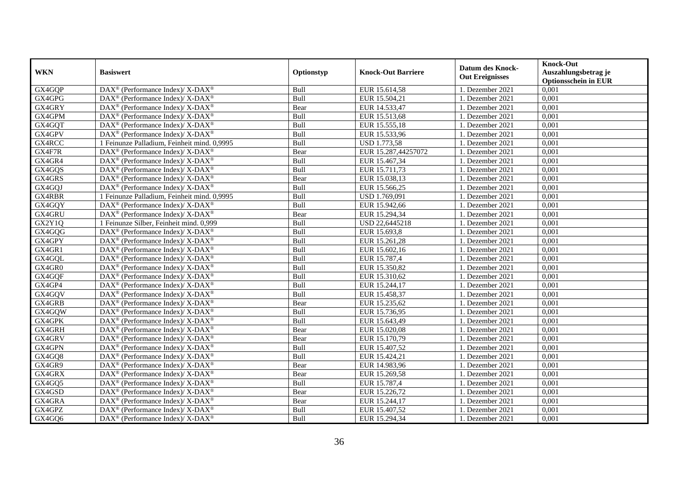| <b>WKN</b> | <b>Basiswert</b>                                                                        | Optionstyp | <b>Knock-Out Barriere</b> | <b>Datum des Knock-</b><br><b>Out Ereignisses</b> | <b>Knock-Out</b><br>Auszahlungsbetrag je<br><b>Optionsschein in EUR</b> |
|------------|-----------------------------------------------------------------------------------------|------------|---------------------------|---------------------------------------------------|-------------------------------------------------------------------------|
| GX4GQP     | DAX <sup>®</sup> (Performance Index)/ X-DAX <sup>®</sup>                                | Bull       | EUR 15.614,58             | 1. Dezember 2021                                  | 0,001                                                                   |
| GX4GPG     | DAX <sup>®</sup> (Performance Index)/ X-DAX <sup>®</sup>                                | Bull       | EUR 15.504,21             | 1. Dezember 2021                                  | 0,001                                                                   |
| GX4GRY     | DAX <sup>®</sup> (Performance Index)/X-DAX <sup>®</sup>                                 | Bear       | EUR 14.533,47             | 1. Dezember 2021                                  | 0,001                                                                   |
| GX4GPM     | DAX <sup>®</sup> (Performance Index)/ X-DAX <sup>®</sup>                                | Bull       | EUR 15.513,68             | 1. Dezember 2021                                  | 0,001                                                                   |
| GX4GQT     | DAX <sup>®</sup> (Performance Index)/X-DAX <sup>®</sup>                                 | Bull       | EUR 15.555,18             | 1. Dezember 2021                                  | 0,001                                                                   |
| GX4GPV     | $\text{DAX}^{\circledast}$ (Performance Index)/ $\overline{\text{X-DAX}^{\circledast}}$ | Bull       | EUR 15.533,96             | 1. Dezember 2021                                  | 0,001                                                                   |
| GX4RCC     | 1 Feinunze Palladium, Feinheit mind. 0,9995                                             | Bull       | <b>USD 1.773,58</b>       | 1. Dezember 2021                                  | 0,001                                                                   |
| GX4F7R     | DAX <sup>®</sup> (Performance Index)/X-DAX <sup>®</sup>                                 | Bear       | EUR 15.287,44257072       | 1. Dezember 2021                                  | 0,001                                                                   |
| GX4GR4     | DAX <sup>®</sup> (Performance Index)/ X-DAX <sup>®</sup>                                | Bull       | EUR 15.467,34             | 1. Dezember 2021                                  | 0,001                                                                   |
| GX4GQS     | DAX <sup>®</sup> (Performance Index)/X-DAX <sup>®</sup>                                 | Bull       | EUR 15.711,73             | 1. Dezember 2021                                  | 0,001                                                                   |
| GX4GRS     | DAX <sup>®</sup> (Performance Index)/X-DAX <sup>®</sup>                                 | Bear       | EUR 15.038,13             | 1. Dezember 2021                                  | 0,001                                                                   |
| GX4GQJ     | DAX <sup>®</sup> (Performance Index)/ X-DAX <sup>®</sup>                                | Bull       | EUR 15.566,25             | 1. Dezember 2021                                  | 0,001                                                                   |
| GX4RBR     | 1 Feinunze Palladium, Feinheit mind. 0,9995                                             | Bull       | USD 1.769,091             | 1. Dezember 2021                                  | 0,001                                                                   |
| GX4GQY     | DAX <sup>®</sup> (Performance Index)/X-DAX <sup>®</sup>                                 | Bull       | EUR 15.942,66             | 1. Dezember 2021                                  | 0,001                                                                   |
| GX4GRU     | DAX <sup>®</sup> (Performance Index)/ X-DAX <sup>®</sup>                                | Bear       | EUR 15.294,34             | 1. Dezember 2021                                  | 0,001                                                                   |
| GX2Y1Q     | 1 Feinunze Silber, Feinheit mind. 0,999                                                 | Bull       | USD 22,6445218            | 1. Dezember 2021                                  | 0,001                                                                   |
| GX4GQG     | DAX <sup>®</sup> (Performance Index)/X-DAX <sup>®</sup>                                 | Bull       | EUR 15.693,8              | 1. Dezember 2021                                  | 0,001                                                                   |
| GX4GPY     | DAX <sup>®</sup> (Performance Index)/X-DAX <sup>®</sup>                                 | Bull       | EUR 15.261,28             | 1. Dezember 2021                                  | 0,001                                                                   |
| GX4GR1     | $DAX^{\circledast}$ (Performance Index)/X-DAX <sup>®</sup>                              | Bull       | EUR 15.602,16             | 1. Dezember 2021                                  | 0,001                                                                   |
| GX4GQL     | $DAX^{\circledast}$ (Performance Index)/X-DAX <sup>®</sup>                              | Bull       | EUR 15.787,4              | 1. Dezember 2021                                  | 0,001                                                                   |
| GX4GR0     | DAX <sup>®</sup> (Performance Index)/ X-DAX <sup>®</sup>                                | Bull       | EUR 15.350,82             | 1. Dezember 2021                                  | 0,001                                                                   |
| GX4GQF     | DAX <sup>®</sup> (Performance Index)/ X-DAX <sup>®</sup>                                | Bull       | EUR 15.310,62             | 1. Dezember 2021                                  | 0,001                                                                   |
| GX4GP4     | DAX <sup>®</sup> (Performance Index)/ X-DAX <sup>®</sup>                                | Bull       | EUR 15.244,17             | 1. Dezember 2021                                  | 0,001                                                                   |
| GX4GQV     | DAX <sup>®</sup> (Performance Index)/ X-DAX <sup>®</sup>                                | Bull       | EUR 15.458,37             | 1. Dezember 2021                                  | 0,001                                                                   |
| GX4GRB     | DAX <sup>®</sup> (Performance Index)/X-DAX <sup>®</sup>                                 | Bear       | EUR 15.235,62             | 1. Dezember 2021                                  | 0,001                                                                   |
| GX4GQW     | DAX <sup>®</sup> (Performance Index)/ X-DAX <sup>®</sup>                                | Bull       | EUR 15.736,95             | 1. Dezember 2021                                  | 0,001                                                                   |
| GX4GPK     | DAX <sup>®</sup> (Performance Index)/X-DAX <sup>®</sup>                                 | Bull       | EUR 15.643,49             | 1. Dezember 2021                                  | 0,001                                                                   |
| GX4GRH     | DAX <sup>®</sup> (Performance Index)/X-DAX <sup>®</sup>                                 | Bear       | EUR 15.020,08             | 1. Dezember 2021                                  | 0,001                                                                   |
| GX4GRV     | $DAX^{\circledast}$ (Performance Index)/X-DAX <sup>®</sup>                              | Bear       | EUR 15.170,79             | 1. Dezember 2021                                  | 0,001                                                                   |
| GX4GPN     | $DAX^{\circledcirc}$ (Performance Index)/X-DAX <sup>®</sup>                             | Bull       | EUR 15.407,52             | 1. Dezember 2021                                  | 0,001                                                                   |
| GX4GQ8     | DAX <sup>®</sup> (Performance Index)/X-DAX <sup>®</sup>                                 | Bull       | EUR 15.424,21             | 1. Dezember 2021                                  | 0,001                                                                   |
| GX4GR9     | DAX <sup>®</sup> (Performance Index)/ X-DAX <sup>®</sup>                                | Bear       | EUR 14.983,96             | 1. Dezember 2021                                  | 0,001                                                                   |
| GX4GRX     | DAX <sup>®</sup> (Performance Index)/X-DAX <sup>®</sup>                                 | Bear       | EUR 15.269,58             | 1. Dezember 2021                                  | 0,001                                                                   |
| GX4GQ5     | DAX <sup>®</sup> (Performance Index)/ X-DAX <sup>®</sup>                                | Bull       | EUR 15.787,4              | 1. Dezember 2021                                  | 0,001                                                                   |
| GX4GSD     | DAX <sup>®</sup> (Performance Index)/X-DAX <sup>®</sup>                                 | Bear       | EUR 15.226,72             | 1. Dezember 2021                                  | 0,001                                                                   |
| GX4GRA     | DAX <sup>®</sup> (Performance Index)/X-DAX <sup>®</sup>                                 | Bear       | EUR 15.244,17             | 1. Dezember 2021                                  | 0,001                                                                   |
| GX4GPZ     | DAX <sup>®</sup> (Performance Index)/ X-DAX <sup>®</sup>                                | Bull       | EUR 15.407,52             | 1. Dezember 2021                                  | 0,001                                                                   |
| GX4GQ6     | DAX <sup>®</sup> (Performance Index)/X-DAX <sup>®</sup>                                 | Bull       | EUR 15.294,34             | 1. Dezember 2021                                  | 0,001                                                                   |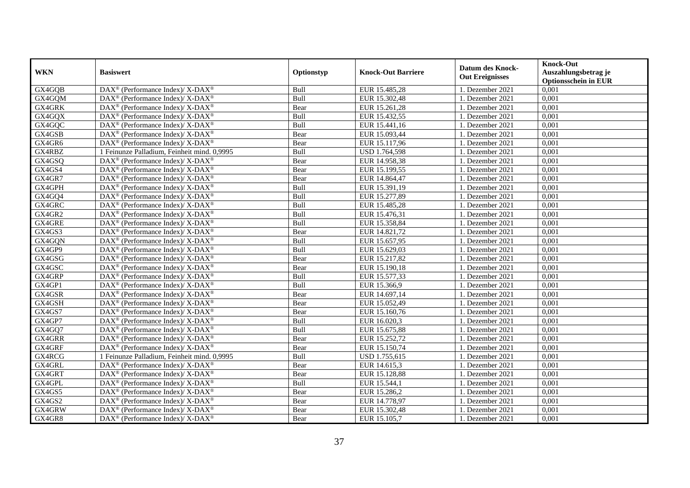| <b>WKN</b> | <b>Basiswert</b>                                                                       | Optionstyp | <b>Knock-Out Barriere</b> | <b>Datum des Knock-</b><br><b>Out Ereignisses</b> | <b>Knock-Out</b><br>Auszahlungsbetrag je<br><b>Optionsschein in EUR</b> |
|------------|----------------------------------------------------------------------------------------|------------|---------------------------|---------------------------------------------------|-------------------------------------------------------------------------|
| GX4GQB     | DAX <sup>®</sup> (Performance Index)/ X-DAX <sup>®</sup>                               | Bull       | EUR 15.485,28             | 1. Dezember 2021                                  | 0,001                                                                   |
| GX4GQM     | $\text{DAX}^{\circledR}$ (Performance Index)/ X-DAX <sup>®</sup>                       | Bull       | EUR 15.302,48             | 1. Dezember 2021                                  | 0,001                                                                   |
| GX4GRK     | $\text{DAX}^{\otimes}$ (Performance Index)/X-DAX <sup>®</sup>                          | Bear       | EUR 15.261,28             | 1. Dezember 2021                                  | 0,001                                                                   |
| GX4GQX     | DAX <sup>®</sup> (Performance Index)/ X-DAX <sup>®</sup>                               | Bull       | EUR 15.432,55             | 1. Dezember 2021                                  | 0,001                                                                   |
| GX4GQC     | $\text{DAX}^{\circledast}$ (Performance Index)/ X-DAX <sup>®</sup>                     | Bull       | EUR 15.441,16             | 1. Dezember 2021                                  | 0,001                                                                   |
| GX4GSB     | $DAX^{\circledcirc}$ (Performance Index)/X-DAX <sup>®</sup>                            | Bear       | EUR 15.093,44             | 1. Dezember 2021                                  | 0,001                                                                   |
| GX4GR6     | $\text{DAX}^{\circledR}$ (Performance Index)/ X-DAX <sup>®</sup>                       | Bear       | EUR 15.117,96             | 1. Dezember 2021                                  | 0,001                                                                   |
| GX4RBZ     | 1 Feinunze Palladium, Feinheit mind. 0,9995                                            | Bull       | USD 1.764,598             | 1. Dezember 2021                                  | 0,001                                                                   |
| GX4GSQ     | $\text{DAX}^{\circledast}$ (Performance Index)/ X-DAX <sup>®</sup>                     | Bear       | EUR 14.958,38             | 1. Dezember 2021                                  | 0,001                                                                   |
| GX4GS4     | DAX <sup>®</sup> (Performance Index)/ X-DAX <sup>®</sup>                               | Bear       | EUR 15.199,55             | 1. Dezember 2021                                  | 0,001                                                                   |
| GX4GR7     | $\text{DAX}^{\circledast}$ (Performance Index)/ X-DAX <sup>®</sup>                     | Bear       | EUR 14.864,47             | 1. Dezember 2021                                  | 0,001                                                                   |
| GX4GPH     | $\text{DAX}^{\circledR}$ (Performance Index)/ X-DAX <sup>®</sup>                       | Bull       | EUR 15.391,19             | 1. Dezember 2021                                  | 0,001                                                                   |
| GX4GQ4     | $\text{DAX}^{\circledast}$ (Performance Index)/ X-DAX <sup>®</sup>                     | Bull       | EUR 15.277,89             | 1. Dezember 2021                                  | 0,001                                                                   |
| GX4GRC     | $\text{DAX}^{\otimes}$ (Performance Index)/X-DAX <sup>®</sup>                          | Bull       | EUR 15.485,28             | 1. Dezember 2021                                  | 0,001                                                                   |
| GX4GR2     | $\text{DAX}^{\circledR}$ (Performance Index)/ X-DAX <sup>®</sup>                       | Bull       | EUR 15.476,31             | 1. Dezember 2021                                  | 0,001                                                                   |
| GX4GRE     | DAX <sup>®</sup> (Performance Index)/ X-DAX <sup>®</sup>                               | Bull       | EUR 15.358,84             | 1. Dezember 2021                                  | 0,001                                                                   |
| GX4GS3     | DAX <sup>®</sup> (Performance Index)/ X-DAX <sup>®</sup>                               | Bear       | EUR 14.821,72             | 1. Dezember 2021                                  | 0,001                                                                   |
| GX4GQN     | $\text{DAX}^{\circledR}$ (Performance Index)/ X-DAX <sup>®</sup>                       | Bull       | EUR 15.657,95             | 1. Dezember 2021                                  | 0,001                                                                   |
| GX4GP9     | $\text{DAX}^{\otimes}$ (Performance Index)/X-DAX <sup>®</sup>                          | Bull       | EUR 15.629,03             | 1. Dezember 2021                                  | 0,001                                                                   |
| GX4GSG     | $\text{DAX}^{\circledast}$ (Performance Index)/ X-DAX <sup>®</sup>                     | Bear       | EUR 15.217,82             | 1. Dezember 2021                                  | 0,001                                                                   |
| GX4GSC     | $\text{DAX}^{\circledast}$ (Performance Index)/ X-DAX <sup>®</sup>                     | Bear       | EUR 15.190,18             | 1. Dezember 2021                                  | 0,001                                                                   |
| GX4GRP     | DAX <sup>®</sup> (Performance Index)/ X-DAX <sup>®</sup>                               | Bull       | EUR 15.577,33             | 1. Dezember 2021                                  | 0,001                                                                   |
| GX4GP1     | $\text{DAX}^{\circledR}$ (Performance Index)/ X-DAX <sup>®</sup>                       | Bull       | EUR 15.366,9              | 1. Dezember 2021                                  | 0,001                                                                   |
| GX4GSR     | $\text{DAX}^{\circledR}$ (Performance Index)/ X-DAX <sup>®</sup>                       | Bear       | EUR 14.697,14             | 1. Dezember 2021                                  | 0,001                                                                   |
| GX4GSH     | $\overline{\text{DAX}^{\textcircled{\tiny 0}}}$ (Performance Index)/X-DAX <sup>®</sup> | Bear       | EUR 15.052,49             | 1. Dezember 2021                                  | 0,001                                                                   |
| GX4GS7     | DAX <sup>®</sup> (Performance Index)/ X-DAX <sup>®</sup>                               | Bear       | EUR 15.160,76             | 1. Dezember 2021                                  | 0,001                                                                   |
| GX4GP7     | $\text{DAX}^{\otimes}$ (Performance Index)/X-DAX <sup>®</sup>                          | Bull       | EUR 16.020,3              | 1. Dezember 2021                                  | 0,001                                                                   |
| GX4GQ7     | $\text{DAX}^{\circledast}$ (Performance Index)/ X-DAX <sup>®</sup>                     | Bull       | EUR 15.675,88             | 1. Dezember 2021                                  | 0,001                                                                   |
| GX4GRR     | DAX <sup>®</sup> (Performance Index)/ X-DAX <sup>®</sup>                               | Bear       | EUR 15.252,72             | 1. Dezember 2021                                  | 0,001                                                                   |
| GX4GRF     | $DAX^{\circledcirc}$ (Performance Index)/ X-DAX <sup>®</sup>                           | Bear       | EUR 15.150,74             | 1. Dezember 2021                                  | 0.001                                                                   |
| GX4RCG     | 1 Feinunze Palladium. Feinheit mind. 0.9995                                            | Bull       | USD 1.755,615             | 1. Dezember 2021                                  | 0,001                                                                   |
| GX4GRL     | $\text{DAX}^{\circledR}$ (Performance Index)/ X-DAX <sup>®</sup>                       | Bear       | EUR 14.615,3              | 1. Dezember 2021                                  | 0,001                                                                   |
| GX4GRT     | $\text{DAX}^{\circledast}$ (Performance Index)/ X-DAX <sup>®</sup>                     | Bear       | EUR 15.128,88             | 1. Dezember 2021                                  | 0,001                                                                   |
| GX4GPL     | $\text{DAX}^{\circledR}$ (Performance Index)/ X-DAX <sup>®</sup>                       | Bull       | EUR 15.544,1              | 1. Dezember 2021                                  | 0,001                                                                   |
| GX4GS5     | DAX <sup>®</sup> (Performance Index)/ X-DAX <sup>®</sup>                               | Bear       | EUR 15.286,2              | 1. Dezember 2021                                  | 0,001                                                                   |
| GX4GS2     | $\text{DAX}^{\otimes}$ (Performance Index)/X-DAX <sup>®</sup>                          | Bear       | EUR 14.778,97             | 1. Dezember 2021                                  | 0,001                                                                   |
| GX4GRW     | DAX <sup>®</sup> (Performance Index)/ X-DAX <sup>®</sup>                               | Bear       | EUR 15.302,48             | 1. Dezember 2021                                  | 0,001                                                                   |
| GX4GR8     | DAX <sup>®</sup> (Performance Index)/ X-DAX <sup>®</sup>                               | Bear       | EUR 15.105,7              | 1. Dezember 2021                                  | 0,001                                                                   |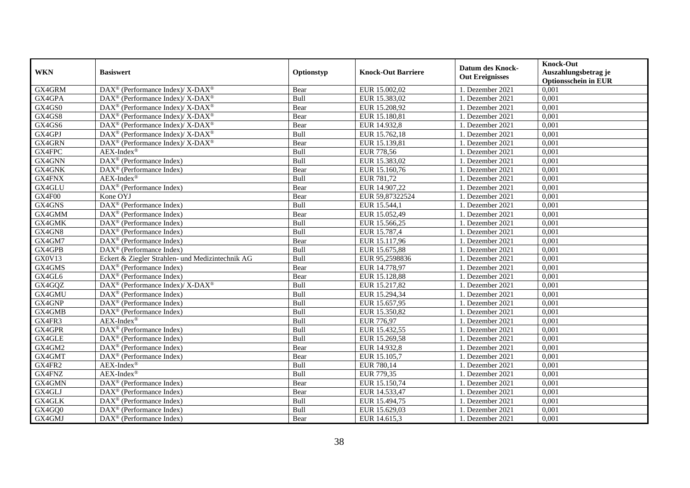| <b>WKN</b>    | <b>Basiswert</b>                                                   | Optionstyp | <b>Knock-Out Barriere</b> | Datum des Knock-<br><b>Out Ereignisses</b> | <b>Knock-Out</b><br>Auszahlungsbetrag je<br><b>Optionsschein in EUR</b> |
|---------------|--------------------------------------------------------------------|------------|---------------------------|--------------------------------------------|-------------------------------------------------------------------------|
| GX4GRM        | $\text{DAX}^{\circledR}$ (Performance Index)/ X-DAX <sup>®</sup>   | Bear       | EUR 15.002,02             | 1. Dezember 2021                           | 0,001                                                                   |
| GX4GPA        | $DAX^{\circledcirc}$ (Performance Index)/ X-DAX <sup>®</sup>       | Bull       | EUR 15.383,02             | 1. Dezember 2021                           | 0,001                                                                   |
| GX4GS0        | $\text{DAX}^{\circledast}$ (Performance Index)/ X-DAX <sup>®</sup> | Bear       | EUR 15.208,92             | 1. Dezember 2021                           | 0,001                                                                   |
| GX4GS8        | $\text{DAX}^{\circledast}$ (Performance Index)/ X-DAX <sup>®</sup> | Bear       | EUR 15.180,81             | 1. Dezember 2021                           | 0,001                                                                   |
| GX4GS6        | DAX <sup>®</sup> (Performance Index)/ X-DAX <sup>®</sup>           | Bear       | EUR 14.932,8              | 1. Dezember 2021                           | 0,001                                                                   |
| GX4GPJ        | DAX <sup>®</sup> (Performance Index)/ X-DAX <sup>®</sup>           | Bull       | EUR 15.762,18             | 1. Dezember 2021                           | 0,001                                                                   |
| GX4GRN        | DAX <sup>®</sup> (Performance Index)/ X-DAX <sup>®</sup>           | Bear       | EUR 15.139,81             | 1. Dezember 2021                           | 0,001                                                                   |
| GX4FPC        | $AEX-Index^{\circledR}$                                            | Bull       | <b>EUR 778,56</b>         | 1. Dezember 2021                           | 0,001                                                                   |
| GX4GNN        | DAX <sup>®</sup> (Performance Index)                               | Bull       | EUR $15.383,02$           | 1. Dezember 2021                           | 0,001                                                                   |
| GX4GNK        | DAX <sup>®</sup> (Performance Index)                               | Bear       | EUR 15.160,76             | 1. Dezember 2021                           | 0,001                                                                   |
| <b>GX4FNX</b> | $AEX-Index^{\circledR}$                                            | Bull       | EUR 781,72                | 1. Dezember 2021                           | 0,001                                                                   |
| GX4GLU        | DAX <sup>®</sup> (Performance Index)                               | Bear       | EUR 14.907,22             | 1. Dezember 2021                           | 0,001                                                                   |
| GX4F00        | Kone OYJ                                                           | Bear       | EUR 59,87322524           | 1. Dezember 2021                           | 0,001                                                                   |
| GX4GNS        | $\text{DAX}^{\textcircled{p}}$ (Performance Index)                 | Bull       | EUR 15.544,1              | 1. Dezember 2021                           | 0,001                                                                   |
| GX4GMM        | $\text{DAX}^{\circledR}$ (Performance Index)                       | Bear       | EUR 15.052,49             | 1. Dezember 2021                           | 0,001                                                                   |
| GX4GMK        | $\text{DAX}^{\circledR}$ (Performance Index)                       | Bull       | EUR 15.566,25             | 1. Dezember 2021                           | 0,001                                                                   |
| GX4GN8        | DAX <sup>®</sup> (Performance Index)                               | Bull       | EUR 15.787,4              | 1. Dezember 2021                           | 0,001                                                                   |
| GX4GM7        | $DAX^{\circledR}$ (Performance Index)                              | Bear       | EUR 15.117,96             | 1. Dezember 2021                           | 0,001                                                                   |
| GX4GPB        | DAX <sup>®</sup> (Performance Index)                               | Bull       | EUR 15.675,88             | 1. Dezember 2021                           | 0,001                                                                   |
| GX0V13        | Eckert & Ziegler Strahlen- und Medizintechnik AG                   | Bull       | EUR 95,2598836            | 1. Dezember 2021                           | 0,001                                                                   |
| GX4GMS        | DAX <sup>®</sup> (Performance Index)                               | Bear       | EUR 14.778,97             | 1. Dezember 2021                           | 0,001                                                                   |
| GX4GL6        | DAX <sup>®</sup> (Performance Index)                               | Bear       | EUR 15.128,88             | 1. Dezember 2021                           | $0,\overline{001}$                                                      |
| GX4GQZ        | DAX <sup>®</sup> (Performance Index)/X-DAX <sup>®</sup>            | Bull       | EUR 15.217,82             | 1. Dezember 2021                           | 0,001                                                                   |
| GX4GMU        | $\text{DAX}^{\circledR}$ (Performance Index)                       | Bull       | EUR 15.294,34             | 1. Dezember 2021                           | 0,001                                                                   |
| GX4GNP        | $\overline{\text{DAX}^{\otimes}}$ (Performance Index)              | Bull       | EUR 15.657,95             | 1. Dezember 2021                           | 0,001                                                                   |
| GX4GMB        | DAX <sup>®</sup> (Performance Index)                               | Bull       | EUR 15.350,82             | 1. Dezember 2021                           | 0,001                                                                   |
| GX4FR3        | $AEX-Index^{\circledR}$                                            | Bull       | EUR 776,97                | 1. Dezember 2021                           | $0,\overline{001}$                                                      |
| GX4GPR        | DAX <sup>®</sup> (Performance Index)                               | Bull       | EUR 15.432,55             | 1. Dezember 2021                           | 0,001                                                                   |
| GX4GLE        | DAX <sup>®</sup> (Performance Index)                               | Bull       | EUR 15.269,58             | 1. Dezember 2021                           | 0,001                                                                   |
| GX4GM2        | DAX <sup>®</sup> (Performance Index)                               | Bear       | EUR 14.932,8              | 1. Dezember 2021                           | 0,001                                                                   |
| GX4GMT        | DAX <sup>®</sup> (Performance Index)                               | Bear       | EUR 15.105,7              | 1. Dezember 2021                           | 0,001                                                                   |
| GX4FR2        | $AEX-Index^{\circledR}$                                            | Bull       | EUR 780,14                | 1. Dezember 2021                           | 0,001                                                                   |
| GX4FNZ        | $AEX-Index^{\circledR}$                                            | Bull       | EUR 779,35                | 1. Dezember 2021                           | 0,001                                                                   |
| GX4GMN        | $\text{DAX}^{\circledR}$ (Performance Index)                       | Bear       | EUR 15.150,74             | 1. Dezember 2021                           | 0,001                                                                   |
| GX4GLJ        | $\text{DAX}^{\circledR}$ (Performance Index)                       | Bear       | EUR 14.533,47             | 1. Dezember 2021                           | 0,001                                                                   |
| GX4GLK        | $\text{DAX}^{\circledR}$ (Performance Index)                       | Bull       | EUR 15.494,75             | 1. Dezember 2021                           | 0,001                                                                   |
| GX4GQ0        | $\text{DAX}^{\otimes}$ (Performance Index)                         | Bull       | EUR 15.629,03             | 1. Dezember 2021                           | 0,001                                                                   |
| GX4GMJ        | $\text{DAX}^{\circledR}$ (Performance Index)                       | Bear       | EUR 14.615,3              | 1. Dezember 2021                           | 0,001                                                                   |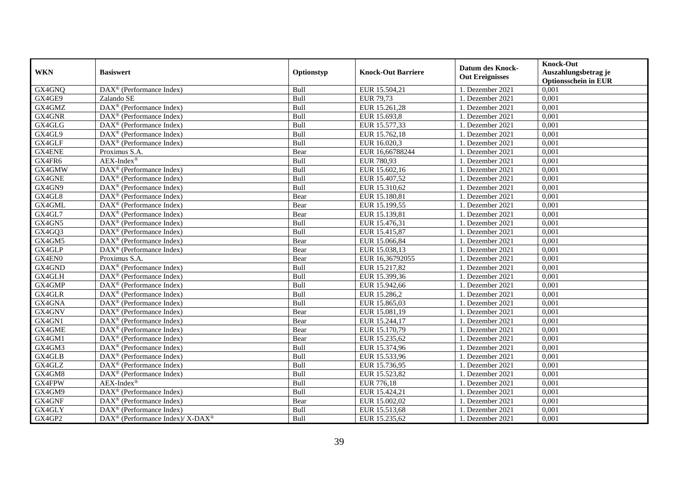| <b>WKN</b>    | <b>Basiswert</b>                                             | Optionstyp | <b>Knock-Out Barriere</b> | <b>Datum des Knock-</b><br><b>Out Ereignisses</b> | <b>Knock-Out</b><br>Auszahlungsbetrag je<br><b>Optionsschein in EUR</b> |
|---------------|--------------------------------------------------------------|------------|---------------------------|---------------------------------------------------|-------------------------------------------------------------------------|
| GX4GNQ        | $\overline{\text{DAX}}^{\textcirc}$ (Performance Index)      | Bull       | EUR 15.504,21             | 1. Dezember 2021                                  | 0,001                                                                   |
| GX4GE9        | Zalando SE                                                   | Bull       | EUR 79,73                 | 1. Dezember 2021                                  | 0,001                                                                   |
| GX4GMZ        | DAX <sup>®</sup> (Performance Index)                         | Bull       | EUR 15.261,28             | 1. Dezember 2021                                  | 0,001                                                                   |
| GX4GNR        | $\text{DAX}^{\circledR}$ (Performance Index)                 | Bull       | EUR 15.693,8              | 1. Dezember 2021                                  | 0,001                                                                   |
| GX4GLG        | DAX <sup>®</sup> (Performance Index)                         | Bull       | EUR 15.577,33             | 1. Dezember 2021                                  | 0,001                                                                   |
| GX4GL9        | $\text{DAX}^{\textcircled{p}}$ (Performance Index)           | Bull       | EUR 15.762,18             | 1. Dezember 2021                                  | 0,001                                                                   |
| GX4GLF        | $\overline{\text{DAX}}^{\textcircled{}}$ (Performance Index) | Bull       | EUR 16.020,3              | 1. Dezember 2021                                  | 0,001                                                                   |
| <b>GX4ENE</b> | Proximus S.A.                                                | Bear       | EUR 16,66788244           | 1. Dezember 2021                                  | 0,001                                                                   |
| GX4FR6        | $AEX-Index^{\circledR}$                                      | Bull       | EUR 780,93                | 1. Dezember 2021                                  | 0,001                                                                   |
| GX4GMW        | DAX <sup>®</sup> (Performance Index)                         | Bull       | EUR 15.602,16             | 1. Dezember 2021                                  | 0,001                                                                   |
| GX4GNE        | DAX <sup>®</sup> (Performance Index)                         | Bull       | EUR 15.407,52             | 1. Dezember 2021                                  | 0,001                                                                   |
| GX4GN9        | DAX <sup>®</sup> (Performance Index)                         | Bull       | EUR 15.310,62             | 1. Dezember 2021                                  | 0,001                                                                   |
| GX4GL8        | $\text{DAX}^{\circledR}$ (Performance Index)                 | Bear       | EUR 15.180,81             | 1. Dezember 2021                                  | 0,001                                                                   |
| GX4GML        | $DAX^{\circledR}$ (Performance Index)                        | Bear       | EUR 15.199,55             | 1. Dezember 2021                                  | 0,001                                                                   |
| GX4GL7        | DAX <sup>®</sup> (Performance Index)                         | Bear       | EUR 15.139,81             | 1. Dezember 2021                                  | 0,001                                                                   |
| GX4GN5        | DAX <sup>®</sup> (Performance Index)                         | Bull       | EUR 15.476,31             | 1. Dezember 2021                                  | 0,001                                                                   |
| GX4GQ3        | $\text{DAX}^{\textcircled{p}}$ (Performance Index)           | Bull       | EUR 15.415,87             | 1. Dezember 2021                                  | 0,001                                                                   |
| GX4GM5        | $\overline{\text{DAX}^{\otimes}(\text{Performance Index})}$  | Bear       | EUR 15.066,84             | 1. Dezember 2021                                  | 0,001                                                                   |
| GX4GLP        | $\overline{\text{DAX}^{\otimes}}$ (Performance Index)        | Bear       | EUR 15.038,13             | 1. Dezember 2021                                  | 0,001                                                                   |
| GX4EN0        | Proximus S.A.                                                | Bear       | EUR 16,36792055           | 1. Dezember 2021                                  | 0,001                                                                   |
| GX4GND        | DAX <sup>®</sup> (Performance Index)                         | Bull       | EUR 15.217,82             | 1. Dezember 2021                                  | 0,001                                                                   |
| GX4GLH        | $\text{DAX}^{\circledR}$ (Performance Index)                 | Bull       | EUR 15.399,36             | 1. Dezember 2021                                  | 0,001                                                                   |
| GX4GMP        | DAX <sup>®</sup> (Performance Index)                         | Bull       | EUR 15.942,66             | 1. Dezember 2021                                  | 0,001                                                                   |
| GX4GLR        | DAX <sup>®</sup> (Performance Index)                         | Bull       | EUR 15.286,2              | 1. Dezember 2021                                  | 0,001                                                                   |
| GX4GNA        | $DAX^{\circledR}$ (Performance Index)                        | Bull       | EUR 15.865,03             | 1. Dezember 2021                                  | 0,001                                                                   |
| GX4GNV        | $\text{DAX}^{\otimes}$ (Performance Index)                   | Bear       | EUR 15.081,19             | 1. Dezember 2021                                  | 0,001                                                                   |
| GX4GN1        | DAX <sup>®</sup> (Performance Index)                         | Bear       | EUR 15.244,17             | 1. Dezember 2021                                  | 0,001                                                                   |
| GX4GME        | $\text{DAX}^{\circledR}$ (Performance Index)                 | Bear       | EUR 15.170,79             | 1. Dezember 2021                                  | 0,001                                                                   |
| GX4GM1        | DAX <sup>®</sup> (Performance Index)                         | Bear       | EUR 15.235,62             | 1. Dezember 2021                                  | 0,001                                                                   |
| GX4GM3        | $DAX^{\circledR}$ (Performance Index)                        | Bull       | EUR 15.374,96             | 1. Dezember 2021                                  | 0.001                                                                   |
| GX4GLB        | $\text{DAX}^{\textcircled{p}}$ (Performance Index)           | Bull       | EUR 15.533,96             | 1. Dezember 2021                                  | 0,001                                                                   |
| GX4GLZ        | $\text{DAX}^{\textcircled{p}}$ (Performance Index)           | Bull       | EUR 15.736,95             | 1. Dezember 2021                                  | 0,001                                                                   |
| GX4GM8        | DAX <sup>®</sup> (Performance Index)                         | Bull       | EUR 15.523,82             | 1. Dezember 2021                                  | 0,001                                                                   |
| <b>GX4FPW</b> | $AEX-Index^{\circledR}$                                      | Bull       | EUR 776,18                | 1. Dezember 2021                                  | 0,001                                                                   |
| GX4GM9        | DAX <sup>®</sup> (Performance Index)                         | Bull       | EUR 15.424,21             | 1. Dezember 2021                                  | 0,001                                                                   |
| GX4GNF        | DAX <sup>®</sup> (Performance Index)                         | Bear       | EUR 15.002,02             | 1. Dezember 2021                                  | 0,001                                                                   |
| GX4GLY        | $\text{DAX}^{\otimes}$ (Performance Index)                   | Bull       | EUR 15.513,68             | 1. Dezember 2021                                  | 0,001                                                                   |
| GX4GP2        | DAX <sup>®</sup> (Performance Index)/X-DAX <sup>®</sup>      | Bull       | EUR 15.235,62             | 1. Dezember 2021                                  | 0,001                                                                   |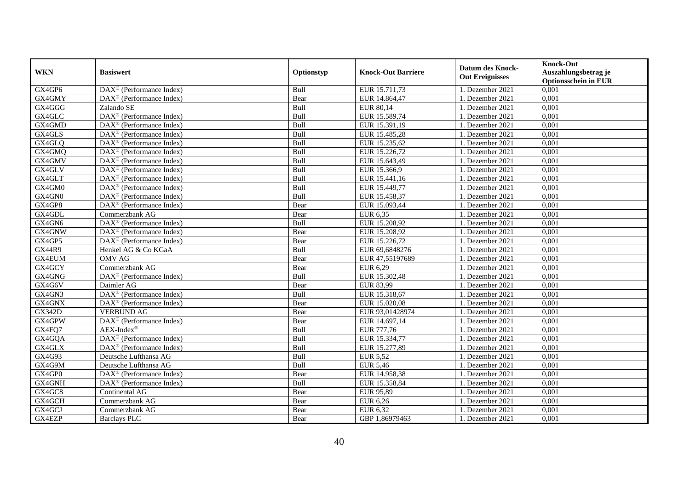| <b>WKN</b>    | <b>Basiswert</b>                                        | Optionstyp | <b>Knock-Out Barriere</b> | <b>Datum des Knock-</b><br><b>Out Ereignisses</b> | <b>Knock-Out</b><br>Auszahlungsbetrag je<br><b>Optionsschein in EUR</b> |
|---------------|---------------------------------------------------------|------------|---------------------------|---------------------------------------------------|-------------------------------------------------------------------------|
| GX4GP6        | $\overline{\text{DAX}^{\otimes}}$ (Performance Index)   | Bull       | EUR 15.711,73             | 1. Dezember 2021                                  | 0,001                                                                   |
| GX4GMY        | $DAX^{\circledast}$ (Performance Index)                 | Bear       | EUR 14.864,47             | 1. Dezember 2021                                  | 0,001                                                                   |
| GX4GGG        | Zalando SE                                              | Bull       | EUR 80,14                 | 1. Dezember 2021                                  | 0,001                                                                   |
| GX4GLC        | DAX <sup>®</sup> (Performance Index)                    | Bull       | EUR 15.589,74             | 1. Dezember 2021                                  | 0,001                                                                   |
| GX4GMD        | DAX <sup>®</sup> (Performance Index)                    | Bull       | EUR 15.391,19             | 1. Dezember 2021                                  | 0,001                                                                   |
| GX4GLS        | DAX <sup>®</sup> (Performance Index)                    | Bull       | EUR 15.485,28             | 1. Dezember 2021                                  | 0,001                                                                   |
| GX4GLQ        | $\overline{\text{DAX}^{\otimes}}$ (Performance Index)   | Bull       | EUR 15.235,62             | 1. Dezember 2021                                  | 0,001                                                                   |
| GX4GMQ        | $DAX^{\circledast}$ (Performance Index)                 | Bull       | EUR 15.226,72             | 1. Dezember 2021                                  | 0,001                                                                   |
| GX4GMV        | $DAX^{\circledast}$ (Performance Index)                 | Bull       | EUR 15.643,49             | 1. Dezember 2021                                  | 0,001                                                                   |
| GX4GLV        | $DAX^{\circledast}$ (Performance Index)                 | Bull       | EUR 15.366,9              | 1. Dezember 2021                                  | 0,001                                                                   |
| GX4GLT        | $\overline{\text{DAX}}^{\textcirc}$ (Performance Index) | Bull       | EUR 15.441,16             | 1. Dezember 2021                                  | 0,001                                                                   |
| GX4GM0        | $\overline{\text{DAX}^{\otimes}}$ (Performance Index)   | Bull       | EUR 15.449,77             | 1. Dezember 2021                                  | 0,001                                                                   |
| GX4GN0        | DAX <sup>®</sup> (Performance Index)                    | Bull       | EUR 15.458,37             | 1. Dezember 2021                                  | 0,001                                                                   |
| GX4GP8        | DAX <sup>®</sup> (Performance Index)                    | Bear       | EUR 15.093,44             | 1. Dezember 2021                                  | 0,001                                                                   |
| GX4GDL        | Commerzbank AG                                          | Bear       | EUR 6,35                  | 1. Dezember 2021                                  | 0,001                                                                   |
| GX4GN6        | $\overline{\text{DAX}^{\otimes}}$ (Performance Index)   | Bull       | EUR 15.208,92             | 1. Dezember 2021                                  | 0,001                                                                   |
| GX4GNW        | DAX <sup>®</sup> (Performance Index)                    | Bear       | EUR 15.208,92             | 1. Dezember 2021                                  | 0,001                                                                   |
| GX4GP5        | DAX <sup>®</sup> (Performance Index)                    | Bear       | EUR 15.226.72             | 1. Dezember 2021                                  | 0,001                                                                   |
| <b>GX44R9</b> | Henkel AG & Co KGaA                                     | Bull       | EUR 69,6848276            | 1. Dezember 2021                                  | 0,001                                                                   |
| GX4EUM        | <b>OMV AG</b>                                           | Bear       | EUR 47,55197689           | 1. Dezember 2021                                  | 0,001                                                                   |
| GX4GCY        | Commerzbank AG                                          | Bear       | EUR 6,29                  | 1. Dezember 2021                                  | 0,001                                                                   |
| GX4GNG        | DAX <sup>®</sup> (Performance Index)                    | Bull       | EUR 15.302,48             | 1. Dezember 2021                                  | 0,001                                                                   |
| GX4G6V        | Daimler AG                                              | Bear       | EUR 83,99                 | 1. Dezember 2021                                  | 0,001                                                                   |
| GX4GN3        | DAX <sup>®</sup> (Performance Index)                    | Bull       | EUR 15.318,67             | 1. Dezember 2021                                  | 0,001                                                                   |
| GX4GNX        | $\overline{\text{DAX}^{\otimes}}$ (Performance Index)   | Bear       | EUR 15.020,08             | 1. Dezember 2021                                  | 0,001                                                                   |
| <b>GX342D</b> | <b>VERBUND AG</b>                                       | Bear       | EUR 93,01428974           | 1. Dezember 2021                                  | 0,001                                                                   |
| GX4GPW        | $\overline{\text{DAX}^{\otimes}}$ (Performance Index)   | Bear       | EUR 14.697,14             | 1. Dezember 2021                                  | 0,001                                                                   |
| GX4FQ7        | $AEX-Index^{\circledR}$                                 | Bull       | EUR 777,76                | 1. Dezember 2021                                  | 0,001                                                                   |
| GX4GQA        | $DAX^{\circledast}$ (Performance Index)                 | Bull       | EUR 15.334,77             | 1. Dezember 2021                                  | 0,001                                                                   |
| GX4GLX        | DAX <sup>®</sup> (Performance Index)                    | Bull       | EUR 15.277,89             | 1. Dezember 2021                                  | 0,001                                                                   |
| GX4G93        | Deutsche Lufthansa AG                                   | Bull       | <b>EUR 5,52</b>           | 1. Dezember 2021                                  | 0,001                                                                   |
| GX4G9M        | Deutsche Lufthansa AG                                   | Bull       | <b>EUR 5,46</b>           | 1. Dezember 2021                                  | 0,001                                                                   |
| GX4GP0        | DAX <sup>®</sup> (Performance Index)                    | Bear       | EUR 14.958,38             | 1. Dezember 2021                                  | 0,001                                                                   |
| GX4GNH        | DAX <sup>®</sup> (Performance Index)                    | Bull       | EUR 15.358,84             | 1. Dezember 2021                                  | 0,001                                                                   |
| GX4GC8        | Continental AG                                          | Bear       | EUR 95,89                 | 1. Dezember 2021                                  | 0,001                                                                   |
| GX4GCH        | Commerzbank AG                                          | Bear       | <b>EUR 6,26</b>           | 1. Dezember 2021                                  | 0,001                                                                   |
| GX4GCJ        | Commerzbank AG                                          | Bear       | EUR 6,32                  | 1. Dezember 2021                                  | 0,001                                                                   |
| GX4EZP        | <b>Barclays PLC</b>                                     | Bear       | GBP 1,86979463            | 1. Dezember 2021                                  | 0,001                                                                   |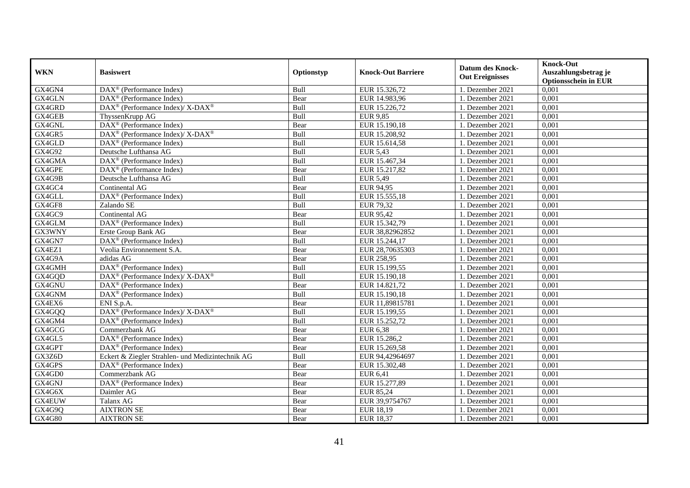| <b>WKN</b> | <b>Basiswert</b>                                              | Optionstyp  | <b>Knock-Out Barriere</b> | <b>Datum des Knock-</b><br><b>Out Ereignisses</b> | <b>Knock-Out</b><br>Auszahlungsbetrag je<br><b>Optionsschein in EUR</b> |
|------------|---------------------------------------------------------------|-------------|---------------------------|---------------------------------------------------|-------------------------------------------------------------------------|
| GX4GN4     | $\text{DAX}^{\textcircled{p}}$ (Performance Index)            | Bull        | EUR 15.326,72             | 1. Dezember 2021                                  | 0,001                                                                   |
| GX4GLN     | $\text{DAX}^{\textcircled{p}}$ (Performance Index)            | Bear        | EUR 14.983,96             | 1. Dezember 2021                                  | 0,001                                                                   |
| GX4GRD     | $\text{DAX}^{\otimes}$ (Performance Index)/X-DAX <sup>®</sup> | Bull        | EUR 15.226,72             | 1. Dezember 2021                                  | 0,001                                                                   |
| GX4GEB     | ThyssenKrupp AG                                               | Bull        | <b>EUR 9,85</b>           | 1. Dezember 2021                                  | 0,001                                                                   |
| GX4GNL     | DAX <sup>®</sup> (Performance Index)                          | Bear        | EUR 15.190,18             | 1. Dezember 2021                                  | 0,001                                                                   |
| GX4GR5     | DAX <sup>®</sup> (Performance Index)/ X-DAX <sup>®</sup>      | Bull        | EUR 15.208,92             | 1. Dezember 2021                                  | 0,001                                                                   |
| GX4GLD     | $\text{DAX}^{\circledR}$ (Performance Index)                  | Bull        | EUR 15.614,58             | 1. Dezember 2021                                  | 0,001                                                                   |
| GX4G92     | Deutsche Lufthansa AG                                         | Bull        | <b>EUR 5,43</b>           | 1. Dezember 2021                                  | 0,001                                                                   |
| GX4GMA     | $\text{DAX}^{\textcircled{p}}$ (Performance Index)            | Bull        | EUR 15.467,34             | 1. Dezember 2021                                  | 0,001                                                                   |
| GX4GPE     | $\text{DAX}^{\otimes}$ (Performance Index)                    | Bear        | EUR 15.217,82             | 1. Dezember 2021                                  | 0,001                                                                   |
| GX4G9B     | Deutsche Lufthansa AG                                         | Bull        | <b>EUR 5,49</b>           | 1. Dezember 2021                                  | 0,001                                                                   |
| GX4GC4     | Continental AG                                                | Bear        | EUR 94,95                 | 1. Dezember 2021                                  | 0,001                                                                   |
| GX4GLL     | $\overline{\text{DAX}^{\otimes}}$ (Performance Index)         | Bull        | EUR 15.555,18             | 1. Dezember 2021                                  | 0,001                                                                   |
| GX4GF8     | Zalando SE                                                    | Bull        | EUR 79,32                 | 1. Dezember 2021                                  | 0,001                                                                   |
| GX4GC9     | Continental AG                                                | Bear        | EUR 95,42                 | 1. Dezember 2021                                  | 0,001                                                                   |
| GX4GLM     | DAX <sup>®</sup> (Performance Index)                          | Bull        | EUR 15.342,79             | 1. Dezember 2021                                  | 0,001                                                                   |
| GX3WNY     | Erste Group Bank AG                                           | Bear        | EUR 38,82962852           | 1. Dezember 2021                                  | 0,001                                                                   |
| GX4GN7     | $\text{DAX}^{\textcircled{p}}$ (Performance Index)            | <b>Bull</b> | EUR 15.244.17             | 1. Dezember 2021                                  | 0.001                                                                   |
| GX4EZ1     | Veolia Environnement S.A.                                     | Bear        | EUR 28,70635303           | 1. Dezember 2021                                  | 0,001                                                                   |
| GX4G9A     | adidas AG                                                     | Bear        | <b>EUR 258,95</b>         | 1. Dezember 2021                                  | 0,001                                                                   |
| GX4GMH     | DAX <sup>®</sup> (Performance Index)                          | Bull        | EUR 15.199,55             | 1. Dezember 2021                                  | 0,001                                                                   |
| GX4GQD     | DAX <sup>®</sup> (Performance Index)/X-DAX <sup>®</sup>       | Bull        | EUR 15.190,18             | 1. Dezember 2021                                  | 0,001                                                                   |
| GX4GNU     | $\text{DAX}^{\textcircled{p}}$ (Performance Index)            | Bear        | EUR 14.821,72             | 1. Dezember 2021                                  | 0,001                                                                   |
| GX4GNM     | DAX <sup>®</sup> (Performance Index)                          | Bull        | EUR 15.190,18             | 1. Dezember 2021                                  | 0,001                                                                   |
| GX4EX6     | ENI S.p.A.                                                    | Bear        | EUR 11,89815781           | 1. Dezember 2021                                  | 0,001                                                                   |
| GX4GQQ     | DAX <sup>®</sup> (Performance Index)/ X-DAX <sup>®</sup>      | Bull        | EUR 15.199,55             | 1. Dezember 2021                                  | 0,001                                                                   |
| GX4GM4     | DAX <sup>®</sup> (Performance Index)                          | Bull        | EUR 15.252,72             | 1. Dezember 2021                                  | 0,001                                                                   |
| GX4GCG     | Commerzbank AG                                                | Bear        | <b>EUR 6,38</b>           | 1. Dezember 2021                                  | 0,001                                                                   |
| GX4GL5     | $\text{DAX}^{\textcircled{p}}$ (Performance Index)            | Bear        | EUR 15.286,2              | 1. Dezember 2021                                  | 0,001                                                                   |
| GX4GPT     | $\text{DAX}^{\textcircled{p}}$ (Performance Index)            | Bear        | EUR 15.269,58             | 1. Dezember 2021                                  | 0,001                                                                   |
| GX3Z6D     | Eckert & Ziegler Strahlen- und Medizintechnik AG              | Bull        | EUR 94,42964697           | 1. Dezember 2021                                  | 0,001                                                                   |
| GX4GPS     | DAX <sup>®</sup> (Performance Index)                          | Bear        | EUR 15.302,48             | 1. Dezember 2021                                  | 0,001                                                                   |
| GX4GD0     | Commerzbank AG                                                | Bear        | <b>EUR 6,41</b>           | 1. Dezember 2021                                  | 0,001                                                                   |
| GX4GNJ     | $\text{DAX}^{\circledR}$ (Performance Index)                  | Bear        | EUR 15.277,89             | 1. Dezember 2021                                  | 0,001                                                                   |
| GX4G6X     | Daimler AG                                                    | Bear        | EUR 85,24                 | 1. Dezember 2021                                  | 0,001                                                                   |
| GX4EUW     | Talanx AG                                                     | Bear        | EUR 39,9754767            | 1. Dezember 2021                                  | 0,001                                                                   |
| GX4G9Q     | <b>AIXTRON SE</b>                                             | Bear        | EUR 18,19                 | 1. Dezember 2021                                  | 0,001                                                                   |
| GX4G80     | <b>AIXTRON SE</b>                                             | Bear        | EUR 18,37                 | 1. Dezember 2021                                  | 0,001                                                                   |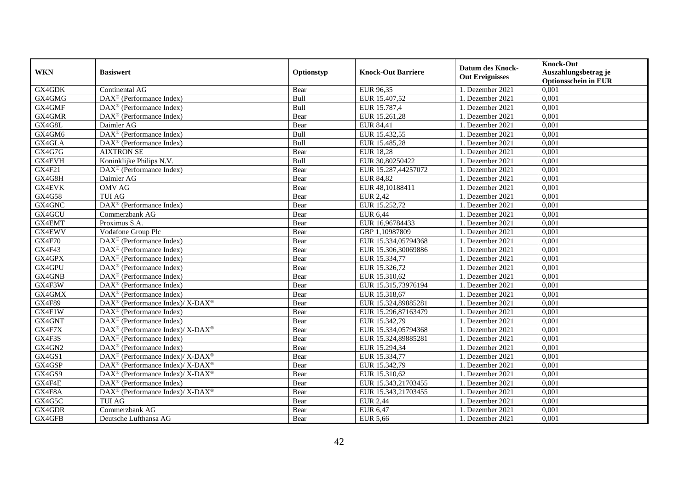| <b>WKN</b>    | <b>Basiswert</b>                                                   | Optionstyp | <b>Knock-Out Barriere</b> | Datum des Knock-<br><b>Out Ereignisses</b> | <b>Knock-Out</b><br>Auszahlungsbetrag je<br><b>Optionsschein in EUR</b> |
|---------------|--------------------------------------------------------------------|------------|---------------------------|--------------------------------------------|-------------------------------------------------------------------------|
| GX4GDK        | Continental AG                                                     | Bear       | EUR 96,35                 | 1. Dezember 2021                           | 0,001                                                                   |
| GX4GMG        | $\overline{\text{DAX}^{\textcircled{a}}}$ (Performance Index)      | Bull       | EUR 15.407,52             | 1. Dezember 2021                           | 0,001                                                                   |
| GX4GMF        | DAX <sup>®</sup> (Performance Index)                               | Bull       | EUR 15.787,4              | 1. Dezember 2021                           | 0,001                                                                   |
| GX4GMR        | $\text{DAX}^{\otimes}$ (Performance Index)                         | Bear       | EUR 15.261,28             | 1. Dezember 2021                           | 0,001                                                                   |
| GX4G8L        | Daimler AG                                                         | Bear       | EUR 84,41                 | 1. Dezember 2021                           | 0,001                                                                   |
| GX4GM6        | DAX <sup>®</sup> (Performance Index)                               | Bull       | EUR 15.432,55             | 1. Dezember 2021                           | 0,001                                                                   |
| GX4GLA        | $\text{DAX}^{\circledR}$ (Performance Index)                       | Bull       | EUR 15.485,28             | 1. Dezember 2021                           | 0,001                                                                   |
| GX4G7G        | <b>AIXTRON SE</b>                                                  | Bear       | <b>EUR 18,28</b>          | 1. Dezember 2021                           | 0,001                                                                   |
| <b>GX4EVH</b> | Koninklijke Philips N.V.                                           | Bull       | EUR 30,80250422           | 1. Dezember 2021                           | 0,001                                                                   |
| GX4F21        | $\text{DAX}^{\textcircled{p}}$ (Performance Index)                 | Bear       | EUR 15.287,44257072       | 1. Dezember 2021                           | 0,001                                                                   |
| GX4G8H        | Daimler AG                                                         | Bear       | EUR 84,82                 | 1. Dezember 2021                           | 0,001                                                                   |
| <b>GX4EVK</b> | <b>OMV AG</b>                                                      | Bear       | EUR 48,10188411           | 1. Dezember 2021                           | 0,001                                                                   |
| GX4G58        | <b>TUI AG</b>                                                      | Bear       | EUR 2,42                  | 1. Dezember 2021                           | 0,001                                                                   |
| GX4GNC        | $\overline{\text{DAX}^{\otimes}}$ (Performance Index)              | Bear       | EUR 15.252,72             | 1. Dezember 2021                           | 0,001                                                                   |
| GX4GCU        | Commerzbank AG                                                     | Bear       | <b>EUR 6,44</b>           | 1. Dezember 2021                           | 0,001                                                                   |
| GX4EMT        | Proximus S.A.                                                      | Bear       | EUR 16,96784433           | 1. Dezember 2021                           | 0,001                                                                   |
| GX4EWV        | Vodafone Group Plc                                                 | Bear       | GBP 1,10987809            | 1. Dezember 2021                           | 0,001                                                                   |
| <b>GX4F70</b> | $DAX^{\circledR}$ (Performance Index)                              | Bear       | EUR 15.334,05794368       | 1. Dezember 2021                           | 0.001                                                                   |
| GX4F43        | $\text{DAX}^{\textcircled{p}}$ (Performance Index)                 | Bear       | EUR 15.306,30069886       | 1. Dezember 2021                           | 0,001                                                                   |
| GX4GPX        | $\text{DAX}^{\textcircled{p}}$ (Performance Index)                 | Bear       | EUR 15.334,77             | 1. Dezember 2021                           | 0,001                                                                   |
| GX4GPU        | DAX <sup>®</sup> (Performance Index)                               | Bear       | EUR 15.326,72             | 1. Dezember 2021                           | 0,001                                                                   |
| GX4GNB        | $\text{DAX}^{\textcircled{p}}$ (Performance Index)                 | Bear       | EUR 15.310,62             | 1. Dezember 2021                           | $0,\overline{001}$                                                      |
| GX4F3W        | $\overline{\text{DAX}^{\otimes}}$ (Performance Index)              | Bear       | EUR 15.315,73976194       | 1. Dezember 2021                           | 0,001                                                                   |
| GX4GMX        | DAX <sup>®</sup> (Performance Index)                               | Bear       | EUR 15.318,67             | 1. Dezember 2021                           | 0,001                                                                   |
| <b>GX4F89</b> | DAX <sup>®</sup> (Performance Index)/ X-DAX <sup>®</sup>           | Bear       | EUR 15.324,89885281       | 1. Dezember 2021                           | 0,001                                                                   |
| GX4F1W        | $\text{DAX}^{\circledR}$ (Performance Index)                       | Bear       | EUR 15.296,87163479       | 1. Dezember 2021                           | 0,001                                                                   |
| GX4GNT        | DAX <sup>®</sup> (Performance Index)                               | Bear       | EUR 15.342,79             | 1. Dezember 2021                           | 0,001                                                                   |
| GX4F7X        | $DAX^{\circledcirc}$ (Performance Index)/ X-DAX <sup>®</sup>       | Bear       | EUR 15.334,05794368       | 1. Dezember 2021                           | 0,001                                                                   |
| GX4F3S        | $\text{DAX}^{\textcircled{p}}$ (Performance Index)                 | Bear       | EUR 15.324,89885281       | 1. Dezember 2021                           | 0,001                                                                   |
| GX4GN2        | $\text{DAX}^{\textcircled{p}}$ (Performance Index)                 | Bear       | EUR 15.294,34             | 1. Dezember 2021                           | 0,001                                                                   |
| GX4GS1        | DAX <sup>®</sup> (Performance Index)/ X-DAX <sup>®</sup>           | Bear       | EUR 15.334,77             | 1. Dezember 2021                           | 0,001                                                                   |
| GX4GSP        | $\text{DAX}^{\circledast}$ (Performance Index)/ X-DAX <sup>®</sup> | Bear       | EUR 15.342,79             | 1. Dezember 2021                           | 0,001                                                                   |
| GX4GS9        | DAX <sup>®</sup> (Performance Index)/ X-DAX <sup>®</sup>           | Bear       | EUR 15.310,62             | 1. Dezember 2021                           | 0,001                                                                   |
| GX4F4E        | DAX <sup>®</sup> (Performance Index)                               | Bear       | EUR 15.343,21703455       | 1. Dezember 2021                           | 0,001                                                                   |
| GX4F8A        | $\text{DAX}^{\otimes}$ (Performance Index)/X-DAX <sup>®</sup>      | Bear       | EUR 15.343,21703455       | 1. Dezember 2021                           | 0,001                                                                   |
| GX4G5C        | <b>TUI AG</b>                                                      | Bear       | <b>EUR 2,44</b>           | 1. Dezember 2021                           | 0,001                                                                   |
| GX4GDR        | Commerzbank AG                                                     | Bear       | EUR 6,47                  | 1. Dezember 2021                           | 0,001                                                                   |
| GX4GFB        | Deutsche Lufthansa AG                                              | Bear       | <b>EUR 5,66</b>           | 1. Dezember 2021                           | 0,001                                                                   |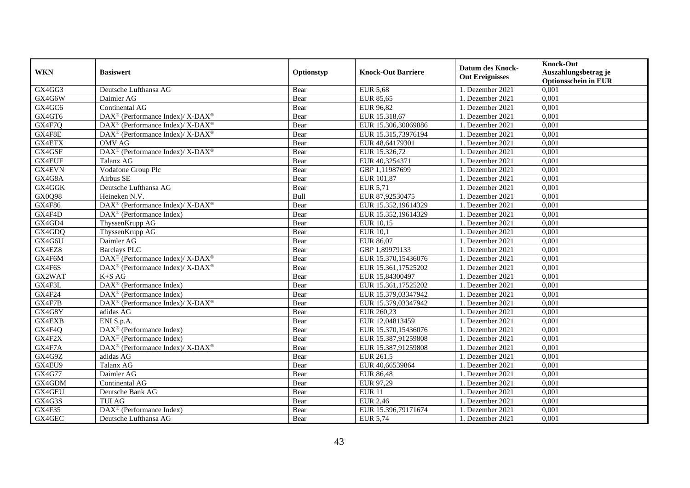|               |                                                                    |            |                           | <b>Datum des Knock-</b> | <b>Knock-Out</b>            |
|---------------|--------------------------------------------------------------------|------------|---------------------------|-------------------------|-----------------------------|
| <b>WKN</b>    | <b>Basiswert</b>                                                   | Optionstyp | <b>Knock-Out Barriere</b> | <b>Out Ereignisses</b>  | Auszahlungsbetrag je        |
|               |                                                                    |            |                           |                         | <b>Optionsschein in EUR</b> |
| GX4GG3        | Deutsche Lufthansa AG                                              | Bear       | <b>EUR 5,68</b>           | 1. Dezember 2021        | 0,001                       |
| GX4G6W        | Daimler AG                                                         | Bear       | EUR 85,65                 | 1. Dezember 2021        | 0,001                       |
| GX4GC6        | Continental AG                                                     | Bear       | EUR 96,82                 | 1. Dezember 2021        | 0,001                       |
| GX4GT6        | DAX <sup>®</sup> (Performance Index)/ X-DAX <sup>®</sup>           | Bear       | EUR 15.318,67             | 1. Dezember 2021        | 0,001                       |
| GX4F7Q        | DAX <sup>®</sup> (Performance Index)/ X-DAX <sup>®</sup>           | Bear       | EUR 15.306,30069886       | 1. Dezember 2021        | 0,001                       |
| GX4F8E        | DAX <sup>®</sup> (Performance Index)/ X-DAX <sup>®</sup>           | Bear       | EUR 15.315,73976194       | 1. Dezember 2021        | 0,001                       |
| <b>GX4ETX</b> | <b>OMV AG</b>                                                      | Bear       | EUR 48,64179301           | 1. Dezember 2021        | 0,001                       |
| GX4GSF        | DAX <sup>®</sup> (Performance Index)/X-DAX <sup>®</sup>            | Bear       | EUR 15.326,72             | 1. Dezember 2021        | 0,001                       |
| GX4EUF        | Talanx AG                                                          | Bear       | EUR 40,3254371            | 1. Dezember 2021        | 0,001                       |
| <b>GX4EVN</b> | Vodafone Group Plc                                                 | Bear       | GBP 1,11987699            | 1. Dezember 2021        | 0,001                       |
| GX4G8A        | Airbus SE                                                          | Bear       | EUR 101,87                | 1. Dezember 2021        | 0,001                       |
| GX4GGK        | Deutsche Lufthansa AG                                              | Bear       | EUR 5,71                  | 1. Dezember 2021        | 0,001                       |
| GX0Q98        | Heineken N.V.                                                      | Bull       | EUR 87,92530475           | 1. Dezember 2021        | 0,001                       |
| <b>GX4F86</b> | $DAX^{\circledcirc}$ (Performance Index)/X-DAX <sup>®</sup>        | Bear       | EUR 15.352,19614329       | 1. Dezember 2021        | 0.001                       |
| GX4F4D        | $DAX^{\otimes}$ (Performance Index)                                | Bear       | EUR 15.352,19614329       | 1. Dezember 2021        | 0,001                       |
| GX4GD4        | ThyssenKrupp AG                                                    | Bear       | <b>EUR 10,15</b>          | 1. Dezember 2021        | 0,001                       |
| GX4GDQ        | ThyssenKrupp AG                                                    | Bear       | <b>EUR 10,1</b>           | 1. Dezember 2021        | 0,001                       |
| GX4G6U        | Daimler AG                                                         | Bear       | EUR 86,07                 | 1. Dezember 2021        | 0,001                       |
| GX4EZ8        | <b>Barclays PLC</b>                                                | Bear       | GBP 1,89979133            | 1. Dezember 2021        | 0,001                       |
| GX4F6M        | DAX <sup>®</sup> (Performance Index)/ X-DAX <sup>®</sup>           | Bear       | EUR 15.370,15436076       | 1. Dezember 2021        | 0,001                       |
| GX4F6S        | DAX <sup>®</sup> (Performance Index)/ X-DAX <sup>®</sup>           | Bear       | EUR 15.361,17525202       | 1. Dezember 2021        | 0,001                       |
| GX2WAT        | $K+SAG$                                                            | Bear       | EUR 15,84300497           | 1. Dezember 2021        | 0,001                       |
| GX4F3L        | DAX <sup>®</sup> (Performance Index)                               | Bear       | EUR 15.361,17525202       | 1. Dezember 2021        | 0,001                       |
| GX4F24        | $\text{DAX}^{\textcircled{p}}$ (Performance Index)                 | Bear       | EUR 15.379,03347942       | 1. Dezember 2021        | 0,001                       |
| GX4F7B        | DAX <sup>®</sup> (Performance Index)/ X-DAX <sup>®</sup>           | Bear       | EUR 15.379,03347942       | 1. Dezember 2021        | 0,001                       |
| GX4G8Y        | adidas AG                                                          | Bear       | EUR 260,23                | 1. Dezember 2021        | 0,001                       |
| GX4EXB        | ENI S.p.A.                                                         | Bear       | EUR 12,04813459           | 1. Dezember 2021        | 0,001                       |
| GX4F4Q        | DAX <sup>®</sup> (Performance Index)                               | Bear       | EUR 15.370,15436076       | 1. Dezember 2021        | 0,001                       |
| GX4F2X        | $\text{DAX}^{\textcircled{n}}$ (Performance Index)                 | Bear       | EUR 15.387,91259808       | 1. Dezember 2021        | 0,001                       |
| GX4F7A        | $\text{DAX}^{\circledast}$ (Performance Index)/ X-DAX <sup>®</sup> | Bear       | EUR 15.387,91259808       | 1. Dezember 2021        | 0,001                       |
| GX4G9Z        | adidas AG                                                          | Bear       | EUR 261,5                 | 1. Dezember 2021        | 0,001                       |
| GX4EU9        | Talanx AG                                                          | Bear       | EUR 40,66539864           | 1. Dezember 2021        | 0,001                       |
| GX4G77        | Daimler AG                                                         | Bear       | <b>EUR 86,48</b>          | 1. Dezember 2021        | 0,001                       |
| GX4GDM        | Continental AG                                                     | Bear       | EUR 97,29                 | 1. Dezember 2021        | 0,001                       |
| GX4GEU        | Deutsche Bank AG                                                   | Bear       | <b>EUR 11</b>             | 1. Dezember 2021        | 0,001                       |
| GX4G3S        | <b>TUI AG</b>                                                      | Bear       | <b>EUR 2,46</b>           | 1. Dezember 2021        | 0,001                       |
| GX4F35        | DAX <sup>®</sup> (Performance Index)                               | Bear       | EUR 15.396,79171674       | 1. Dezember 2021        | 0,001                       |
| GX4GEC        | Deutsche Lufthansa AG                                              | Bear       | EUR 5,74                  | 1. Dezember 2021        | 0,001                       |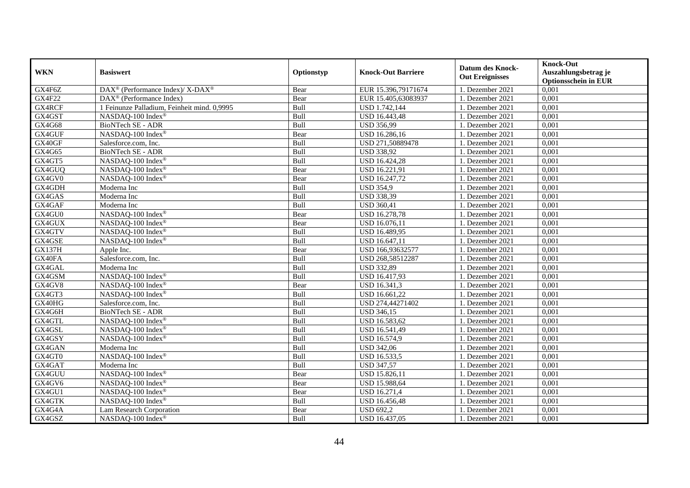| <b>WKN</b>    | <b>Basiswert</b>                                         | Optionstyp  | <b>Knock-Out Barriere</b> | <b>Datum des Knock-</b><br><b>Out Ereignisses</b> | <b>Knock-Out</b><br>Auszahlungsbetrag je<br><b>Optionsschein in EUR</b> |
|---------------|----------------------------------------------------------|-------------|---------------------------|---------------------------------------------------|-------------------------------------------------------------------------|
| GX4F6Z        | DAX <sup>®</sup> (Performance Index)/ X-DAX <sup>®</sup> | Bear        | EUR 15.396,79171674       | 1. Dezember 2021                                  | 0,001                                                                   |
| <b>GX4F22</b> | DAX <sup>®</sup> (Performance Index)                     | Bear        | EUR 15.405,63083937       | 1. Dezember 2021                                  | 0,001                                                                   |
| GX4RCF        | 1 Feinunze Palladium, Feinheit mind. 0,9995              | Bull        | USD 1.742,144             | 1. Dezember 2021                                  | $0,\overline{001}$                                                      |
| GX4GST        | NASDAQ-100 Index®                                        | Bull        | USD 16.443,48             | 1. Dezember 2021                                  | 0,001                                                                   |
| GX4G68        | <b>BioNTech SE - ADR</b>                                 | Bull        | <b>USD 356,99</b>         | 1. Dezember 2021                                  | 0,001                                                                   |
| GX4GUF        | NASDAQ-100 Index®                                        | Bear        | USD 16.286,16             | 1. Dezember 2021                                  | 0,001                                                                   |
| GX40GF        | Salesforce.com, Inc.                                     | Bull        | USD 271,50889478          | 1. Dezember 2021                                  | 0,001                                                                   |
| GX4G65        | BioNTech SE - ADR                                        | Bull        | <b>USD 338,92</b>         | 1. Dezember 2021                                  | 0,001                                                                   |
| GX4GT5        | NASDAQ-100 Index®                                        | Bull        | USD 16.424,28             | 1. Dezember 2021                                  | 0,001                                                                   |
| GX4GUQ        | NASDAQ-100 Index®                                        | Bear        | USD 16.221,91             | 1. Dezember 2021                                  | 0,001                                                                   |
| GX4GV0        | NASDAQ-100 Index®                                        | Bear        | USD 16.247,72             | 1. Dezember 2021                                  | 0,001                                                                   |
| GX4GDH        | Moderna Inc                                              | Bull        | <b>USD 354,9</b>          | 1. Dezember 2021                                  | 0,001                                                                   |
| GX4GAS        | Moderna Inc                                              | Bull        | <b>USD 338,39</b>         | 1. Dezember 2021                                  | 0,001                                                                   |
| GX4GAF        | Moderna Inc                                              | Bull        | <b>USD 360,41</b>         | 1. Dezember 2021                                  | 0,001                                                                   |
| GX4GU0        | NASDAQ-100 Index®                                        | Bear        | <b>USD 16.278,78</b>      | 1. Dezember 2021                                  | 0,001                                                                   |
| GX4GUX        | NASDAQ-100 Index®                                        | Bear        | USD 16.076,11             | 1. Dezember 2021                                  | 0,001                                                                   |
| GX4GTV        | NASDAQ-100 Index®                                        | Bull        | USD 16.489,95             | 1. Dezember 2021                                  | 0,001                                                                   |
| GX4GSE        | NASDAQ-100 Index®                                        | Bull        | USD 16.647,11             | 1. Dezember 2021                                  | 0,001                                                                   |
| <b>GX137H</b> | Apple Inc.                                               | Bear        | USD 166,93632577          | 1. Dezember 2021                                  | 0,001                                                                   |
| GX40FA        | Salesforce.com, Inc.                                     | Bull        | USD 268,58512287          | 1. Dezember 2021                                  | 0,001                                                                   |
| GX4GAL        | Moderna Inc                                              | Bull        | <b>USD 332,89</b>         | 1. Dezember 2021                                  | 0,001                                                                   |
| GX4GSM        | NASDAQ-100 Index®                                        | Bull        | USD 16.417,93             | 1. Dezember 2021                                  | 0,001                                                                   |
| GX4GV8        | NASDAQ-100 Index®                                        | Bear        | USD 16.341,3              | 1. Dezember 2021                                  | 0,001                                                                   |
| GX4GT3        | NASDAQ-100 Index®                                        | Bull        | USD 16.661,22             | 1. Dezember 2021                                  | 0,001                                                                   |
| GX40HG        | Salesforce.com, Inc.                                     | Bull        | USD 274,44271402          | 1. Dezember 2021                                  | 0,001                                                                   |
| GX4G6H        | <b>BioNTech SE - ADR</b>                                 | <b>Bull</b> | <b>USD 346,15</b>         | 1. Dezember 2021                                  | 0,001                                                                   |
| GX4GTL        | NASDAQ-100 Index®                                        | Bull        | USD 16.583,62             | 1. Dezember 2021                                  | 0,001                                                                   |
| GX4GSL        | NASDAQ-100 Index®                                        | Bull        | USD 16.541,49             | 1. Dezember 2021                                  | 0,001                                                                   |
| GX4GSY        | NASDAQ-100 Index®                                        | Bull        | USD 16.574,9              | 1. Dezember 2021                                  | 0,001                                                                   |
| GX4GAN        | Moderna Inc                                              | Bull        | <b>USD 342,06</b>         | 1. Dezember 2021                                  | 0,001                                                                   |
| GX4GT0        | NASDAQ-100 Index®                                        | Bull        | USD 16.533,5              | 1. Dezember 2021                                  | 0,001                                                                   |
| GX4GAT        | Moderna Inc                                              | Bull        | <b>USD 347,57</b>         | 1. Dezember 2021                                  | 0,001                                                                   |
| GX4GUU        | NASDAQ-100 Index®                                        | Bear        | USD 15.826,11             | 1. Dezember 2021                                  | 0,001                                                                   |
| GX4GV6        | NASDAQ-100 Index®                                        | Bear        | <b>USD 15.988,64</b>      | 1. Dezember 2021                                  | 0,001                                                                   |
| GX4GU1        | NASDAQ-100 Index®                                        | Bear        | <b>USD 16.271,4</b>       | 1. Dezember 2021                                  | 0,001                                                                   |
| GX4GTK        | NASDAQ-100 Index®                                        | Bull        | USD 16.456,48             | 1. Dezember 2021                                  | 0,001                                                                   |
| GX4G4A        | Lam Research Corporation                                 | Bear        | <b>USD 692,2</b>          | 1. Dezember 2021                                  | 0,001                                                                   |
| GX4GSZ        | NASDAQ-100 Index®                                        | Bull        | USD 16.437,05             | 1. Dezember 2021                                  | 0,001                                                                   |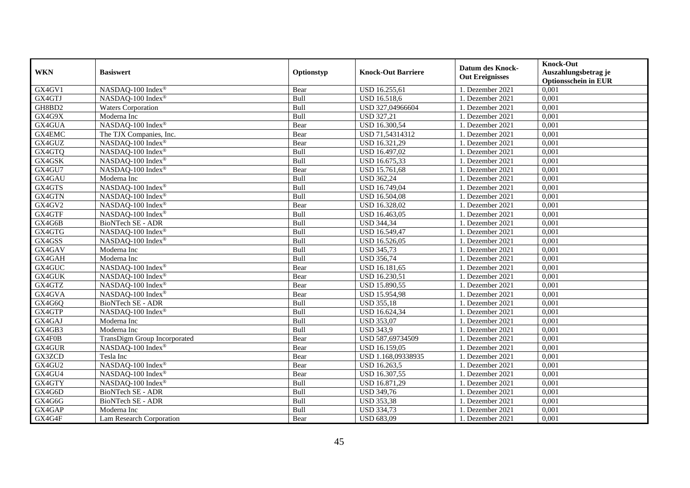|                                                                           | <b>Knock-Out</b><br><b>Datum des Knock-</b>    |  |
|---------------------------------------------------------------------------|------------------------------------------------|--|
| <b>WKN</b><br><b>Basiswert</b><br>Optionstyp<br><b>Knock-Out Barriere</b> | Auszahlungsbetrag je<br><b>Out Ereignisses</b> |  |
|                                                                           | <b>Optionsschein in EUR</b>                    |  |
| GX4GV1<br>NASDAQ-100 Index®<br>USD 16.255,61<br>Bear                      | 0,001<br>1. Dezember 2021                      |  |
| GX4GTJ<br>NASDAQ-100 Index®<br>Bull<br>USD 16.518,6                       | 0,001<br>1. Dezember 2021                      |  |
| GH8BD2<br><b>Waters Corporation</b><br>USD 327,04966604<br>Bull           | 1. Dezember 2021<br>0,001                      |  |
| GX4G9X<br>Moderna Inc<br>Bull<br><b>USD 327,21</b>                        | 0,001<br>1. Dezember 2021                      |  |
| GX4GUA<br>NASDAQ-100 Index®<br>USD 16.300,54<br>Bear                      | 0,001<br>1. Dezember 2021                      |  |
| GX4EMC<br>USD 71,54314312<br>The TJX Companies, Inc.<br>Bear              | 0,001<br>1. Dezember 2021                      |  |
| GX4GUZ<br>NASDAQ-100 Index®<br>USD 16.321,29<br>Bear                      | 0,001<br>1. Dezember 2021                      |  |
| GX4GTQ<br>NASDAQ-100 Index®<br>USD 16.497,02<br>Bull                      | 0,001<br>1. Dezember 2021                      |  |
| GX4GSK<br>Bull<br>USD 16.675,33<br>NASDAQ-100 Index®                      | 0,001<br>1. Dezember 2021                      |  |
| GX4GU7<br>USD 15.761,68<br>NASDAQ-100 Index®<br>Bear                      | 0,001<br>1. Dezember 2021                      |  |
| <b>USD 362,24</b><br>GX4GAU<br>Moderna Inc<br>Bull                        | 0,001<br>1. Dezember 2021                      |  |
| GX4GTS<br>Bull<br>USD 16.749,04<br>NASDAQ-100 Index®                      | 0,001<br>1. Dezember 2021                      |  |
| GX4GTN<br>NASDAQ-100 Index®<br>Bull<br>USD 16.504,08                      | 0,001<br>1. Dezember 2021                      |  |
| GX4GV2<br>NASDAQ-100 Index®<br>USD 16.328,02<br>Bear                      | 1. Dezember 2021<br>0.001                      |  |
| GX4GTF<br>Bull<br>USD 16.463,05<br>NASDAQ-100 Index®                      | 1. Dezember 2021<br>0,001                      |  |
| GX4G6B<br>BioNTech SE - ADR<br><b>USD 344,34</b><br>Bull                  | 0,001<br>1. Dezember 2021                      |  |
| GX4GTG<br>NASDAQ-100 Index®<br>Bull<br>USD 16.549,47                      | 0,001<br>1. Dezember 2021                      |  |
| GX4GSS<br>NASDAQ-100 Index®<br>Bull<br>USD 16.526,05                      | 1. Dezember 2021<br>0,001                      |  |
| GX4GAV<br>Moderna Inc<br>Bull<br><b>USD 345,73</b>                        | 0,001<br>1. Dezember 2021                      |  |
| GX4GAH<br>Moderna Inc<br>Bull<br><b>USD 356,74</b>                        | 0,001<br>1. Dezember 2021                      |  |
| GX4GUC<br>NASDAQ-100 Index®<br>USD 16.181,65<br>Bear                      | 0,001<br>1. Dezember 2021                      |  |
| GX4GUK<br>NASDAO-100 Index®<br>USD 16.230,51<br>Bear                      | 0,001<br>1. Dezember 2021                      |  |
| GX4GTZ<br>NASDAQ-100 Index®<br>USD 15.890,55<br>Bear                      | 0,001<br>1. Dezember 2021                      |  |
| GX4GVA<br>NASDAQ-100 Index®<br><b>USD 15.954,98</b><br>Bear               | 0,001<br>1. Dezember 2021                      |  |
| <b>BioNTech SE - ADR</b><br>GX4G6Q<br>Bull<br><b>USD 355,18</b>           | 1. Dezember 2021<br>0,001                      |  |
| GX4GTP<br>Bull<br>NASDAQ-100 Index®<br>USD 16.624,34                      | 0,001<br>1. Dezember 2021                      |  |
| GX4GAJ<br><b>USD 353,07</b><br>Moderna Inc<br>Bull                        | 0,001<br>1. Dezember 2021                      |  |
| GX4GB3<br>Bull<br><b>USD 343,9</b><br>Moderna Inc                         | 0,001<br>1. Dezember 2021                      |  |
| GX4F0B<br>TransDigm Group Incorporated<br>USD 587,69734509<br>Bear        | 0,001<br>1. Dezember 2021                      |  |
| GX4GUR<br>NASDAQ-100 Index®<br>Bear<br>USD 16.159,05                      | 0,001<br>1. Dezember 2021                      |  |
| GX3ZCD<br>Tesla Inc<br>USD 1.168,09338935<br>Bear                         | 1. Dezember 2021<br>0,001                      |  |
| GX4GU2<br>NASDAQ-100 Index®<br>USD 16.263,5<br>Bear                       | 0,001<br>1. Dezember 2021                      |  |
| GX4GU4<br>NASDAQ-100 Index®<br>USD 16.307,55<br>Bear                      | 0,001<br>1. Dezember 2021                      |  |
| GX4GTY<br>NASDAQ-100 Index®<br>Bull<br>USD 16.871,29                      | 0,001<br>1. Dezember 2021                      |  |
| GX4G6D<br>BioNTech SE - ADR<br>Bull<br><b>USD 349,76</b>                  | 1. Dezember 2021<br>0,001                      |  |
| <b>BioNTech SE - ADR</b><br>GX4G6G<br>Bull<br><b>USD 353,38</b>           | 0,001<br>1. Dezember 2021                      |  |
| GX4GAP<br>Bull<br><b>USD 334,73</b><br>Moderna Inc                        | 1. Dezember 2021<br>0,001                      |  |
| GX4G4F<br><b>USD 683,09</b><br>Lam Research Corporation<br>Bear           | 0,001<br>1. Dezember 2021                      |  |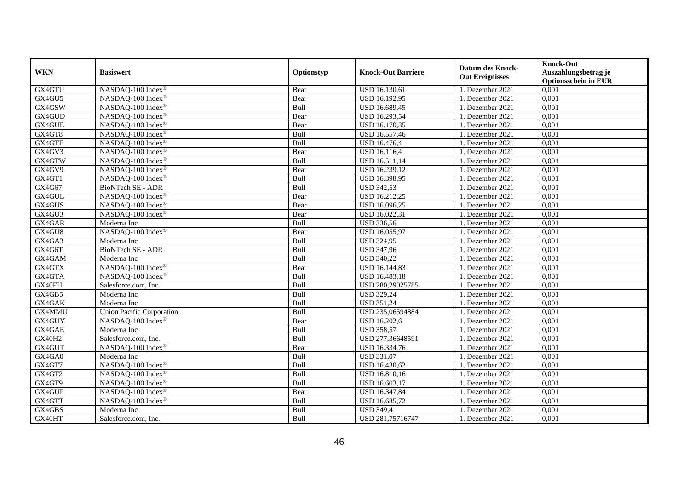|               | <b>Basiswert</b>                 | Optionstyp |                           | <b>Datum des Knock-</b><br><b>Out Ereignisses</b> | <b>Knock-Out</b>            |
|---------------|----------------------------------|------------|---------------------------|---------------------------------------------------|-----------------------------|
| <b>WKN</b>    |                                  |            | <b>Knock-Out Barriere</b> |                                                   | Auszahlungsbetrag je        |
|               |                                  |            |                           |                                                   | <b>Optionsschein in EUR</b> |
| GX4GTU        | NASDAQ-100 Index®                | Bear       | USD 16.130,61             | 1. Dezember 2021                                  | 0,001                       |
| GX4GU5        | NASDAQ-100 Index®                | Bear       | USD 16.192,95             | 1. Dezember 2021                                  | 0,001                       |
| GX4GSW        | NASDAQ-100 Index®                | Bull       | USD 16.689,45             | 1. Dezember 2021                                  | 0,001                       |
| GX4GUD        | NASDAQ-100 Index®                | Bear       | USD 16.293,54             | 1. Dezember 2021                                  | 0,001                       |
| GX4GUE        | NASDAQ-100 Index®                | Bear       | USD 16.170,35             | 1. Dezember 2021                                  | 0,001                       |
| GX4GT8        | NASDAQ-100 Index®                | Bull       | USD 16.557,46             | 1. Dezember 2021                                  | 0,001                       |
| GX4GTE        | NASDAQ-100 Index®                | Bull       | <b>USD 16.476,4</b>       | 1. Dezember 2021                                  | 0,001                       |
| GX4GV3        | NASDAQ-100 Index®                | Bear       | <b>USD 16.116,4</b>       | 1. Dezember 2021                                  | 0,001                       |
| GX4GTW        | NASDAQ-100 Index®                | Bull       | USD 16.511,14             | 1. Dezember 2021                                  | 0,001                       |
| GX4GV9        | NASDAQ-100 Index®                | Bear       | USD 16.239,12             | 1. Dezember 2021                                  | 0,001                       |
| GX4GT1        | NASDAQ-100 Index®                | Bull       | USD 16.398,95             | 1. Dezember 2021                                  | 0,001                       |
| GX4G67        | <b>BioNTech SE - ADR</b>         | Bull       | <b>USD 342,53</b>         | 1. Dezember 2021                                  | 0,001                       |
| GX4GUL        | NASDAQ-100 Index®                | Bear       | USD 16.212,25             | 1. Dezember 2021                                  | 0,001                       |
| GX4GUS        | NASDAQ-100 Index®                | Bear       | USD 16.096,25             | 1. Dezember 2021                                  | 0,001                       |
| GX4GU3        | NASDAQ-100 Index®                | Bear       | USD 16.022,31             | 1. Dezember 2021                                  | 0,001                       |
| GX4GAR        | Moderna Inc                      | Bull       | USD 336,56                | 1. Dezember 2021                                  | 0,001                       |
| GX4GU8        | NASDAQ-100 Index®                | Bear       | USD 16.055,97             | 1. Dezember 2021                                  | 0,001                       |
| GX4GA3        | Moderna Inc                      | Bull       | <b>USD 324,95</b>         | 1. Dezember 2021                                  | 0,001                       |
| GX4G6T        | BioNTech SE - ADR                | Bull       | <b>USD 347,96</b>         | 1. Dezember 2021                                  | 0,001                       |
| GX4GAM        | Moderna Inc                      | Bull       | <b>USD 340,22</b>         | 1. Dezember 2021                                  | 0,001                       |
| GX4GTX        | NASDAQ-100 Index®                | Bear       | USD 16.144,83             | 1. Dezember 2021                                  | 0,001                       |
| GX4GTA        | NASDAQ-100 Index®                | Bull       | USD 16.483,18             | 1. Dezember 2021                                  | 0,001                       |
| GX40FH        | Salesforce.com. Inc.             | Bull       | USD 280,29025785          | 1. Dezember 2021                                  | 0,001                       |
| GX4GB5        | Moderna Inc                      | Bull       | <b>USD 329,24</b>         | 1. Dezember 2021                                  | 0,001                       |
| GX4GAK        | Moderna Inc                      | Bull       | <b>USD 351,24</b>         | 1. Dezember 2021                                  | 0,001                       |
| GX4MMU        | <b>Union Pacific Corporation</b> | Bull       | USD 235,06594884          | 1. Dezember 2021                                  | 0,001                       |
| GX4GUY        | NASDAQ-100 Index®                | Bear       | USD 16.202,6              | 1. Dezember 2021                                  | 0,001                       |
| GX4GAE        | Moderna Inc                      | Bull       | USD 358,57                | 1. Dezember 2021                                  | 0,001                       |
| <b>GX40H2</b> | Salesforce.com, Inc.             | Bull       | USD 277,36648591          | 1. Dezember 2021                                  | 0,001                       |
| GX4GUT        | NASDAQ-100 Index®                | Bear       | USD 16.334,76             | 1. Dezember 2021                                  | 0,001                       |
| GX4GA0        | Moderna Inc                      | Bull       | <b>USD 331,07</b>         | 1. Dezember 2021                                  | 0,001                       |
| GX4GT7        | NASDAQ-100 Index®                | Bull       | USD 16.430,62             | 1. Dezember 2021                                  | 0,001                       |
| GX4GT2        | NASDAQ-100 Index®                | Bull       | USD 16.810,16             | 1. Dezember 2021                                  | 0,001                       |
| GX4GT9        | NASDAQ-100 Index®                | Bull       | USD 16.603,17             | 1. Dezember 2021                                  | 0,001                       |
| GX4GUP        | NASDAQ-100 Index®                | Bear       | USD 16.347,84             | 1. Dezember 2021                                  | 0,001                       |
| GX4GTT        | NASDAQ-100 Index®                | Bull       | USD 16.635,72             | 1. Dezember 2021                                  | 0,001                       |
| GX4GBS        | Moderna Inc                      | Bull       | <b>USD 349,4</b>          | 1. Dezember 2021                                  | 0,001                       |
| GX40HT        | Salesforce.com, Inc.             | Bull       | USD 281,75716747          | 1. Dezember 2021                                  | 0,001                       |
|               |                                  |            |                           |                                                   |                             |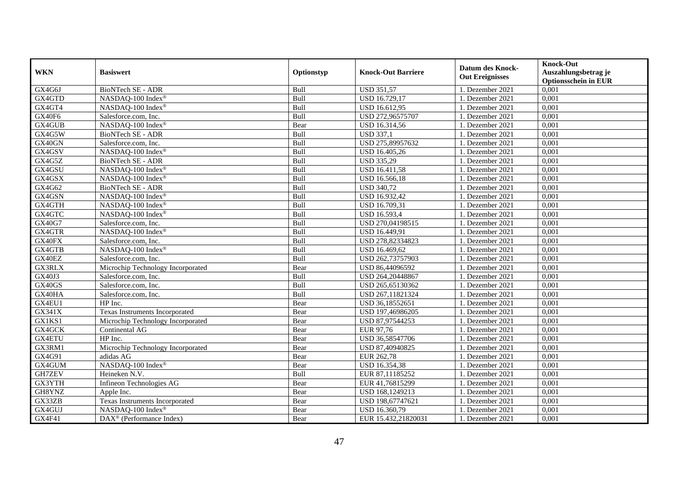| <b>WKN</b>    | <b>Basiswert</b>                      | Optionstyp | <b>Knock-Out Barriere</b> | <b>Datum des Knock-</b><br><b>Out Ereignisses</b> | <b>Knock-Out</b><br>Auszahlungsbetrag je<br><b>Optionsschein in EUR</b> |
|---------------|---------------------------------------|------------|---------------------------|---------------------------------------------------|-------------------------------------------------------------------------|
| GX4G6J        | BioNTech SE - ADR                     | Bull       | <b>USD 351,57</b>         | 1. Dezember 2021                                  | 0,001                                                                   |
| GX4GTD        | NASDAQ-100 Index®                     | Bull       | <b>USD 16.729,17</b>      | 1. Dezember 2021                                  | 0,001                                                                   |
| GX4GT4        | NASDAQ-100 Index®                     | Bull       | USD 16.612,95             | 1. Dezember 2021                                  | 0,001                                                                   |
| GX40F6        | Salesforce.com, Inc.                  | Bull       | USD 272,96575707          | 1. Dezember 2021                                  | 0,001                                                                   |
| GX4GUB        | NASDAQ-100 Index®                     | Bear       | USD 16.314,56             | 1. Dezember 2021                                  | 0,001                                                                   |
| GX4G5W        | BioNTech SE - ADR                     | Bull       | <b>USD 337,1</b>          | 1. Dezember 2021                                  | 0,001                                                                   |
| GX40GN        | Salesforce.com, Inc.                  | Bull       | USD 275,89957632          | 1. Dezember 2021                                  | 0,001                                                                   |
| GX4GSV        | NASDAQ-100 Index®                     | Bull       | USD 16.405,26             | 1. Dezember 2021                                  | 0,001                                                                   |
| GX4G5Z        | BioNTech SE - ADR                     | Bull       | <b>USD 335,29</b>         | 1. Dezember 2021                                  | 0,001                                                                   |
| GX4GSU        | NASDAQ-100 Index®                     | Bull       | <b>USD 16.411,58</b>      | 1. Dezember 2021                                  | 0,001                                                                   |
| GX4GSX        | NASDAQ-100 Index®                     | Bull       | USD 16.566,18             | 1. Dezember 2021                                  | 0,001                                                                   |
| GX4G62        | <b>BioNTech SE - ADR</b>              | Bull       | <b>USD 340,72</b>         | 1. Dezember 2021                                  | 0,001                                                                   |
| GX4GSN        | NASDAQ-100 Index®                     | Bull       | USD 16.932,42             | 1. Dezember 2021                                  | 0,001                                                                   |
| GX4GTH        | NASDAQ-100 Index®                     | Bull       | USD 16.709,31             | 1. Dezember 2021                                  | 0.001                                                                   |
| GX4GTC        | NASDAQ-100 Index®                     | Bull       | USD 16.593,4              | 1. Dezember 2021                                  | 0,001                                                                   |
| GX40G7        | Salesforce.com, Inc.                  | Bull       | USD 270,04198515          | 1. Dezember 2021                                  | 0,001                                                                   |
| GX4GTR        | NASDAQ-100 Index®                     | Bull       | USD 16.449,91             | 1. Dezember 2021                                  | 0,001                                                                   |
| GX40FX        | Salesforce.com, Inc.                  | Bull       | USD 278,82334823          | 1. Dezember 2021                                  | 0,001                                                                   |
| GX4GTB        | NASDAQ-100 Index®                     | Bull       | USD 16.469,62             | 1. Dezember 2021                                  | 0,001                                                                   |
| GX40EZ        | Salesforce.com, Inc.                  | Bull       | USD 262,73757903          | 1. Dezember 2021                                  | 0,001                                                                   |
| GX3RLX        | Microchip Technology Incorporated     | Bear       | USD 86,44096592           | 1. Dezember 2021                                  | 0,001                                                                   |
| GX40J3        | Salesforce.com, Inc.                  | Bull       | USD 264,20448867          | 1. Dezember 2021                                  | 0,001                                                                   |
| GX40GS        | Salesforce.com, Inc.                  | Bull       | USD 265,65130362          | 1. Dezember 2021                                  | 0,001                                                                   |
| GX40HA        | Salesforce.com, Inc.                  | Bull       | USD 267,11821324          | 1. Dezember 2021                                  | 0,001                                                                   |
| GX4EU1        | HP Inc.                               | Bear       | USD 36,18552651           | 1. Dezember 2021                                  | 0,001                                                                   |
| GX341X        | <b>Texas Instruments Incorporated</b> | Bear       | USD 197,46986205          | 1. Dezember 2021                                  | 0,001                                                                   |
| GX1KS1        | Microchip Technology Incorporated     | Bear       | USD 87,97544253           | 1. Dezember 2021                                  | 0,001                                                                   |
| GX4GCK        | Continental AG                        | Bear       | EUR 97,76                 | 1. Dezember 2021                                  | 0,001                                                                   |
| <b>GX4ETU</b> | HP Inc.                               | Bear       | USD 36,58547706           | 1. Dezember 2021                                  | 0,001                                                                   |
| GX3RM1        | Microchip Technology Incorporated     | Bear       | USD 87,40940825           | 1. Dezember 2021                                  | 0.001                                                                   |
| GX4G91        | adidas AG                             | Bear       | EUR 262,78                | 1. Dezember 2021                                  | 0,001                                                                   |
| GX4GUM        | NASDAQ-100 Index®                     | Bear       | USD 16.354,38             | 1. Dezember 2021                                  | 0,001                                                                   |
| <b>GH7ZEV</b> | Heineken N.V.                         | Bull       | EUR 87,11185252           | 1. Dezember 2021                                  | 0,001                                                                   |
| GX3YTH        | Infineon Technologies AG              | Bear       | EUR 41,76815299           | 1. Dezember 2021                                  | 0,001                                                                   |
| GH8YNZ        | Apple Inc.                            | Bear       | USD 168,1249213           | 1. Dezember 2021                                  | 0,001                                                                   |
| GX33ZB        | Texas Instruments Incorporated        | Bear       | USD 198,67747621          | 1. Dezember 2021                                  | 0,001                                                                   |
| GX4GUJ        | NASDAQ-100 Index®                     | Bear       | USD 16.360,79             | 1. Dezember 2021                                  | 0,001                                                                   |
| GX4F41        | DAX <sup>®</sup> (Performance Index)  | Bear       | EUR 15.432,21820031       | 1. Dezember 2021                                  | 0,001                                                                   |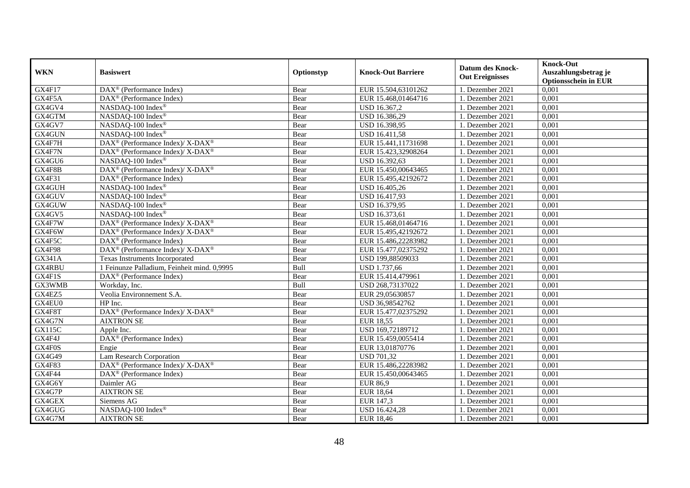| <b>WKN</b>    | <b>Basiswert</b>                                                         | Optionstyp | <b>Knock-Out Barriere</b> | <b>Datum des Knock-</b><br><b>Out Ereignisses</b> | <b>Knock-Out</b><br>Auszahlungsbetrag je<br><b>Optionsschein in EUR</b> |
|---------------|--------------------------------------------------------------------------|------------|---------------------------|---------------------------------------------------|-------------------------------------------------------------------------|
| GX4F17        | $\overline{\text{DAX}^{\otimes}}$ (Performance Index)                    | Bear       | EUR 15.504,63101262       | 1. Dezember 2021                                  | 0,001                                                                   |
| GX4F5A        | $\text{DAX}^{\textcircled{}}$ (Performance Index)                        | Bear       | EUR 15.468,01464716       | 1. Dezember 2021                                  | 0,001                                                                   |
| GX4GV4        | NASDAQ-100 Index®                                                        | Bear       | USD 16.367,2              | 1. Dezember 2021                                  | 0,001                                                                   |
| GX4GTM        | NASDAQ-100 Index®                                                        | Bear       | USD 16.386,29             | 1. Dezember 2021                                  | 0,001                                                                   |
| GX4GV7        | NASDAQ-100 Index®                                                        | Bear       | USD 16.398,95             | 1. Dezember 2021                                  | 0,001                                                                   |
| GX4GUN        | NASDAQ-100 Index®                                                        | Bear       | USD 16.411,58             | 1. Dezember 2021                                  | 0,001                                                                   |
| GX4F7H        | $\overline{\text{DAX}^{\otimes}}$ (Performance Index)/X-DAX <sup>®</sup> | Bear       | EUR 15.441,11731698       | 1. Dezember 2021                                  | 0,001                                                                   |
| GX4F7N        | DAX <sup>®</sup> (Performance Index)/ X-DAX <sup>®</sup>                 | Bear       | EUR 15.423,32908264       | 1. Dezember 2021                                  | 0,001                                                                   |
| GX4GU6        | NASDAO-100 Index®                                                        | Bear       | USD 16.392,63             | 1. Dezember 2021                                  | 0,001                                                                   |
| GX4F8B        | DAX <sup>®</sup> (Performance Index)/ X-DAX <sup>®</sup>                 | Bear       | EUR 15.450,00643465       | 1. Dezember 2021                                  | 0,001                                                                   |
| GX4F31        | DAX <sup>®</sup> (Performance Index)                                     | Bear       | EUR 15.495,42192672       | 1. Dezember 2021                                  | 0,001                                                                   |
| GX4GUH        | NASDAQ-100 Index®                                                        | Bear       | USD 16.405,26             | 1. Dezember 2021                                  | 0,001                                                                   |
| GX4GUV        | NASDAQ-100 Index®                                                        | Bear       | USD 16.417,93             | 1. Dezember 2021                                  | 0,001                                                                   |
| GX4GUW        | NASDAQ-100 Index®                                                        | Bear       | USD 16.379,95             | 1. Dezember 2021                                  | 0,001                                                                   |
| GX4GV5        | NASDAQ-100 Index®                                                        | Bear       | USD 16.373,61             | 1. Dezember 2021                                  | 0,001                                                                   |
| GX4F7W        | DAX <sup>®</sup> (Performance Index)/ X-DAX <sup>®</sup>                 | Bear       | EUR 15.468,01464716       | 1. Dezember 2021                                  | 0,001                                                                   |
| GX4F6W        | DAX <sup>®</sup> (Performance Index)/ X-DAX <sup>®</sup>                 | Bear       | EUR 15.495,42192672       | 1. Dezember 2021                                  | 0,001                                                                   |
| GX4F5C        | $DAX^{\circledcirc}$ (Performance Index)                                 | Bear       | EUR 15.486.22283982       | 1. Dezember 2021                                  | 0,001                                                                   |
| GX4F98        | DAX <sup>®</sup> (Performance Index)/ X-DAX <sup>®</sup>                 | Bear       | EUR 15.477,02375292       | 1. Dezember 2021                                  | 0,001                                                                   |
| <b>GX341A</b> | Texas Instruments Incorporated                                           | Bear       | USD 199,88509033          | 1. Dezember 2021                                  | 0,001                                                                   |
| <b>GX4RBU</b> | 1 Feinunze Palladium, Feinheit mind. 0,9995                              | Bull       | USD 1.737,66              | 1. Dezember 2021                                  | 0,001                                                                   |
| GX4F1S        | DAX <sup>®</sup> (Performance Index)                                     | Bear       | EUR 15.414,479961         | 1. Dezember 2021                                  | 0,001                                                                   |
| GX3WMB        | Workday, Inc.                                                            | Bull       | USD 268,73137022          | 1. Dezember 2021                                  | 0,001                                                                   |
| GX4EZ5        | Veolia Environnement S.A.                                                | Bear       | EUR 29,05630857           | 1. Dezember 2021                                  | 0,001                                                                   |
| GX4EU0        | HP Inc.                                                                  | Bear       | USD 36,98542762           | 1. Dezember 2021                                  | 0,001                                                                   |
| GX4F8T        | DAX <sup>®</sup> (Performance Index)/ X-DAX <sup>®</sup>                 | Bear       | EUR 15.477,02375292       | 1. Dezember 2021                                  | 0,001                                                                   |
| GX4G7N        | <b>AIXTRON SE</b>                                                        | Bear       | <b>EUR 18,55</b>          | 1. Dezember 2021                                  | 0,001                                                                   |
| <b>GX115C</b> | Apple Inc.                                                               | Bear       | USD 169,72189712          | 1. Dezember 2021                                  | 0,001                                                                   |
| GX4F4J        | DAX <sup>®</sup> (Performance Index)                                     | Bear       | EUR 15.459,0055414        | 1. Dezember 2021                                  | 0,001                                                                   |
| GX4F0S        | Engie                                                                    | Bear       | EUR 13,01870776           | 1. Dezember 2021                                  | 0,001                                                                   |
| GX4G49        | Lam Research Corporation                                                 | Bear       | <b>USD 701,32</b>         | 1. Dezember 2021                                  | 0,001                                                                   |
| GX4F83        | DAX <sup>®</sup> (Performance Index)/ X-DAX <sup>®</sup>                 | Bear       | EUR 15.486,22283982       | 1. Dezember 2021                                  | 0,001                                                                   |
| GX4F44        | $\overline{\text{DAX}}^{\textcirc}$ (Performance Index)                  | Bear       | EUR 15.450,00643465       | 1. Dezember 2021                                  | 0,001                                                                   |
| GX4G6Y        | Daimler AG                                                               | Bear       | <b>EUR 86,9</b>           | 1. Dezember 2021                                  | 0,001                                                                   |
| GX4G7P        | <b>AIXTRON SE</b>                                                        | Bear       | <b>EUR 18,64</b>          | 1. Dezember 2021                                  | 0,001                                                                   |
| GX4GEX        | Siemens AG                                                               | Bear       | EUR 147,3                 | 1. Dezember 2021                                  | 0,001                                                                   |
| GX4GUG        | NASDAQ-100 Index®                                                        | Bear       | USD 16.424,28             | 1. Dezember 2021                                  | 0,001                                                                   |
| GX4G7M        | <b>AIXTRON SE</b>                                                        | Bear       | <b>EUR 18,46</b>          | 1. Dezember 2021                                  | 0,001                                                                   |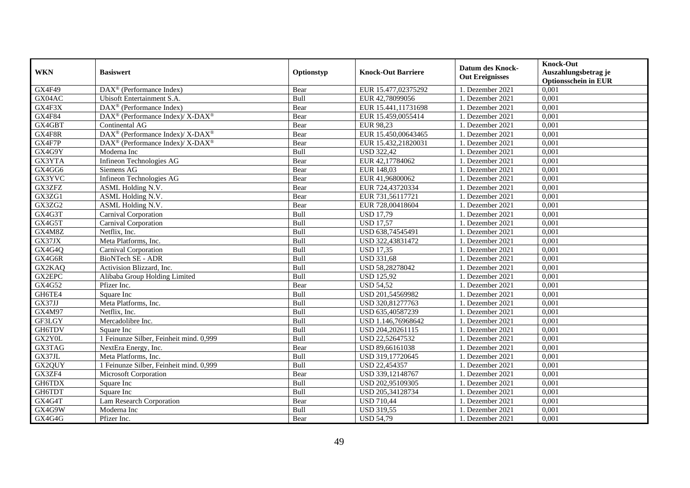| <b>WKN</b> | <b>Basiswert</b>                                            | Optionstyp | <b>Knock-Out Barriere</b> | <b>Datum des Knock-</b><br><b>Out Ereignisses</b> | <b>Knock-Out</b>            |
|------------|-------------------------------------------------------------|------------|---------------------------|---------------------------------------------------|-----------------------------|
|            |                                                             |            |                           |                                                   | Auszahlungsbetrag je        |
|            |                                                             |            |                           |                                                   | <b>Optionsschein in EUR</b> |
| GX4F49     | $\overline{\text{DAX}^{\otimes}(\text{Performance Index})}$ | Bear       | EUR 15.477,02375292       | 1. Dezember 2021                                  | 0,001                       |
| GX04AC     | Ubisoft Entertainment S.A.                                  | Bull       | EUR 42,78099056           | 1. Dezember 2021                                  | 0,001                       |
| GX4F3X     | $DAX^{\circledast}$ (Performance Index)                     | Bear       | EUR 15.441,11731698       | 1. Dezember 2021                                  | 0,001                       |
| GX4F84     | DAX <sup>®</sup> (Performance Index)/ X-DAX <sup>®</sup>    | Bear       | EUR 15.459,0055414        | 1. Dezember 2021                                  | 0,001                       |
| GX4GBT     | Continental AG                                              | Bear       | EUR 98,23                 | 1. Dezember 2021                                  | 0,001                       |
| GX4F8R     | DAX <sup>®</sup> (Performance Index)/ X-DAX <sup>®</sup>    | Bear       | EUR 15.450,00643465       | 1. Dezember 2021                                  | 0,001                       |
| GX4F7P     | DAX <sup>®</sup> (Performance Index)/X-DAX <sup>®</sup>     | Bear       | EUR 15.432,21820031       | 1. Dezember 2021                                  | 0,001                       |
| GX4G9Y     | Moderna Inc                                                 | Bull       | <b>USD 322,42</b>         | 1. Dezember 2021                                  | 0,001                       |
| GX3YTA     | Infineon Technologies AG                                    | Bear       | EUR 42,17784062           | 1. Dezember 2021                                  | 0,001                       |
| GX4GG6     | Siemens AG                                                  | Bear       | EUR 148,03                | 1. Dezember 2021                                  | 0,001                       |
| GX3YVC     | Infineon Technologies AG                                    | Bear       | EUR 41,96800062           | 1. Dezember 2021                                  | 0,001                       |
| GX3ZFZ     | ASML Holding N.V.                                           | Bear       | EUR 724,43720334          | 1. Dezember 2021                                  | 0,001                       |
| GX3ZG1     | ASML Holding N.V.                                           | Bear       | EUR 731,56117721          | 1. Dezember 2021                                  | 0,001                       |
| GX3ZG2     | <b>ASML Holding N.V.</b>                                    | Bear       | EUR 728,00418604          | 1. Dezember 2021                                  | 0.001                       |
| GX4G3T     | Carnival Corporation                                        | Bull       | <b>USD 17,79</b>          | 1. Dezember 2021                                  | 0,001                       |
| GX4G5T     | Carnival Corporation                                        | Bull       | <b>USD 17,57</b>          | 1. Dezember 2021                                  | 0,001                       |
| GX4M8Z     | Netflix, Inc.                                               | Bull       | USD 638,74545491          | 1. Dezember 2021                                  | 0,001                       |
| GX37JX     | Meta Platforms, Inc.                                        | Bull       | USD 322,43831472          | 1. Dezember 2021                                  | 0,001                       |
| GX4G4Q     | Carnival Corporation                                        | Bull       | <b>USD 17,35</b>          | 1. Dezember 2021                                  | 0,001                       |
| GX4G6R     | BioNTech SE - ADR                                           | Bull       | <b>USD 331,68</b>         | 1. Dezember 2021                                  | 0,001                       |
| GX2KAQ     | Activision Blizzard, Inc.                                   | Bull       | USD 58,28278042           | 1. Dezember 2021                                  | 0,001                       |
| GX2EPC     | Alibaba Group Holding Limited                               | Bull       | <b>USD 125.92</b>         | 1. Dezember 2021                                  | 0,001                       |
| GX4G52     | Pfizer Inc.                                                 | Bear       | <b>USD 54.52</b>          | 1. Dezember 2021                                  | 0,001                       |
| GH6TE4     | Square Inc                                                  | Bull       | USD 201,54569982          | 1. Dezember 2021                                  | 0,001                       |
| GX37JJ     | Meta Platforms, Inc.                                        | Bull       | USD 320,81277763          | 1. Dezember 2021                                  | 0,001                       |
| GX4M97     | Netflix, Inc.                                               | Bull       | USD 635,40587239          | 1. Dezember 2021                                  | 0,001                       |
| GF3LGY     | Mercadolibre Inc.                                           | Bull       | USD 1.146,76968642        | 1. Dezember 2021                                  | 0,001                       |
| GH6TDV     | Square Inc                                                  | Bull       | USD 204,20261115          | 1. Dezember 2021                                  | 0,001                       |
| GX2Y0L     | 1 Feinunze Silber, Feinheit mind. 0,999                     | Bull       | USD 22,52647532           | 1. Dezember 2021                                  | 0,001                       |
| GX3TAG     | NextEra Energy, Inc.                                        | Bear       | USD 89,66161038           | 1. Dezember 2021                                  | 0,001                       |
| GX37JL     | Meta Platforms, Inc.                                        | Bull       | USD 319,17720645          | 1. Dezember 2021                                  | 0,001                       |
| GX2QUY     | 1 Feinunze Silber, Feinheit mind. 0,999                     | Bull       | USD 22,454357             | 1. Dezember 2021                                  | 0,001                       |
| GX3ZF4     | <b>Microsoft Corporation</b>                                | Bear       | USD 339,12148767          | 1. Dezember 2021                                  | 0,001                       |
| GH6TDX     | Square Inc                                                  | Bull       | USD 202,95109305          | 1. Dezember 2021                                  | 0,001                       |
| GH6TDT     | Square Inc                                                  | Bull       | USD 205,34128734          | 1. Dezember 2021                                  | 0,001                       |
| GX4G4T     | Lam Research Corporation                                    | Bear       | <b>USD 710,44</b>         | 1. Dezember 2021                                  | 0,001                       |
| GX4G9W     | Moderna Inc                                                 | Bull       | <b>USD 319,55</b>         | 1. Dezember 2021                                  | 0,001                       |
| GX4G4G     | Pfizer Inc.                                                 | Bear       | <b>USD 54,79</b>          | 1. Dezember 2021                                  | 0,001                       |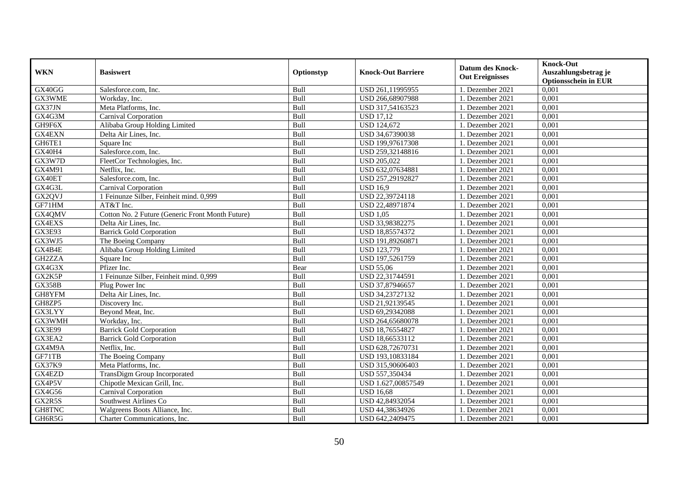| <b>WKN</b>    | <b>Basiswert</b>                                 | Optionstyp | <b>Knock-Out Barriere</b> | <b>Datum des Knock-</b><br><b>Out Ereignisses</b> | <b>Knock-Out</b><br>Auszahlungsbetrag je<br><b>Optionsschein in EUR</b> |
|---------------|--------------------------------------------------|------------|---------------------------|---------------------------------------------------|-------------------------------------------------------------------------|
| GX40GG        | Salesforce.com, Inc.                             | Bull       | USD 261,11995955          | 1. Dezember 2021                                  | 0,001                                                                   |
| GX3WME        | Workday, Inc.                                    | Bull       | USD 266,68907988          | 1. Dezember 2021                                  | 0,001                                                                   |
| GX37JN        | Meta Platforms, Inc.                             | Bull       | USD 317,54163523          | 1. Dezember 2021                                  | 0,001                                                                   |
| GX4G3M        | Carnival Corporation                             | Bull       | <b>USD 17,12</b>          | 1. Dezember 2021                                  | 0,001                                                                   |
| GH9F6X        | Alibaba Group Holding Limited                    | Bull       | <b>USD 124,672</b>        | 1. Dezember 2021                                  | 0,001                                                                   |
| GX4EXN        | Delta Air Lines, Inc.                            | Bull       | USD 34,67390038           | 1. Dezember 2021                                  | 0,001                                                                   |
| GH6TE1        | Square Inc                                       | Bull       | USD 199,97617308          | 1. Dezember 2021                                  | 0,001                                                                   |
| GX40H4        | Salesforce.com, Inc.                             | Bull       | USD 259,32148816          | 1. Dezember 2021                                  | 0,001                                                                   |
| GX3W7D        | FleetCor Technologies, Inc.                      | Bull       | <b>USD 205,022</b>        | 1. Dezember 2021                                  | 0,001                                                                   |
| GX4M91        | Netflix. Inc.                                    | Bull       | USD 632,07634881          | 1. Dezember 2021                                  | 0,001                                                                   |
| GX40ET        | Salesforce.com, Inc.                             | Bull       | USD 257,29192827          | 1. Dezember 2021                                  | 0,001                                                                   |
| GX4G3L        | Carnival Corporation                             | Bull       | <b>USD 16,9</b>           | 1. Dezember 2021                                  | 0,001                                                                   |
| GX2QVJ        | 1 Feinunze Silber, Feinheit mind. 0,999          | Bull       | USD 22,39724118           | 1. Dezember 2021                                  | 0,001                                                                   |
| GF71HM        | AT&T Inc.                                        | Bull       | USD 22,48971874           | 1. Dezember 2021                                  | 0.001                                                                   |
| GX4QMV        | Cotton No. 2 Future (Generic Front Month Future) | Bull       | <b>USD 1,05</b>           | 1. Dezember 2021                                  | 0,001                                                                   |
| GX4EXS        | Delta Air Lines, Inc.                            | Bull       | USD 33,98382275           | 1. Dezember 2021                                  | 0,001                                                                   |
| GX3E93        | <b>Barrick Gold Corporation</b>                  | Bull       | USD 18,85574372           | 1. Dezember 2021                                  | 0,001                                                                   |
| GX3WJ5        | The Boeing Company                               | Bull       | USD 191,89260871          | 1. Dezember 2021                                  | 0,001                                                                   |
| GX4B4E        | Alibaba Group Holding Limited                    | Bull       | <b>USD 123,779</b>        | 1. Dezember 2021                                  | 0,001                                                                   |
| GH2ZZA        | Square Inc                                       | Bull       | USD 197,5261759           | 1. Dezember 2021                                  | 0,001                                                                   |
| GX4G3X        | Pfizer Inc.                                      | Bear       | <b>USD 55,06</b>          | 1. Dezember 2021                                  | 0,001                                                                   |
| GX2K5P        | 1 Feinunze Silber, Feinheit mind. 0,999          | Bull       | USD 22,31744591           | 1. Dezember 2021                                  | 0,001                                                                   |
| <b>GX358B</b> | Plug Power Inc                                   | Bull       | USD 37,87946657           | 1. Dezember 2021                                  | 0,001                                                                   |
| GH8YFM        | Delta Air Lines, Inc.                            | Bull       | USD 34,23727132           | 1. Dezember 2021                                  | 0,001                                                                   |
| GH8ZP5        | Discovery Inc.                                   | Bull       | USD 21,92139545           | 1. Dezember 2021                                  | 0,001                                                                   |
| GX3LYY        | Beyond Meat, Inc.                                | Bull       | USD 69,29342088           | 1. Dezember 2021                                  | 0,001                                                                   |
| GX3WMH        | Workday, Inc.                                    | Bull       | USD 264,65680078          | 1. Dezember 2021                                  | 0,001                                                                   |
| GX3E99        | <b>Barrick Gold Corporation</b>                  | Bull       | USD 18,76554827           | 1. Dezember 2021                                  | 0,001                                                                   |
| GX3EA2        | <b>Barrick Gold Corporation</b>                  | Bull       | USD 18,66533112           | 1. Dezember 2021                                  | 0,001                                                                   |
| GX4M9A        | Netflix. Inc.                                    | Bull       | USD 628,72670731          | 1. Dezember 2021                                  | 0.001                                                                   |
| GF71TB        | The Boeing Company                               | Bull       | USD 193,10833184          | 1. Dezember 2021                                  | 0,001                                                                   |
| GX37K9        | Meta Platforms, Inc.                             | Bull       | USD 315,90606403          | 1. Dezember 2021                                  | 0,001                                                                   |
| GX4EZD        | TransDigm Group Incorporated                     | Bull       | USD 557,350434            | 1. Dezember 2021                                  | 0,001                                                                   |
| GX4P5V        | Chipotle Mexican Grill, Inc.                     | Bull       | USD 1.627,00857549        | 1. Dezember 2021                                  | 0,001                                                                   |
| GX4G56        | Carnival Corporation                             | Bull       | <b>USD 16,68</b>          | 1. Dezember 2021                                  | 0,001                                                                   |
| GX2R5S        | Southwest Airlines Co                            | Bull       | USD 42,84932054           | 1. Dezember 2021                                  | 0,001                                                                   |
| GH8TNC        | Walgreens Boots Alliance, Inc.                   | Bull       | USD 44,38634926           | 1. Dezember 2021                                  | 0,001                                                                   |
| GH6R5G        | Charter Communications, Inc.                     | Bull       | USD 642,2409475           | 1. Dezember 2021                                  | 0,001                                                                   |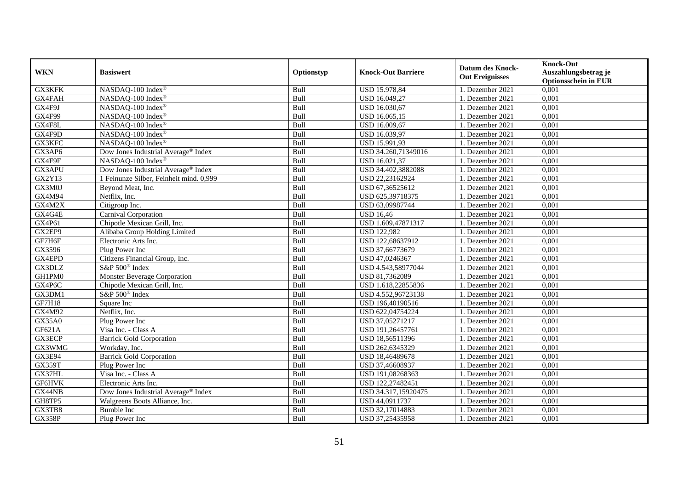| <b>WKN</b>    | <b>Basiswert</b>                                | Optionstyp  | <b>Knock-Out Barriere</b> | <b>Datum des Knock-</b><br><b>Out Ereignisses</b> | <b>Knock-Out</b><br>Auszahlungsbetrag je<br><b>Optionsschein in EUR</b> |
|---------------|-------------------------------------------------|-------------|---------------------------|---------------------------------------------------|-------------------------------------------------------------------------|
| GX3KFK        | NASDAQ-100 Index®                               | Bull        | USD 15.978,84             | 1. Dezember 2021                                  | 0,001                                                                   |
| GX4FAH        | NASDAQ-100 Index®                               | Bull        | USD 16.049,27             | 1. Dezember 2021                                  | 0,001                                                                   |
| GX4F9J        | NASDAQ-100 Index®                               | Bull        | USD 16.030,67             | 1. Dezember 2021                                  | $0,\overline{001}$                                                      |
| GX4F99        | NASDAQ-100 Index®                               | Bull        | USD 16.065,15             | 1. Dezember 2021                                  | 0,001                                                                   |
| GX4F8L        | NASDAQ-100 Index®                               | Bull        | USD 16.009,67             | 1. Dezember 2021                                  | 0,001                                                                   |
| GX4F9D        | NASDAQ-100 Index®                               | Bull        | USD 16.039,97             | 1. Dezember 2021                                  | 0,001                                                                   |
| GX3KFC        | NASDAQ-100 Index®                               | Bull        | USD 15.991,93             | 1. Dezember 2021                                  | 0,001                                                                   |
| GX3AP6        | Dow Jones Industrial Average® Index             | Bull        | USD 34.260,71349016       | 1. Dezember 2021                                  | 0,001                                                                   |
| GX4F9F        | NASDAQ-100 Index®                               | Bull        | USD 16.021,37             | 1. Dezember 2021                                  | 0,001                                                                   |
| GX3APU        | Dow Jones Industrial Average <sup>®</sup> Index | Bull        | USD 34.402,3882088        | 1. Dezember 2021                                  | 0,001                                                                   |
| <b>GX2Y13</b> | 1 Feinunze Silber, Feinheit mind. 0,999         | Bull        | USD 22,23162924           | 1. Dezember 2021                                  | 0,001                                                                   |
| GX3M0J        | Beyond Meat, Inc.                               | Bull        | USD 67,36525612           | 1. Dezember 2021                                  | 0,001                                                                   |
| GX4M94        | Netflix, Inc.                                   | Bull        | USD 625,39718375          | 1. Dezember 2021                                  | 0,001                                                                   |
| GX4M2X        | Citigroup Inc.                                  | Bull        | USD 63,09987744           | 1. Dezember 2021                                  | 0,001                                                                   |
| GX4G4E        | Carnival Corporation                            | Bull        | <b>USD 16,46</b>          | 1. Dezember 2021                                  | 0,001                                                                   |
| GX4P61        | Chipotle Mexican Grill, Inc.                    | Bull        | USD 1.609,47871317        | 1. Dezember 2021                                  | 0,001                                                                   |
| GX2EP9        | Alibaba Group Holding Limited                   | Bull        | <b>USD 122,982</b>        | 1. Dezember 2021                                  | 0,001                                                                   |
| GF7H6F        | Electronic Arts Inc.                            | <b>Bull</b> | USD 122,68637912          | 1. Dezember 2021                                  | 0,001                                                                   |
| GX3596        | Plug Power Inc                                  | Bull        | USD 37,66773679           | 1. Dezember 2021                                  | 0,001                                                                   |
| GX4EPD        | Citizens Financial Group, Inc.                  | Bull        | USD 47,0246367            | 1. Dezember 2021                                  | 0,001                                                                   |
| GX3DLZ        | S&P 500 <sup>®</sup> Index                      | Bull        | USD 4.543,58977044        | 1. Dezember 2021                                  | 0,001                                                                   |
| GH1PM0        | <b>Monster Beverage Corporation</b>             | Bull        | USD 81,7362089            | 1. Dezember 2021                                  | 0,001                                                                   |
| GX4P6C        | Chipotle Mexican Grill, Inc.                    | Bull        | USD 1.618,22855836        | 1. Dezember 2021                                  | 0,001                                                                   |
| GX3DM1        | S&P 500 <sup>®</sup> Index                      | Bull        | USD 4.552,96723138        | 1. Dezember 2021                                  | 0,001                                                                   |
| <b>GF7H18</b> | Square Inc                                      | Bull        | USD 196,40190516          | 1. Dezember 2021                                  | 0,001                                                                   |
| GX4M92        | Netflix, Inc.                                   | Bull        | USD 622,04754224          | 1. Dezember 2021                                  | 0,001                                                                   |
| GX35A0        | Plug Power Inc                                  | Bull        | USD 37,05271217           | 1. Dezember 2021                                  | 0,001                                                                   |
| GF621A        | Visa Inc. - Class A                             | Bull        | USD 191,26457761          | 1. Dezember 2021                                  | 0,001                                                                   |
| <b>GX3ECP</b> | <b>Barrick Gold Corporation</b>                 | Bull        | USD 18,56511396           | 1. Dezember 2021                                  | 0,001                                                                   |
| GX3WMG        | Workday, Inc.                                   | Bull        | USD 262,6345329           | 1. Dezember 2021                                  | 0,001                                                                   |
| GX3E94        | <b>Barrick Gold Corporation</b>                 | Bull        | USD 18,46489678           | 1. Dezember 2021                                  | 0,001                                                                   |
| GX359T        | Plug Power Inc                                  | Bull        | USD 37,46608937           | 1. Dezember 2021                                  | 0,001                                                                   |
| GX37HL        | Visa Inc. - Class A                             | Bull        | USD 191,08268363          | 1. Dezember 2021                                  | 0,001                                                                   |
| GF6HVK        | Electronic Arts Inc.                            | Bull        | USD 122,27482451          | 1. Dezember 2021                                  | 0,001                                                                   |
| GX44NB        | Dow Jones Industrial Average® Index             | Bull        | USD 34.317,15920475       | 1. Dezember 2021                                  | 0,001                                                                   |
| GH8TP5        | Walgreens Boots Alliance, Inc.                  | Bull        | USD 44,0911737            | 1. Dezember 2021                                  | 0,001                                                                   |
| GX3TB8        | Bumble Inc                                      | Bull        | USD 32,17014883           | 1. Dezember 2021                                  | 0,001                                                                   |
| <b>GX358P</b> | Plug Power Inc                                  | Bull        | USD 37,25435958           | 1. Dezember 2021                                  | 0,001                                                                   |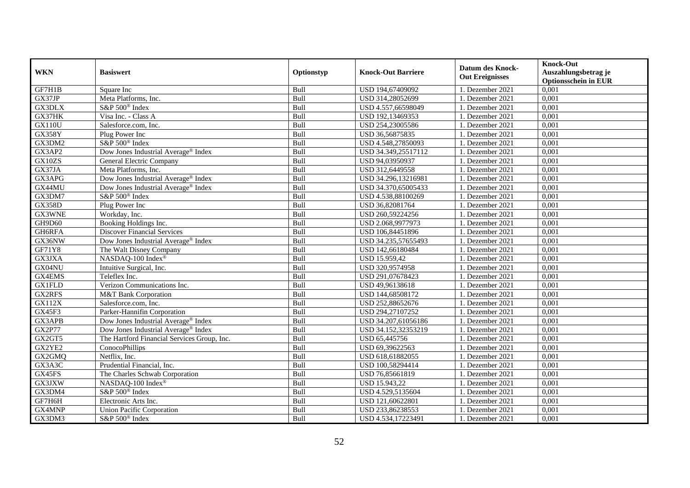| <b>WKN</b>    | <b>Basiswert</b>                                | Optionstyp | <b>Knock-Out Barriere</b> | <b>Datum des Knock-</b><br><b>Out Ereignisses</b> | <b>Knock-Out</b><br>Auszahlungsbetrag je<br><b>Optionsschein in EUR</b> |
|---------------|-------------------------------------------------|------------|---------------------------|---------------------------------------------------|-------------------------------------------------------------------------|
| GF7H1B        | Square Inc                                      | Bull       | USD 194,67409092          | 1. Dezember 2021                                  | 0,001                                                                   |
| GX37JP        | Meta Platforms, Inc.                            | Bull       | USD 314,28052699          | 1. Dezember 2021                                  | 0,001                                                                   |
| GX3DLX        | S&P 500 <sup>®</sup> Index                      | Bull       | USD 4.557,66598049        | 1. Dezember 2021                                  | 0,001                                                                   |
| GX37HK        | Visa Inc. - Class A                             | Bull       | USD 192,13469353          | 1. Dezember 2021                                  | 0,001                                                                   |
| <b>GX110U</b> | Salesforce.com, Inc.                            | Bull       | USD 254,23005586          | 1. Dezember 2021                                  | 0,001                                                                   |
| <b>GX358Y</b> | Plug Power Inc                                  | Bull       | USD 36,56875835           | 1. Dezember 2021                                  | 0,001                                                                   |
| GX3DM2        | S&P 500 <sup>®</sup> Index                      | Bull       | USD 4.548,27850093        | 1. Dezember 2021                                  | 0,001                                                                   |
| GX3AP2        | Dow Jones Industrial Average® Index             | Bull       | USD 34.349,25517112       | 1. Dezember 2021                                  | 0,001                                                                   |
| GX10ZS        | General Electric Company                        | Bull       | USD 94,03950937           | 1. Dezember 2021                                  | 0,001                                                                   |
| GX37JA        | Meta Platforms, Inc.                            | Bull       | USD 312,6449558           | 1. Dezember 2021                                  | 0,001                                                                   |
| GX3APG        | Dow Jones Industrial Average <sup>®</sup> Index | Bull       | USD 34.296,13216981       | 1. Dezember 2021                                  | 0,001                                                                   |
| GX44MU        | Dow Jones Industrial Average® Index             | Bull       | USD 34.370,65005433       | 1. Dezember 2021                                  | 0,001                                                                   |
| GX3DM7        | S&P 500 <sup>®</sup> Index                      | Bull       | USD 4.538,88100269        | 1. Dezember 2021                                  | 0,001                                                                   |
| <b>GX358D</b> | Plug Power Inc                                  | Bull       | USD 36,82081764           | 1. Dezember 2021                                  | 0,001                                                                   |
| GX3WNE        | Workday, Inc.                                   | Bull       | USD 260,59224256          | 1. Dezember 2021                                  | 0,001                                                                   |
| GH9D60        | Booking Holdings Inc.                           | Bull       | USD 2.068,9977973         | 1. Dezember 2021                                  | $0,\overline{001}$                                                      |
| GH6RFA        | <b>Discover Financial Services</b>              | Bull       | USD 106,84451896          | 1. Dezember 2021                                  | 0,001                                                                   |
| GX36NW        | Dow Jones Industrial Average® Index             | Bull       | USD 34.235,57655493       | 1. Dezember 2021                                  | 0,001                                                                   |
| GF71Y8        | The Walt Disney Company                         | Bull       | USD 142,66180484          | 1. Dezember 2021                                  | 0,001                                                                   |
| GX3JXA        | NASDAQ-100 Index®                               | Bull       | USD 15.959,42             | 1. Dezember 2021                                  | 0,001                                                                   |
| GX04NU        | Intuitive Surgical, Inc.                        | Bull       | USD 320,9574958           | 1. Dezember 2021                                  | 0,001                                                                   |
| GX4EMS        | Teleflex Inc.                                   | Bull       | USD 291,07678423          | 1. Dezember 2021                                  | 0,001                                                                   |
| <b>GX1FLD</b> | Verizon Communications Inc.                     | Bull       | USD 49,96138618           | 1. Dezember 2021                                  | 0,001                                                                   |
| <b>GX2RFS</b> | M&T Bank Corporation                            | Bull       | USD 144,68508172          | 1. Dezember 2021                                  | 0,001                                                                   |
| <b>GX112X</b> | Salesforce.com. Inc.                            | Bull       | USD 252,88652676          | 1. Dezember 2021                                  | $0,\overline{001}$                                                      |
| GX45F3        | Parker-Hannifin Corporation                     | Bull       | USD 294,27107252          | 1. Dezember 2021                                  | 0,001                                                                   |
| GX3APB        | Dow Jones Industrial Average <sup>®</sup> Index | Bull       | USD 34.207,61056186       | 1. Dezember 2021                                  | 0,001                                                                   |
| GX2P77        | Dow Jones Industrial Average <sup>®</sup> Index | Bull       | USD 34.152,32353219       | 1. Dezember 2021                                  | 0,001                                                                   |
| GX2GT5        | The Hartford Financial Services Group, Inc.     | Bull       | USD 65,445756             | 1. Dezember 2021                                  | 0,001                                                                   |
| GX2YE2        | ConocoPhillips                                  | Bull       | USD 69.39622563           | 1. Dezember 2021                                  | 0.001                                                                   |
| GX2GMQ        | Netflix. Inc.                                   | Bull       | USD 618,61882055          | 1. Dezember 2021                                  | 0,001                                                                   |
| GX3A3C        | Prudential Financial, Inc.                      | Bull       | USD 100,58294414          | 1. Dezember 2021                                  | 0,001                                                                   |
| GX45FS        | The Charles Schwab Corporation                  | Bull       | USD 76,85661819           | 1. Dezember 2021                                  | 0,001                                                                   |
| GX3JXW        | NASDAQ-100 Index®                               | Bull       | USD 15.943,22             | 1. Dezember 2021                                  | 0,001                                                                   |
| GX3DM4        | S&P 500 <sup>®</sup> Index                      | Bull       | USD 4.529,5135604         | 1. Dezember 2021                                  | 0,001                                                                   |
| GF7H6H        | Electronic Arts Inc.                            | Bull       | USD 121,60622801          | 1. Dezember 2021                                  | 0,001                                                                   |
| GX4MNP        | <b>Union Pacific Corporation</b>                | Bull       | USD 233,86238553          | 1. Dezember 2021                                  | 0,001                                                                   |
| GX3DM3        | S&P 500 <sup>®</sup> Index                      | Bull       | USD 4.534,17223491        | 1. Dezember 2021                                  | 0,001                                                                   |